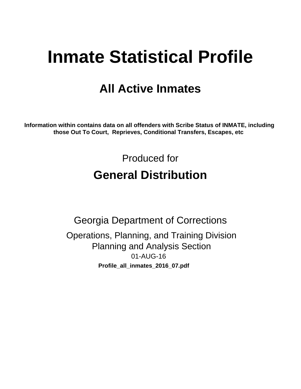# **Inmate Statistical Profile**

# **All Active Inmates**

Information within contains data on all offenders with Scribe Status of INMATE, including those Out To Court, Reprieves, Conditional Transfers, Escapes, etc

> Produced for **General Distribution**

**Georgia Department of Corrections** Operations, Planning, and Training Division **Planning and Analysis Section** 01-AUG-16 Profile\_all\_inmates\_2016\_07.pdf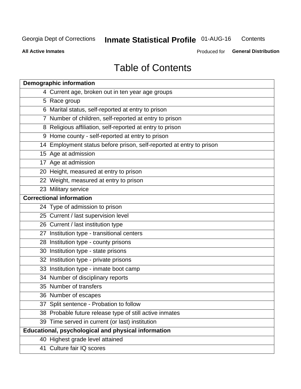#### **Inmate Statistical Profile 01-AUG-16** Contents

**All Active Inmates** 

Produced for General Distribution

# **Table of Contents**

| <b>Demographic information</b>                                       |
|----------------------------------------------------------------------|
| 4 Current age, broken out in ten year age groups                     |
| 5 Race group                                                         |
| 6 Marital status, self-reported at entry to prison                   |
| 7 Number of children, self-reported at entry to prison               |
| 8 Religious affiliation, self-reported at entry to prison            |
| 9 Home county - self-reported at entry to prison                     |
| 14 Employment status before prison, self-reported at entry to prison |
| 15 Age at admission                                                  |
| 17 Age at admission                                                  |
| 20 Height, measured at entry to prison                               |
| 22 Weight, measured at entry to prison                               |
| 23 Military service                                                  |
| <b>Correctional information</b>                                      |
| 24 Type of admission to prison                                       |
| 25 Current / last supervision level                                  |
| 26 Current / last institution type                                   |
| 27 Institution type - transitional centers                           |
| 28 Institution type - county prisons                                 |
| 30 Institution type - state prisons                                  |
| 32 Institution type - private prisons                                |
| 33 Institution type - inmate boot camp                               |
| 34 Number of disciplinary reports                                    |
| 35 Number of transfers                                               |
| 36 Number of escapes                                                 |
| 37 Split sentence - Probation to follow                              |
| 38 Probable future release type of still active inmates              |
| 39 Time served in current (or last) institution                      |
| <b>Educational, psychological and physical information</b>           |
| 40 Highest grade level attained                                      |
| 41 Culture fair IQ scores                                            |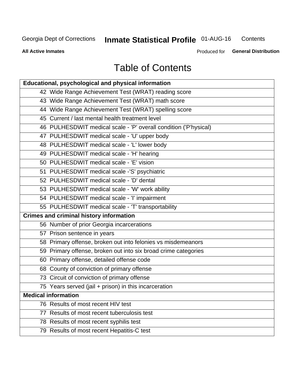#### **Inmate Statistical Profile 01-AUG-16** Contents

**All Active Inmates** 

Produced for General Distribution

# **Table of Contents**

| Educational, psychological and physical information              |
|------------------------------------------------------------------|
| 42 Wide Range Achievement Test (WRAT) reading score              |
| 43 Wide Range Achievement Test (WRAT) math score                 |
| 44 Wide Range Achievement Test (WRAT) spelling score             |
| 45 Current / last mental health treatment level                  |
| 46 PULHESDWIT medical scale - 'P' overall condition ('P'hysical) |
| 47 PULHESDWIT medical scale - 'U' upper body                     |
| 48 PULHESDWIT medical scale - 'L' lower body                     |
| 49 PULHESDWIT medical scale - 'H' hearing                        |
| 50 PULHESDWIT medical scale - 'E' vision                         |
| 51 PULHESDWIT medical scale -'S' psychiatric                     |
| 52 PULHESDWIT medical scale - 'D' dental                         |
| 53 PULHESDWIT medical scale - 'W' work ability                   |
| 54 PULHESDWIT medical scale - 'I' impairment                     |
| 55 PULHESDWIT medical scale - 'T' transportability               |
| <b>Crimes and criminal history information</b>                   |
| 56 Number of prior Georgia incarcerations                        |
| 57 Prison sentence in years                                      |
| 58 Primary offense, broken out into felonies vs misdemeanors     |
| 59 Primary offense, broken out into six broad crime categories   |
| 60 Primary offense, detailed offense code                        |
| 68 County of conviction of primary offense                       |
| 73 Circuit of conviction of primary offense                      |
| 75 Years served (jail + prison) in this incarceration            |
| <b>Medical information</b>                                       |
| 76 Results of most recent HIV test                               |
| 77 Results of most recent tuberculosis test                      |
| 78 Results of most recent syphilis test                          |
| 79 Results of most recent Hepatitis-C test                       |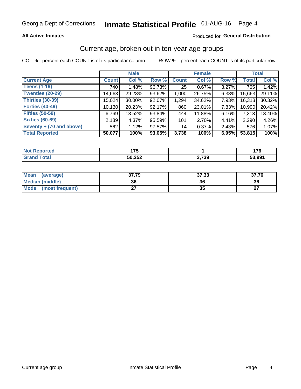# Inmate Statistical Profile 01-AUG-16 Page 4

### **All Active Inmates**

### Produced for General Distribution

### Current age, broken out in ten-year age groups

COL % - percent each COUNT is of its particular column

|                          |              | <b>Male</b> |        |              | <b>Female</b> |          |              | <b>Total</b> |  |
|--------------------------|--------------|-------------|--------|--------------|---------------|----------|--------------|--------------|--|
| <b>Current Age</b>       | <b>Count</b> | Col %       | Row %  | <b>Count</b> | Col %         | Row %    | <b>Total</b> | Col %        |  |
| <b>Teens (1-19)</b>      | 740          | 1.48%       | 96.73% | 25           | $0.67\%$      | 3.27%    | 765          | 1.42%        |  |
| <b>Twenties (20-29)</b>  | 14,663       | 29.28%      | 93.62% | 1,000        | 26.75%        | 6.38%    | 15,663       | 29.11%       |  |
| Thirties (30-39)         | 15,024       | 30.00%      | 92.07% | 1,294        | 34.62%        | 7.93%    | 16,318       | 30.32%       |  |
| <b>Forties (40-49)</b>   | 10,130       | 20.23%      | 92.17% | 860          | 23.01%        | 7.83%    | 10,990       | 20.42%       |  |
| <b>Fifties (50-59)</b>   | 6,769        | 13.52%      | 93.84% | 444          | 11.88%        | $6.16\%$ | 7,213        | 13.40%       |  |
| <b>Sixties (60-69)</b>   | 2,189        | 4.37%       | 95.59% | 101          | 2.70%         | 4.41%    | 2,290        | 4.26%        |  |
| Seventy + (70 and above) | 562          | 1.12%       | 97.57% | 14           | 0.37%         | $2.43\%$ | 576          | 1.07%        |  |
| <b>Total Reported</b>    | 50,077       | 100%        | 93.05% | 3,738        | 100%          | 6.95%    | 53,815       | 100%         |  |

| <b>Not</b><br>المتحالفة<br>τeα | $\rightarrow$<br>. |       | ^ מ<br>1 I V |
|--------------------------------|--------------------|-------|--------------|
| $T0+0'$                        | 50 252<br>ວບ,∠ວ∠   | 3,739 | 53,99        |

| <b>Mean</b><br>(average)       | 37.79 | 37.33 | 37.76     |
|--------------------------------|-------|-------|-----------|
| Median (middle)                | 36    | 36    | 36        |
| <b>Mode</b><br>(most frequent) | ^¬    | vu    | ^7<br>. . |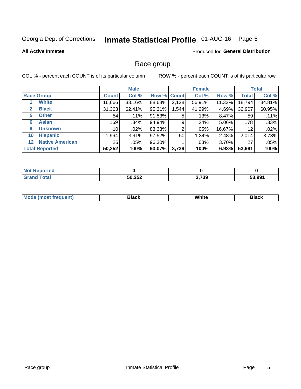# Inmate Statistical Profile 01-AUG-16 Page 5

#### **All Active Inmates**

### Produced for General Distribution

### Race group

COL % - percent each COUNT is of its particular column

|                                   |              | <b>Male</b> |             |       | <b>Female</b> |          |              | <b>Total</b> |  |
|-----------------------------------|--------------|-------------|-------------|-------|---------------|----------|--------------|--------------|--|
| <b>Race Group</b>                 | <b>Count</b> | Col %       | Row % Count |       | Col %         | Row %    | <b>Total</b> | Col %        |  |
| <b>White</b>                      | 16,666       | 33.16%      | 88.68%      | 2,128 | 56.91%        | 11.32%   | 18,794       | 34.81%       |  |
| <b>Black</b><br>2                 | 31,363       | 62.41%      | 95.31%      | .544  | 41.29%        | 4.69%    | 32,907       | 60.95%       |  |
| <b>Other</b><br>5.                | 54           | .11%        | 91.53%      | 5     | .13%          | 8.47%    | 59           | .11%         |  |
| <b>Asian</b><br>6                 | 169          | .34%        | 94.94%      | 9     | .24%          | 5.06%    | 178          | .33%         |  |
| <b>Unknown</b><br>9               | 10           | $.02\%$     | 83.33%      | 2     | .05%          | 16.67%   | 12           | .02%         |  |
| <b>Hispanic</b><br>10             | .964         | 3.91%       | 97.52%      | 50    | 1.34%         | 2.48%    | 2,014        | 3.73%        |  |
| <b>Native American</b><br>$12 \,$ | 26           | $.05\%$     | 96.30%      |       | $.03\%$       | $3.70\%$ | 27           | .05%         |  |
| <b>Total Reported</b>             | 50,252       | 100%        | 93.07%      | 3,739 | 100%          | 6.93%    | 53,991       | 100%         |  |

| orted<br>NO.     |        |       |        |
|------------------|--------|-------|--------|
| `otal<br>' Grano | 50,252 | 3,739 | 53.991 |

| m | <br>w<br>$\sim$ $\sim$ $\sim$ $\sim$ |  |
|---|--------------------------------------|--|
|   |                                      |  |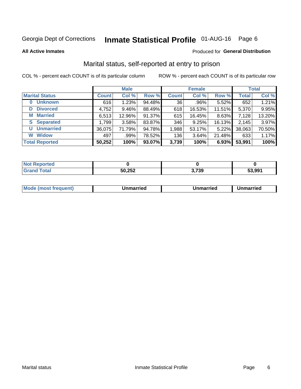# Inmate Statistical Profile 01-AUG-16 Page 6

**All Active Inmates** 

### Produced for General Distribution

### Marital status, self-reported at entry to prison

COL % - percent each COUNT is of its particular column

|                            | <b>Male</b>  |          |        |              | <b>Female</b> | <b>Total</b> |              |        |
|----------------------------|--------------|----------|--------|--------------|---------------|--------------|--------------|--------|
| <b>Marital Status</b>      | <b>Count</b> | Col %    | Row %  | <b>Count</b> | Col %         | Row %        | <b>Total</b> | Col %  |
| <b>Unknown</b><br>$\bf{0}$ | 616          | 1.23%    | 94.48% | 36           | .96%          | 5.52%        | 652          | 1.21%  |
| <b>Divorced</b><br>D       | 4,752        | $9.46\%$ | 88.49% | 618          | 16.53%        | 11.51%       | 5,370        | 9.95%  |
| <b>Married</b><br>М        | 6,513        | 12.96%   | 91.37% | 615          | 16.45%        | 8.63%        | 7,128        | 13.20% |
| <b>Separated</b><br>S.     | 1,799        | 3.58%    | 83.87% | 346          | 9.25%         | 16.13%       | 2,145        | 3.97%  |
| <b>Unmarried</b><br>U      | 36,075       | 71.79%   | 94.78% | 1,988        | 53.17%        | 5.22%        | 38,063       | 70.50% |
| <b>Widow</b><br>W          | 497          | .99%     | 78.52% | 136          | 3.64%         | 21.48%       | 633          | 1.17%  |
| <b>Total Reported</b>      | 50,252       | 100%     | 93.07% | 3,739        | 100%          | 6.93%        | 53,991       | 100%   |

| <b>rteo</b><br><b>NOT</b> |        |       |        |
|---------------------------|--------|-------|--------|
|                           | 50,252 | 3,739 | 53.991 |

|--|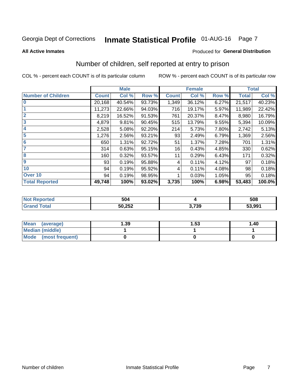# Inmate Statistical Profile 01-AUG-16 Page 7

### **All Active Inmates**

#### Produced for General Distribution

### Number of children, self reported at entry to prison

COL % - percent each COUNT is of its particular column

|                           |              | <b>Male</b> |        |              | <b>Female</b> |          |              | <b>Total</b> |
|---------------------------|--------------|-------------|--------|--------------|---------------|----------|--------------|--------------|
| <b>Number of Children</b> | <b>Count</b> | Col %       | Row %  | <b>Count</b> | Col %         | Row %    | <b>Total</b> | Col %        |
| $\bf{0}$                  | 20,168       | 40.54%      | 93.73% | 1,349        | 36.12%        | 6.27%    | 21,517       | 40.23%       |
|                           | 11,273       | 22.66%      | 94.03% | 716          | 19.17%        | 5.97%    | 11,989       | 22.42%       |
| $\overline{2}$            | 8,219        | 16.52%      | 91.53% | 761          | 20.37%        | 8.47%    | 8,980        | 16.79%       |
| $\mathbf{3}$              | 4,879        | 9.81%       | 90.45% | 515          | 13.79%        | $9.55\%$ | 5,394        | 10.09%       |
| 4                         | 2,528        | 5.08%       | 92.20% | 214          | 5.73%         | 7.80%    | 2,742        | 5.13%        |
| $\overline{5}$            | 1,276        | 2.56%       | 93.21% | 93           | 2.49%         | 6.79%    | 1,369        | 2.56%        |
| 6                         | 650          | 1.31%       | 92.72% | 51           | 1.37%         | 7.28%    | 701          | 1.31%        |
| 7                         | 314          | 0.63%       | 95.15% | 16           | 0.43%         | 4.85%    | 330          | 0.62%        |
| $\overline{\mathbf{8}}$   | 160          | 0.32%       | 93.57% | 11           | 0.29%         | 6.43%    | 171          | 0.32%        |
| 9                         | 93           | 0.19%       | 95.88% | 4            | 0.11%         | 4.12%    | 97           | 0.18%        |
| 10                        | 94           | 0.19%       | 95.92% | 4            | 0.11%         | 4.08%    | 98           | 0.18%        |
| Over 10                   | 94           | 0.19%       | 98.95% |              | 0.03%         | 1.05%    | 95           | 0.18%        |
| <b>Total Reported</b>     | 49,748       | 100%        | 93.02% | 3,735        | 100%          | 6.98%    | 53,483       | 100.0%       |

| N | 504              |       | 508    |
|---|------------------|-------|--------|
|   | よの つよつ<br>ວບ,∠ວ∠ | 3,739 | 53,991 |

| Mean<br>(average)       | 1.39 | 1.53 | 1.40 |
|-------------------------|------|------|------|
| <b>Median (middle)</b>  |      |      |      |
| Mode<br>(most frequent) |      |      |      |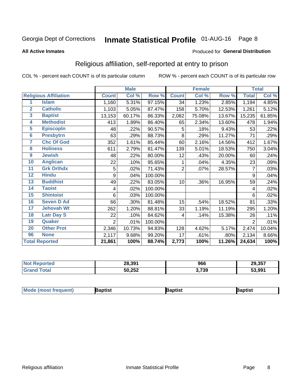# Inmate Statistical Profile 01-AUG-16 Page 8

#### **All Active Inmates**

#### Produced for General Distribution

### Religious affiliation, self-reported at entry to prison

COL % - percent each COUNT is of its particular column

|                         |                              |                | <b>Male</b> |         |                | <b>Female</b> |        |                | <b>Total</b> |
|-------------------------|------------------------------|----------------|-------------|---------|----------------|---------------|--------|----------------|--------------|
|                         | <b>Religious Affiliation</b> | <b>Count</b>   | Col %       | Row %   | <b>Count</b>   | Col %         | Row %  | <b>Total</b>   | Col %        |
| 1                       | <b>Islam</b>                 | 1,160          | 5.31%       | 97.15%  | 34             | 1.23%         | 2.85%  | 1,194          | 4.85%        |
| $\mathbf{2}$            | <b>Catholic</b>              | 1,103          | 5.05%       | 87.47%  | 158            | 5.70%         | 12.53% | 1,261          | 5.12%        |
| 3                       | <b>Baptist</b>               | 13,153         | 60.17%      | 86.33%  | 2,082          | 75.08%        | 13.67% | 15,235         | 61.85%       |
| $\overline{\mathbf{4}}$ | <b>Methodist</b>             | 413            | 1.89%       | 86.40%  | 65             | 2.34%         | 13.60% | 478            | 1.94%        |
| $\overline{5}$          | <b>EpiscopIn</b>             | 48             | .22%        | 90.57%  | 5              | .18%          | 9.43%  | 53             | .22%         |
| $6\overline{6}$         | <b>Presbytrn</b>             | 63             | .29%        | 88.73%  | 8              | .29%          | 11.27% | 71             | .29%         |
| 7                       | <b>Chc Of God</b>            | 352            | 1.61%       | 85.44%  | 60             | 2.16%         | 14.56% | 412            | 1.67%        |
| 8                       | <b>Holiness</b>              | 611            | 2.79%       | 81.47%  | 139            | 5.01%         | 18.53% | 750            | 3.04%        |
| $\boldsymbol{9}$        | <b>Jewish</b>                | 48             | .22%        | 80.00%  | 12             | .43%          | 20.00% | 60             | .24%         |
| 10                      | <b>Anglican</b>              | 22             | .10%        | 95.65%  |                | .04%          | 4.35%  | 23             | .09%         |
| 11                      | <b>Grk Orthdx</b>            | 5              | .02%        | 71.43%  | $\overline{2}$ | .07%          | 28.57% | 7              | .03%         |
| 12                      | <b>Hindu</b>                 | 9              | .04%        | 100.00% |                |               |        | 9              | .04%         |
| 13                      | <b>Buddhist</b>              | 49             | .22%        | 83.05%  | 10             | .36%          | 16.95% | 59             | .24%         |
| 14                      | <b>Taoist</b>                | 4              | .02%        | 100.00% |                |               |        | 4              | .02%         |
| 15                      | <b>Shintoist</b>             | 6              | .03%        | 100.00% |                |               |        | 6              | .02%         |
| 16                      | <b>Seven D Ad</b>            | 66             | .30%        | 81.48%  | 15             | .54%          | 18.52% | 81             | .33%         |
| 17                      | <b>Jehovah Wt</b>            | 262            | 1.20%       | 88.81%  | 33             | 1.19%         | 11.19% | 295            | 1.20%        |
| 18                      | <b>Latr Day S</b>            | 22             | .10%        | 84.62%  | 4              | .14%          | 15.38% | 26             | .11%         |
| 19                      | Quaker                       | $\overline{2}$ | .01%        | 100.00% |                |               |        | $\overline{2}$ | .01%         |
| 20                      | <b>Other Prot</b>            | 2,346          | 10.73%      | 94.83%  | 128            | 4.62%         | 5.17%  | 2,474          | 10.04%       |
| 96                      | <b>None</b>                  | 2,117          | 9.68%       | 99.20%  | 17             | .61%          | .80%   | 2,134          | 8.66%        |
|                         | <b>Total Reported</b>        | 21,861         | 100%        | 88.74%  | 2,773          | 100%          | 11.26% | 24,634         | 100%         |

| <b>orted</b><br>NO | 28,391 | 966   | 29,357 |
|--------------------|--------|-------|--------|
| <b>Total</b>       | 50,252 | 3,739 | 53,991 |

|  | $ $ Mod<br>de (most frequent) | aptist | <b>laptist</b> | 3aptist |
|--|-------------------------------|--------|----------------|---------|
|--|-------------------------------|--------|----------------|---------|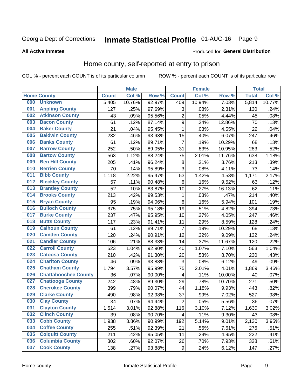# Inmate Statistical Profile 01-AUG-16 Page 9

#### **All Active Inmates**

#### Produced for General Distribution

### Home county, self-reported at entry to prison

COL % - percent each COUNT is of its particular column

|     |                             |              | <b>Male</b> |                  |                  | <b>Female</b> |        | <b>Total</b> |        |
|-----|-----------------------------|--------------|-------------|------------------|------------------|---------------|--------|--------------|--------|
|     | <b>Home County</b>          | <b>Count</b> | Col %       | Row <sup>%</sup> | <b>Count</b>     | Col %         | Row %  | <b>Total</b> | Col %  |
| 000 | <b>Unknown</b>              | 5,405        | 10.76%      | 92.97%           | 409              | 10.94%        | 7.03%  | 5,814        | 10.77% |
| 001 | <b>Appling County</b>       | 127          | .25%        | 97.69%           | 3                | .08%          | 2.31%  | 130          | .24%   |
| 002 | <b>Atkinson County</b>      | 43           | .09%        | 95.56%           | $\overline{c}$   | .05%          | 4.44%  | 45           | .08%   |
| 003 | <b>Bacon County</b>         | 61           | .12%        | 87.14%           | $\boldsymbol{9}$ | .24%          | 12.86% | 70           | .13%   |
| 004 | <b>Baker County</b>         | 21           | .04%        | 95.45%           | $\mathbf{1}$     | .03%          | 4.55%  | 22           | .04%   |
| 005 | <b>Baldwin County</b>       | 232          | .46%        | 93.93%           | 15               | .40%          | 6.07%  | 247          | .46%   |
| 006 | <b>Banks County</b>         | 61           | .12%        | 89.71%           | $\overline{7}$   | .19%          | 10.29% | 68           | .13%   |
| 007 | <b>Barrow County</b>        | 252          | .50%        | 89.05%           | 31               | .83%          | 10.95% | 283          | .52%   |
| 008 | <b>Bartow County</b>        | 563          | 1.12%       | 88.24%           | 75               | 2.01%         | 11.76% | 638          | 1.18%  |
| 009 | <b>Ben Hill County</b>      | 205          | .41%        | 96.24%           | 8                | .21%          | 3.76%  | 213          | .39%   |
| 010 | <b>Berrien County</b>       | 70           | .14%        | 95.89%           | $\mathbf{3}$     | .08%          | 4.11%  | 73           | .14%   |
| 011 | <b>Bibb County</b>          | 1,118        | 2.22%       | 95.47%           | 53               | 1.42%         | 4.53%  | 1,171        | 2.17%  |
| 012 | <b>Bleckley County</b>      | 57           | .11%        | 90.48%           | $\,6$            | .16%          | 9.52%  | 63           | .12%   |
| 013 | <b>Brantley County</b>      | 52           | .10%        | 83.87%           | 10               | .27%          | 16.13% | 62           | .11%   |
| 014 | <b>Brooks County</b>        | 213          | .42%        | 99.53%           | $\mathbf{1}$     | .03%          | .47%   | 214          | .40%   |
| 015 | <b>Bryan County</b>         | 95           | .19%        | 94.06%           | $\,6$            | .16%          | 5.94%  | 101          | .19%   |
| 016 | <b>Bulloch County</b>       | 375          | .75%        | 95.18%           | 19               | .51%          | 4.82%  | 394          | .73%   |
| 017 | <b>Burke County</b>         | 237          | .47%        | 95.95%           | 10               | .27%          | 4.05%  | 247          | .46%   |
| 018 | <b>Butts County</b>         | 117          | .23%        | 91.41%           | 11               | .29%          | 8.59%  | 128          | .24%   |
| 019 | <b>Calhoun County</b>       | 61           | .12%        | 89.71%           | 7                | .19%          | 10.29% | 68           | .13%   |
| 020 | <b>Camden County</b>        | 120          | .24%        | 90.91%           | 12               | .32%          | 9.09%  | 132          | .24%   |
| 021 | <b>Candler County</b>       | 106          | .21%        | 88.33%           | 14               | .37%          | 11.67% | 120          | .22%   |
| 022 | <b>Carroll County</b>       | 523          | 1.04%       | 92.90%           | 40               | 1.07%         | 7.10%  | 563          | 1.04%  |
| 023 | <b>Catoosa County</b>       | 210          | .42%        | 91.30%           | 20               | .53%          | 8.70%  | 230          | .43%   |
| 024 | <b>Charlton County</b>      | 46           | .09%        | 93.88%           | 3                | .08%          | 6.12%  | 49           | .09%   |
| 025 | <b>Chatham County</b>       | 1,794        | 3.57%       | 95.99%           | 75               | 2.01%         | 4.01%  | 1,869        | 3.46%  |
| 026 | <b>Chattahoochee County</b> | 36           | .07%        | 90.00%           | 4                | .11%          | 10.00% | 40           | .07%   |
| 027 | <b>Chattooga County</b>     | 242          | .48%        | 89.30%           | 29               | .78%          | 10.70% | 271          | .50%   |
| 028 | <b>Cherokee County</b>      | 399          | .79%        | 90.07%           | 44               | 1.18%         | 9.93%  | 443          | .82%   |
| 029 | <b>Clarke County</b>        | 490          | .98%        | 92.98%           | 37               | .99%          | 7.02%  | 527          | .98%   |
| 030 | <b>Clay County</b>          | 34           | .07%        | 94.44%           | $\overline{2}$   | .05%          | 5.56%  | 36           | .07%   |
| 031 | <b>Clayton County</b>       | 1,514        | 3.01%       | 92.88%           | 116              | 3.10%         | 7.12%  | 1,630        | 3.02%  |
| 032 | <b>Clinch County</b>        | 39           | .08%        | 90.70%           | 4                | .11%          | 9.30%  | 43           | .08%   |
| 033 | <b>Cobb County</b>          | 1,938        | 3.86%       | 90.99%           | 192              | 5.14%         | 9.01%  | 2,130        | 3.95%  |
| 034 | <b>Coffee County</b>        | 255          | .51%        | 92.39%           | 21               | .56%          | 7.61%  | 276          | .51%   |
| 035 | <b>Colquitt County</b>      | 211          | .42%        | 95.05%           | 11               | .29%          | 4.95%  | 222          | .41%   |
| 036 | <b>Columbia County</b>      | 302          | .60%        | 92.07%           | 26               | .70%          | 7.93%  | 328          | .61%   |
| 037 | <b>Cook County</b>          | 138          | .27%        | 93.88%           | $\boldsymbol{9}$ | .24%          | 6.12%  | 147          | .27%   |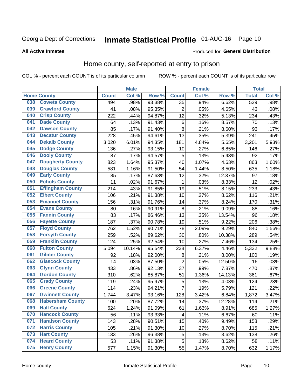# Inmate Statistical Profile 01-AUG-16 Page 10

### **All Active Inmates**

#### Produced for General Distribution

### Home county, self-reported at entry to prison

COL % - percent each COUNT is of its particular column

|     |                         |              | <b>Male</b> |        |                 | <b>Female</b> |        | <b>Total</b> |       |
|-----|-------------------------|--------------|-------------|--------|-----------------|---------------|--------|--------------|-------|
|     | <b>Home County</b>      | <b>Count</b> | Col %       | Row %  | <b>Count</b>    | Col %         | Row %  | <b>Total</b> | Col % |
| 038 | <b>Coweta County</b>    | 494          | .98%        | 93.38% | $\overline{35}$ | .94%          | 6.62%  | 529          | .98%  |
| 039 | <b>Crawford County</b>  | 41           | .08%        | 95.35% | $\overline{2}$  | .05%          | 4.65%  | 43           | .08%  |
| 040 | <b>Crisp County</b>     | 222          | .44%        | 94.87% | 12              | .32%          | 5.13%  | 234          | .43%  |
| 041 | <b>Dade County</b>      | 64           | .13%        | 91.43% | $\,6$           | .16%          | 8.57%  | 70           | .13%  |
| 042 | <b>Dawson County</b>    | 85           | .17%        | 91.40% | 8               | .21%          | 8.60%  | 93           | .17%  |
| 043 | <b>Decatur County</b>   | 228          | .45%        | 94.61% | 13              | .35%          | 5.39%  | 241          | .45%  |
| 044 | <b>Dekalb County</b>    | 3,020        | 6.01%       | 94.35% | 181             | 4.84%         | 5.65%  | 3,201        | 5.93% |
| 045 | <b>Dodge County</b>     | 136          | .27%        | 93.15% | 10              | .27%          | 6.85%  | 146          | .27%  |
| 046 | <b>Dooly County</b>     | 87           | .17%        | 94.57% | 5               | .13%          | 5.43%  | 92           | .17%  |
| 047 | <b>Dougherty County</b> | 823          | 1.64%       | 95.37% | 40              | 1.07%         | 4.63%  | 863          | 1.60% |
| 048 | <b>Douglas County</b>   | 581          | 1.16%       | 91.50% | 54              | 1.44%         | 8.50%  | 635          | 1.18% |
| 049 | <b>Early County</b>     | 85           | .17%        | 87.63% | 12              | .32%          | 12.37% | 97           | .18%  |
| 050 | <b>Echols County</b>    | 11           | .02%        | 91.67% | 1               | .03%          | 8.33%  | 12           | .02%  |
| 051 | <b>Effingham County</b> | 214          | .43%        | 91.85% | 19              | .51%          | 8.15%  | 233          | .43%  |
| 052 | <b>Elbert County</b>    | 106          | .21%        | 91.38% | 10              | .27%          | 8.62%  | 116          | .21%  |
| 053 | <b>Emanuel County</b>   | 156          | .31%        | 91.76% | 14              | .37%          | 8.24%  | 170          | .31%  |
| 054 | <b>Evans County</b>     | 80           | .16%        | 90.91% | 8               | .21%          | 9.09%  | 88           | .16%  |
| 055 | <b>Fannin County</b>    | 83           | .17%        | 86.46% | 13              | .35%          | 13.54% | 96           | .18%  |
| 056 | <b>Fayette County</b>   | 187          | .37%        | 90.78% | 19              | .51%          | 9.22%  | 206          | .38%  |
| 057 | <b>Floyd County</b>     | 762          | 1.52%       | 90.71% | 78              | 2.09%         | 9.29%  | 840          | 1.56% |
| 058 | <b>Forsyth County</b>   | 259          | .52%        | 89.62% | 30              | .80%          | 10.38% | 289          | .54%  |
| 059 | <b>Franklin County</b>  | 124          | .25%        | 92.54% | 10              | .27%          | 7.46%  | 134          | .25%  |
| 060 | <b>Fulton County</b>    | 5,094        | 10.14%      | 95.54% | 238             | 6.37%         | 4.46%  | 5,332        | 9.88% |
| 061 | <b>Gilmer County</b>    | 92           | .18%        | 92.00% | 8               | .21%          | 8.00%  | 100          | .19%  |
| 062 | <b>Glascock County</b>  | 14           | .03%        | 87.50% | $\overline{2}$  | .05%          | 12.50% | 16           | .03%  |
| 063 | <b>Glynn County</b>     | 433          | .86%        | 92.13% | 37              | .99%          | 7.87%  | 470          | .87%  |
| 064 | <b>Gordon County</b>    | 310          | .62%        | 85.87% | 51              | 1.36%         | 14.13% | 361          | .67%  |
| 065 | <b>Grady County</b>     | 119          | .24%        | 95.97% | 5               | .13%          | 4.03%  | 124          | .23%  |
| 066 | <b>Greene County</b>    | 114          | .23%        | 94.21% | $\overline{7}$  | .19%          | 5.79%  | 121          | .22%  |
| 067 | <b>Gwinnett County</b>  | 1,744        | 3.47%       | 93.16% | 128             | 3.42%         | 6.84%  | 1,872        | 3.47% |
| 068 | <b>Habersham County</b> | 100          | .20%        | 87.72% | 14              | .37%          | 12.28% | 114          | .21%  |
| 069 | <b>Hall County</b>      | 624          | 1.24%       | 91.09% | 61              | 1.63%         | 8.91%  | 685          | 1.27% |
| 070 | <b>Hancock County</b>   | 56           | .11%        | 93.33% | 4               | .11%          | 6.67%  | 60           | .11%  |
| 071 | <b>Haralson County</b>  | 143          | .28%        | 90.51% | 15              | .40%          | 9.49%  | 158          | .29%  |
| 072 | <b>Harris County</b>    | 105          | .21%        | 91.30% | 10              | .27%          | 8.70%  | 115          | .21%  |
| 073 | <b>Hart County</b>      | 133          | .26%        | 96.38% | 5               | .13%          | 3.62%  | 138          | .26%  |
| 074 | <b>Heard County</b>     | 53           | .11%        | 91.38% | 5               | .13%          | 8.62%  | 58           | .11%  |
| 075 | <b>Henry County</b>     | 577          | 1.15%       | 91.30% | 55              | 1.47%         | 8.70%  | 632          | 1.17% |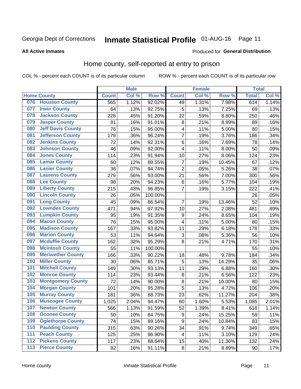# Inmate Statistical Profile 01-AUG-16 Page 11

**All Active Inmates** 

### **Produced for General Distribution**

### Home county, self-reported at entry to prison

COL % - percent each COUNT is of its particular column

|                  |                          |              | <b>Male</b> |                  |                         | <b>Female</b> |        | <b>Total</b> |       |
|------------------|--------------------------|--------------|-------------|------------------|-------------------------|---------------|--------|--------------|-------|
|                  | <b>Home County</b>       | <b>Count</b> | Col %       | Row <sup>%</sup> | <b>Count</b>            | Col %         | Row %  | <b>Total</b> | Col % |
| 076              | <b>Houston County</b>    | 565          | 1.12%       | 92.02%           | 49                      | 1.31%         | 7.98%  | 614          | 1.14% |
| 077              | <b>Irwin County</b>      | 64           | .13%        | 92.75%           | 5                       | .13%          | 7.25%  | 69           | .13%  |
| 078              | <b>Jackson County</b>    | 228          | .45%        | 91.20%           | 22                      | .59%          | 8.80%  | 250          | .46%  |
| 079              | <b>Jasper County</b>     | 81           | .16%        | 91.01%           | 8                       | .21%          | 8.99%  | 89           | .16%  |
| 080              | <b>Jeff Davis County</b> | 76           | .15%        | 95.00%           | $\overline{\mathbf{4}}$ | .11%          | 5.00%  | 80           | .15%  |
| 081              | <b>Jefferson County</b>  | 179          | .36%        | 96.24%           | 7                       | .19%          | 3.76%  | 186          | .34%  |
| 082              | <b>Jenkins County</b>    | 72           | .14%        | 92.31%           | 6                       | .16%          | 7.69%  | 78           | .14%  |
| 083              | <b>Johnson County</b>    | 46           | .09%        | 92.00%           | $\overline{\mathbf{4}}$ | .11%          | 8.00%  | 50           | .09%  |
| 084              | <b>Jones County</b>      | 114          | .23%        | 91.94%           | 10                      | .27%          | 8.06%  | 124          | .23%  |
| 085              | <b>Lamar County</b>      | 60           | .12%        | 89.55%           | $\overline{7}$          | .19%          | 10.45% | 67           | .12%  |
| 086              | <b>Lanier County</b>     | 36           | .07%        | 94.74%           | $\overline{2}$          | .05%          | 5.26%  | 38           | .07%  |
| 087              | <b>Laurens County</b>    | 279          | .56%        | 93.00%           | 21                      | .56%          | 7.00%  | 300          | .56%  |
| 088              | <b>Lee County</b>        | 98           | .20%        | 94.23%           | 6                       | .16%          | 5.77%  | 104          | .19%  |
| 089              | <b>Liberty County</b>    | 215          | .43%        | 96.85%           | $\overline{7}$          | .19%          | 3.15%  | 222          | .41%  |
| 090              | <b>Lincoln County</b>    | 26           | .05%        | 100.00%          |                         |               |        | 26           | .05%  |
| 091              | <b>Long County</b>       | 45           | .09%        | 86.54%           | $\overline{7}$          | .19%          | 13.46% | 52           | .10%  |
| 092              | <b>Lowndes County</b>    | 471          | .94%        | 97.92%           | 10                      | .27%          | 2.08%  | 481          | .89%  |
| 093              | <b>Lumpkin County</b>    | 95           | .19%        | 91.35%           | $\boldsymbol{9}$        | .24%          | 8.65%  | 104          | .19%  |
| 094              | <b>Macon County</b>      | 76           | .15%        | 95.00%           | 4                       | .11%          | 5.00%  | 80           | .15%  |
| 095              | <b>Madison County</b>    | 167          | .33%        | 93.82%           | 11                      | .29%          | 6.18%  | 178          | .33%  |
| 096              | <b>Marion County</b>     | 53           | .11%        | 94.64%           | 3                       | .08%          | 5.36%  | 56           | .10%  |
| 097              | <b>Mcduffie County</b>   | 162          | .32%        | 95.29%           | 8                       | .21%          | 4.71%  | 170          | .31%  |
| 098              | <b>Mcintosh County</b>   | 55           | .11%        | 100.00%          |                         |               |        | 55           | .10%  |
| 099              | <b>Meriwether County</b> | 166          | .33%        | 90.22%           | 18                      | .48%          | 9.78%  | 184          | .34%  |
| 100              | <b>Miller County</b>     | 30           | .06%        | 85.71%           | 5                       | .13%          | 14.29% | 35           | .06%  |
| 101              | <b>Mitchell County</b>   | 149          | .30%        | 93.13%           | 11                      | .29%          | 6.88%  | 160          | .30%  |
| 102              | <b>Monroe County</b>     | 114          | .23%        | 93.44%           | $\bf 8$                 | .21%          | 6.56%  | 122          | .23%  |
| 103              | <b>Montgomery County</b> | 72           | .14%        | 90.00%           | 8                       | .21%          | 10.00% | 80           | .15%  |
| 104              | <b>Morgan County</b>     | 101          | .20%        | 95.28%           | 5                       | .13%          | 4.72%  | 106          | .20%  |
| 105              | <b>Murray County</b>     | 181          | .36%        | 88.73%           | 23                      | .62%          | 11.27% | 204          | .38%  |
| 106              | <b>Muscogee County</b>   | 1,025        | 2.04%       | 94.47%           | 60                      | 1.60%         | 5.53%  | 1,085        | 2.01% |
| 107              | <b>Newton County</b>     | 566          | 1.13%       | 91.59%           | 52                      | 1.39%         | 8.41%  | 618          | 1.14% |
| 108              | <b>Oconee County</b>     | 50           | .10%        | 84.75%           | 9                       | .24%          | 15.25% | 59           | .11%  |
| 109              | <b>Oglethorpe County</b> | 74           | .15%        | 89.16%           | $\boldsymbol{9}$        | .24%          | 10.84% | 83           | .15%  |
| 110              | <b>Paulding County</b>   | 315          | .63%        | 90.26%           | 34                      | .91%          | 9.74%  | 349          | .65%  |
| 111              | <b>Peach County</b>      | 125          | .25%        | 96.90%           | 4                       | .11%          | 3.10%  | 129          | .24%  |
| $\overline{112}$ | <b>Pickens County</b>    | 117          | .23%        | 88.64%           | 15                      | .40%          | 11.36% | 132          | .24%  |
| 113              | <b>Pierce County</b>     | 82           | .16%        | 91.11%           | $\bf 8$                 | .21%          | 8.89%  | 90           | .17%  |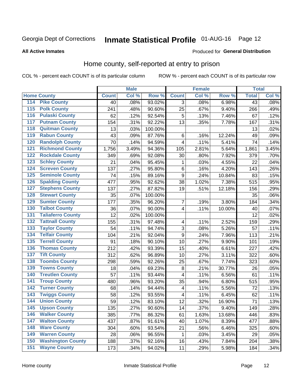# Inmate Statistical Profile 01-AUG-16 Page 12

### **All Active Inmates**

#### Produced for General Distribution

### Home county, self-reported at entry to prison

COL % - percent each COUNT is of its particular column

|     |                          |              | <b>Male</b> |                  |                         | <b>Female</b> |        | <b>Total</b> |       |
|-----|--------------------------|--------------|-------------|------------------|-------------------------|---------------|--------|--------------|-------|
|     | <b>Home County</b>       | <b>Count</b> | Col %       | Row <sup>%</sup> | <b>Count</b>            | Col %         | Row %  | <b>Total</b> | Col % |
| 114 | <b>Pike County</b>       | 40           | .08%        | 93.02%           | 3                       | .08%          | 6.98%  | 43           | .08%  |
| 115 | <b>Polk County</b>       | 241          | .48%        | 90.60%           | 25                      | .67%          | 9.40%  | 266          | .49%  |
| 116 | <b>Pulaski County</b>    | 62           | .12%        | 92.54%           | 5                       | .13%          | 7.46%  | 67           | .12%  |
| 117 | <b>Putnam County</b>     | 154          | .31%        | 92.22%           | 13                      | .35%          | 7.78%  | 167          | .31%  |
| 118 | <b>Quitman County</b>    | 13           | .03%        | 100.00%          |                         |               |        | 13           | .02%  |
| 119 | <b>Rabun County</b>      | 43           | .09%        | 87.76%           | $\,6$                   | .16%          | 12.24% | 49           | .09%  |
| 120 | <b>Randolph County</b>   | 70           | .14%        | 94.59%           | 4                       | .11%          | 5.41%  | 74           | .14%  |
| 121 | <b>Richmond County</b>   | 1,756        | 3.49%       | 94.36%           | 105                     | 2.81%         | 5.64%  | 1,861        | 3.45% |
| 122 | <b>Rockdale County</b>   | 349          | .69%        | 92.08%           | 30                      | .80%          | 7.92%  | 379          | .70%  |
| 123 | <b>Schley County</b>     | 21           | .04%        | 95.45%           | 1                       | .03%          | 4.55%  | 22           | .04%  |
| 124 | <b>Screven County</b>    | 137          | .27%        | 95.80%           | $\,6$                   | .16%          | 4.20%  | 143          | .26%  |
| 125 | <b>Seminole County</b>   | 74           | .15%        | 89.16%           | 9                       | .24%          | 10.84% | 83           | .15%  |
| 126 | <b>Spalding County</b>   | 477          | .95%        | 92.62%           | 38                      | 1.02%         | 7.38%  | 515          | .95%  |
| 127 | <b>Stephens County</b>   | 137          | .27%        | 87.82%           | 19                      | .51%          | 12.18% | 156          | .29%  |
| 128 | <b>Stewart County</b>    | 35           | .07%        | 100.00%          |                         |               |        | 35           | .06%  |
| 129 | <b>Sumter County</b>     | 177          | .35%        | 96.20%           | 7                       | .19%          | 3.80%  | 184          | .34%  |
| 130 | <b>Talbot County</b>     | 36           | .07%        | 90.00%           | 4                       | .11%          | 10.00% | 40           | .07%  |
| 131 | <b>Taliaferro County</b> | 12           | .02%        | 100.00%          |                         |               |        | 12           | .02%  |
| 132 | <b>Tattnall County</b>   | 155          | .31%        | 97.48%           | $\overline{\mathbf{4}}$ | .11%          | 2.52%  | 159          | .29%  |
| 133 | <b>Taylor County</b>     | 54           | .11%        | 94.74%           | 3                       | .08%          | 5.26%  | 57           | .11%  |
| 134 | <b>Telfair County</b>    | 104          | .21%        | 92.04%           | 9                       | .24%          | 7.96%  | 113          | .21%  |
| 135 | <b>Terrell County</b>    | 91           | .18%        | 90.10%           | 10                      | .27%          | 9.90%  | 101          | .19%  |
| 136 | <b>Thomas County</b>     | 212          | .42%        | 93.39%           | 15                      | .40%          | 6.61%  | 227          | .42%  |
| 137 | <b>Tift County</b>       | 312          | .62%        | 96.89%           | 10                      | .27%          | 3.11%  | 322          | .60%  |
| 138 | <b>Toombs County</b>     | 298          | .59%        | 92.26%           | 25                      | .67%          | 7.74%  | 323          | .60%  |
| 139 | <b>Towns County</b>      | 18           | .04%        | 69.23%           | $\bf 8$                 | .21%          | 30.77% | 26           | .05%  |
| 140 | <b>Treutlen County</b>   | 57           | .11%        | 93.44%           | 4                       | .11%          | 6.56%  | 61           | .11%  |
| 141 | <b>Troup County</b>      | 480          | .96%        | 93.20%           | 35                      | .94%          | 6.80%  | 515          | .95%  |
| 142 | <b>Turner County</b>     | 68           | .14%        | 94.44%           | 4                       | .11%          | 5.56%  | 72           | .13%  |
| 143 | <b>Twiggs County</b>     | 58           | .12%        | 93.55%           | 4                       | .11%          | 6.45%  | 62           | .11%  |
| 144 | <b>Union County</b>      | 59           | .12%        | 83.10%           | 12                      | .32%          | 16.90% | 71           | .13%  |
| 145 | <b>Upson County</b>      | 135          | .27%        | 90.60%           | 14                      | .37%          | 9.40%  | 149          | .28%  |
| 146 | <b>Walker County</b>     | 385          | .77%        | 86.32%           | 61                      | 1.63%         | 13.68% | 446          | .83%  |
| 147 | <b>Walton County</b>     | 437          | .87%        | 91.61%           | 40                      | 1.07%         | 8.39%  | 477          | .88%  |
| 148 | <b>Ware County</b>       | 304          | .60%        | 93.54%           | 21                      | .56%          | 6.46%  | 325          | .60%  |
| 149 | <b>Warren County</b>     | 28           | .06%        | 96.55%           | 1                       | .03%          | 3.45%  | 29           | .05%  |
| 150 | <b>Washington County</b> | 188          | .37%        | 92.16%           | 16                      | .43%          | 7.84%  | 204          | .38%  |
| 151 | <b>Wayne County</b>      | 173          | .34%        | 94.02%           | 11                      | .29%          | 5.98%  | 184          | .34%  |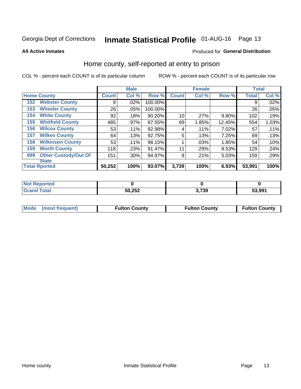# Inmate Statistical Profile 01-AUG-16 Page 13

**All Active Inmates** 

### Produced for General Distribution

### Home county, self-reported at entry to prison

COL % - percent each COUNT is of its particular column

|     |                             |              | <b>Male</b> |         |              | <b>Female</b> |        | <b>Total</b> |       |
|-----|-----------------------------|--------------|-------------|---------|--------------|---------------|--------|--------------|-------|
|     | <b>Home County</b>          | <b>Count</b> | Col %       | Row %   | <b>Count</b> | Col %         | Row %  | <b>Total</b> | Col % |
| 152 | <b>Webster County</b>       | 9            | .02%        | 100.00% |              |               |        | 9            | .02%  |
| 153 | <b>Wheeler County</b>       | 26           | .05%        | 100.00% |              |               |        | 26           | .05%  |
| 154 | <b>White County</b>         | 92           | .18%        | 90.20%  | 10           | .27%          | 9.80%  | 102          | .19%  |
| 155 | <b>Whitfield County</b>     | 485          | .97%        | 87.55%  | 69           | 1.85%         | 12.45% | 554          | 1.03% |
| 156 | <b>Wilcox County</b>        | 53           | .11%        | 92.98%  | 4            | .11%          | 7.02%  | 57           | .11%  |
| 157 | <b>Wilkes County</b>        | 64           | .13%        | 92.75%  | 5            | .13%          | 7.25%  | 69           | .13%  |
| 158 | <b>Wilkinson County</b>     | 53           | .11%        | 98.15%  |              | .03%          | 1.85%  | 54           | .10%  |
| 159 | <b>Worth County</b>         | 118          | .23%        | 91.47%  | 11           | .29%          | 8.53%  | 129          | .24%  |
| 999 | <b>Other Custody/Out Of</b> | 151          | .30%        | 94.97%  | 8            | .21%          | 5.03%  | 159          | .29%  |
|     | <b>State</b>                |              |             |         |              |               |        |              |       |
|     | <b>Total Rported</b>        | 50,252       | 100%        | 93.07%  | 3,739        | 100%          | 6.93%  | 53,991       | 100%  |

| τeα |        |              |        |
|-----|--------|--------------|--------|
|     | 50,252 | הכידי<br>ت ر | 53.991 |

|  | Mode (most frequent) | <b>Fulton County</b> | <b>Fulton County</b> | <b>Fulton County</b> |
|--|----------------------|----------------------|----------------------|----------------------|
|--|----------------------|----------------------|----------------------|----------------------|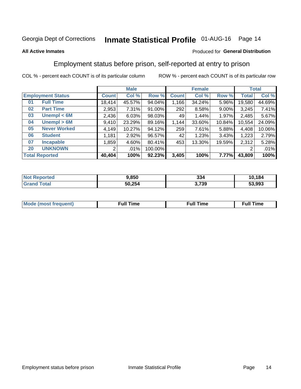# Inmate Statistical Profile 01-AUG-16 Page 14

### **All Active Inmates**

### Produced for General Distribution

### Employment status before prison, self-reported at entry to prison

COL % - percent each COUNT is of its particular column

|                             | <b>Male</b>  |          |         |              | <b>Female</b> |          |        | <b>Total</b> |  |
|-----------------------------|--------------|----------|---------|--------------|---------------|----------|--------|--------------|--|
| <b>Employment Status</b>    | <b>Count</b> | Col %    | Row %   | <b>Count</b> | Col %         | Row %    | Total  | Col %        |  |
| <b>Full Time</b><br>01      | 18,414       | 45.57%   | 94.04%  | 1,166        | 34.24%        | 5.96%    | 19,580 | 44.69%       |  |
| <b>Part Time</b><br>02      | 2,953        | 7.31%    | 91.00%  | 292          | 8.58%         | $9.00\%$ | 3,245  | 7.41%        |  |
| Unempl $<$ 6M<br>03         | 2,436        | 6.03%    | 98.03%  | 49           | 1.44%         | 1.97%    | 2,485  | 5.67%        |  |
| Unempl > 6M<br>04           | 9,410        | 23.29%   | 89.16%  | 1,144        | 33.60%        | 10.84%   | 10,554 | 24.09%       |  |
| <b>Never Worked</b><br>05   | 4,149        | 10.27%   | 94.12%  | 259          | 7.61%         | 5.88%    | 4,408  | 10.06%       |  |
| <b>Student</b><br>06        | 1,181        | $2.92\%$ | 96.57%  | 42           | 1.23%         | 3.43%    | 1,223  | 2.79%        |  |
| <b>Incapable</b><br>07      | 1,859        | 4.60%    | 80.41%  | 453          | 13.30%        | 19.59%   | 2,312  | 5.28%        |  |
| <b>UNKNOWN</b><br><b>20</b> | 2            | $.01\%$  | 100.00% |              |               |          | 2      | .01%         |  |
| <b>Total Reported</b>       | 40,404       | 100%     | 92.23%  | 3,405        | 100%          | 7.77%    | 43,809 | 100%         |  |

| <b>Not Reported</b> | 9.850  | 334   | 10,184 |
|---------------------|--------|-------|--------|
| <b>Grand Total</b>  | 50,254 | 3,739 | 53,993 |

| <b>Mode (most frequent)</b> | Full Time | <b>Full Time</b> | Time |
|-----------------------------|-----------|------------------|------|
|                             |           |                  |      |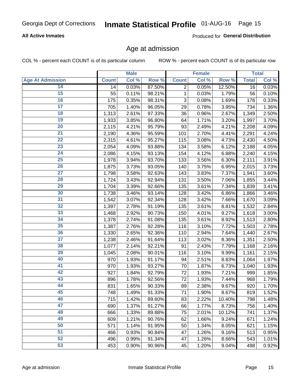# Inmate Statistical Profile 01-AUG-16 Page 15

### **All Active Inmates**

Produced for General Distribution

### Age at admission

COL % - percent each COUNT is of its particular column

|                         |              | <b>Male</b> |        |              | <b>Female</b> |        |              | <b>Total</b> |
|-------------------------|--------------|-------------|--------|--------------|---------------|--------|--------------|--------------|
| <b>Age At Admission</b> | <b>Count</b> | Col %       | Row %  | <b>Count</b> | Col %         | Row %  | <b>Total</b> | Col %        |
| 14                      | 14           | 0.03%       | 87.50% | 2            | 0.05%         | 12.50% | 16           | 0.03%        |
| 15                      | 55           | 0.11%       | 98.21% | $\mathbf{1}$ | 0.03%         | 1.79%  | 56           | 0.10%        |
| 16                      | 175          | 0.35%       | 98.31% | 3            | 0.08%         | 1.69%  | 178          | 0.33%        |
| $\overline{17}$         | 705          | 1.40%       | 96.05% | 29           | 0.78%         | 3.95%  | 734          | 1.36%        |
| $\overline{18}$         | 1,313        | 2.61%       | 97.33% | 36           | 0.96%         | 2.67%  | 1,349        | 2.50%        |
| 19                      | 1,933        | 3.85%       | 96.80% | 64           | 1.71%         | 3.20%  | 1,997        | 3.70%        |
| $\overline{20}$         | 2,115        | 4.21%       | 95.79% | 93           | 2.49%         | 4.21%  | 2,208        | 4.09%        |
| $\overline{21}$         | 2,190        | 4.36%       | 95.59% | 101          | 2.70%         | 4.41%  | 2,291        | 4.24%        |
| $\overline{22}$         | 2,315        | 4.61%       | 95.27% | 115          | 3.08%         | 4.73%  | 2,430        | 4.50%        |
| 23                      | 2,054        | 4.09%       | 93.88% | 134          | 3.58%         | 6.12%  | 2,188        | 4.05%        |
| $\overline{24}$         | 2,086        | 4.15%       | 93.13% | 154          | 4.12%         | 6.88%  | 2,240        | 4.15%        |
| 25                      | 1,978        | 3.94%       | 93.70% | 133          | 3.56%         | 6.30%  | 2,111        | 3.91%        |
| $\overline{26}$         | 1,875        | 3.73%       | 93.05% | 140          | 3.75%         | 6.95%  | 2,015        | 3.73%        |
| $\overline{27}$         | 1,798        | 3.58%       | 92.63% | 143          | 3.83%         | 7.37%  | 1,941        | 3.60%        |
| 28                      | 1,724        | 3.43%       | 92.94% | 131          | 3.50%         | 7.06%  | 1,855        | 3.44%        |
| 29                      | 1,704        | 3.39%       | 92.66% | 135          | 3.61%         | 7.34%  | 1,839        | 3.41%        |
| 30                      | 1,738        | 3.46%       | 93.14% | 128          | 3.42%         | 6.86%  | 1,866        | 3.46%        |
| $\overline{31}$         | 1,542        | 3.07%       | 92.34% | 128          | 3.42%         | 7.66%  | 1,670        | 3.09%        |
| 32                      | 1,397        | 2.78%       | 91.19% | 135          | 3.61%         | 8.81%  | 1,532        | 2.84%        |
| 33                      | 1,468        | 2.92%       | 90.73% | 150          | 4.01%         | 9.27%  | 1,618        | 3.00%        |
| 34                      | 1,378        | 2.74%       | 91.08% | 135          | 3.61%         | 8.92%  | 1,513        | 2.80%        |
| 35                      | 1,387        | 2.76%       | 92.28% | 116          | 3.10%         | 7.72%  | 1,503        | 2.78%        |
| 36                      | 1,330        | 2.65%       | 92.36% | 110          | 2.94%         | 7.64%  | 1,440        | 2.67%        |
| $\overline{37}$         | 1,238        | 2.46%       | 91.64% | 113          | 3.02%         | 8.36%  | 1,351        | 2.50%        |
| 38                      | 1,077        | 2.14%       | 92.21% | 91           | 2.43%         | 7.79%  | 1,168        | 2.16%        |
| 39                      | 1,045        | 2.08%       | 90.01% | 116          | 3.10%         | 9.99%  | 1,161        | 2.15%        |
| 40                      | 970          | 1.93%       | 91.17% | 94           | 2.51%         | 8.83%  | 1,064        | 1.97%        |
| 41                      | 970          | 1.93%       | 93.27% | 70           | 1.87%         | 6.73%  | 1,040        | 1.93%        |
| 42                      | 927          | 1.84%       | 92.79% | 72           | 1.93%         | 7.21%  | 999          | 1.85%        |
| 43                      | 896          | 1.78%       | 92.56% | 72           | 1.93%         | 7.44%  | 968          | 1.79%        |
| 44                      | 831          | 1.65%       | 90.33% | 89           | 2.38%         | 9.67%  | 920          | 1.70%        |
| 45                      | 748          | 1.49%       | 91.33% | 71           | 1.90%         | 8.67%  | 819          | 1.52%        |
| 46                      | 715          | 1.42%       | 89.60% | 83           | 2.22%         | 10.40% | 798          | 1.48%        |
| 47                      | 690          | 1.37%       | 91.27% | 66           | 1.77%         | 8.73%  | 756          | 1.40%        |
| 48                      | 666          | 1.33%       | 89.88% | 75           | 2.01%         | 10.12% | 741          | 1.37%        |
| 49                      | 609          | 1.21%       | 90.76% | 62           | 1.66%         | 9.24%  | 671          | 1.24%        |
| 50                      | 571          | 1.14%       | 91.95% | 50           | 1.34%         | 8.05%  | 621          | 1.15%        |
| 51                      | 466          | 0.93%       | 90.84% | 47           | 1.26%         | 9.16%  | 513          | 0.95%        |
| 52                      | 496          | 0.99%       | 91.34% | 47           | 1.26%         | 8.66%  | 543          | 1.01%        |
| 53                      | 453          | 0.90%       | 90.96% | 45           | 1.20%         | 9.04%  | 498          | 0.92%        |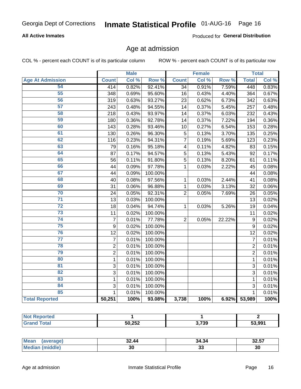# Inmate Statistical Profile 01-AUG-16 Page 16

### **All Active Inmates**

Produced for General Distribution

### Age at admission

COL % - percent each COUNT is of its particular column

|                         |                | <b>Male</b> |         |                         | <b>Female</b> |                  |                | <b>Total</b> |
|-------------------------|----------------|-------------|---------|-------------------------|---------------|------------------|----------------|--------------|
| <b>Age At Admission</b> | <b>Count</b>   | Col %       | Row %   | <b>Count</b>            | Col %         | Row <sup>%</sup> | <b>Total</b>   | Col %        |
| 54                      | 414            | 0.82%       | 92.41%  | $\overline{34}$         | 0.91%         | 7.59%            | 448            | 0.83%        |
| 55                      | 348            | 0.69%       | 95.60%  | 16                      | 0.43%         | 4.40%            | 364            | 0.67%        |
| 56                      | 319            | 0.63%       | 93.27%  | 23                      | 0.62%         | 6.73%            | 342            | 0.63%        |
| 57                      | 243            | 0.48%       | 94.55%  | $\overline{14}$         | 0.37%         | 5.45%            | 257            | 0.48%        |
| 58                      | 218            | 0.43%       | 93.97%  | 14                      | 0.37%         | 6.03%            | 232            | 0.43%        |
| 59                      | 180            | 0.36%       | 92.78%  | 14                      | 0.37%         | 7.22%            | 194            | 0.36%        |
| 60                      | 143            | 0.28%       | 93.46%  | 10                      | 0.27%         | 6.54%            | 153            | 0.28%        |
| 61                      | 130            | 0.26%       | 96.30%  | 5                       | 0.13%         | 3.70%            | 135            | 0.25%        |
| 62                      | 116            | 0.23%       | 94.31%  | 7                       | 0.19%         | 5.69%            | 123            | 0.23%        |
| 63                      | 79             | 0.16%       | 95.18%  | $\overline{\mathbf{4}}$ | 0.11%         | 4.82%            | 83             | 0.15%        |
| 64                      | 87             | 0.17%       | 94.57%  | 5                       | 0.13%         | 5.43%            | 92             | 0.17%        |
| 65                      | 56             | 0.11%       | 91.80%  | $\overline{5}$          | 0.13%         | 8.20%            | 61             | 0.11%        |
| 66                      | 44             | 0.09%       | 97.78%  | $\mathbf 1$             | 0.03%         | 2.22%            | 45             | 0.08%        |
| 67                      | 44             | 0.09%       | 100.00% |                         |               |                  | 44             | 0.08%        |
| 68                      | 40             | 0.08%       | 97.56%  | 1                       | 0.03%         | 2.44%            | 41             | 0.08%        |
| 69                      | 31             | 0.06%       | 96.88%  | 1                       | 0.03%         | 3.13%            | 32             | 0.06%        |
| 70                      | 24             | 0.05%       | 92.31%  | $\overline{2}$          | 0.05%         | 7.69%            | 26             | 0.05%        |
| $\overline{71}$         | 13             | 0.03%       | 100.00% |                         |               |                  | 13             | 0.02%        |
| $\overline{72}$         | 18             | 0.04%       | 94.74%  | 1                       | 0.03%         | 5.26%            | 19             | 0.04%        |
| $\overline{73}$         | 11             | 0.02%       | 100.00% |                         |               |                  | 11             | 0.02%        |
| $\overline{74}$         | $\overline{7}$ | 0.01%       | 77.78%  | $\overline{2}$          | 0.05%         | 22.22%           | $\overline{9}$ | 0.02%        |
| 75                      | 9              | 0.02%       | 100.00% |                         |               |                  | 9              | 0.02%        |
| 76                      | 12             | 0.02%       | 100.00% |                         |               |                  | 12             | 0.02%        |
| $\overline{77}$         | $\overline{7}$ | 0.01%       | 100.00% |                         |               |                  | $\overline{7}$ | 0.01%        |
| 78                      | $\overline{2}$ | 0.01%       | 100.00% |                         |               |                  | $\overline{2}$ | 0.01%        |
| 79                      | $\overline{2}$ | 0.01%       | 100.00% |                         |               |                  | $\overline{2}$ | 0.01%        |
| 80                      | $\mathbf{1}$   | 0.01%       | 100.00% |                         |               |                  | $\mathbf{1}$   | 0.01%        |
| $\overline{81}$         | $\overline{3}$ | 0.01%       | 100.00% |                         |               |                  | $\overline{3}$ | 0.01%        |
| $\overline{82}$         | $\overline{3}$ | 0.01%       | 100.00% |                         |               |                  | $\overline{3}$ | 0.01%        |
| 83                      | 1              | 0.01%       | 100.00% |                         |               |                  | 1              | 0.01%        |
| 84                      | 3              | 0.01%       | 100.00% |                         |               |                  | 3              | 0.01%        |
| 85                      | $\mathbf{1}$   | 0.01%       | 100.00% |                         |               |                  | $\mathbf{1}$   | 0.01%        |
| <b>Total Reported</b>   | 50,251         | 100%        | 93.08%  | 3,738                   | 100%          | 6.92%            | 53,989         | 100%         |

| <b>Not Repo</b><br><b>Ported</b> |        |                      |        |
|----------------------------------|--------|----------------------|--------|
| <b>Tota</b>                      | 50,252 | 2720<br><b>J,IJS</b> | 53,991 |

| <b>Mean</b><br>(average) | 32.44 | 34.34 | 00 FT<br>32.J <i>I</i> |
|--------------------------|-------|-------|------------------------|
| Me                       | 30    | აა    | 30                     |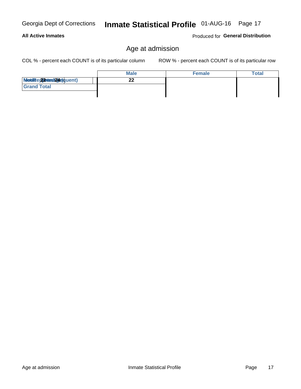Age at admission

**Male**  $\overline{22}$ Modiae 22 Mest2(42) quent)

#### **All Active Inmates**

**Grand Total** 

Age at admission

COL % - percent each COUNT is of its particular column

ROW % - percent each COUNT is of its particular row

Female

| Georgia Dept of Corrections | <b>Inmate Statistical Profile</b> 01-AUG-16 Page 17 |  |  |
|-----------------------------|-----------------------------------------------------|--|--|
| .                           |                                                     |  |  |

**Total**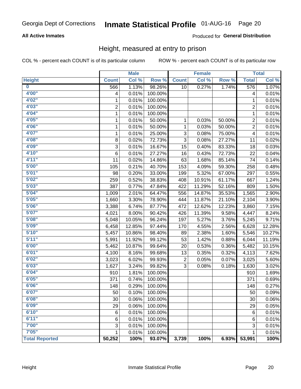# Inmate Statistical Profile 01-AUG-16 Page 20

### **All Active Inmates**

### Produced for General Distribution

### Height, measured at entry to prison

COL % - percent each COUNT is of its particular column

|                         |                | <b>Male</b> |         |                | <b>Female</b> |        |                | <b>Total</b> |
|-------------------------|----------------|-------------|---------|----------------|---------------|--------|----------------|--------------|
| <b>Height</b>           | <b>Count</b>   | Col %       | Row %   | <b>Count</b>   | Col %         | Row %  | <b>Total</b>   | Col %        |
| $\overline{\mathbf{0}}$ | 566            | 1.13%       | 98.26%  | 10             | 0.27%         | 1.74%  | 576            | 1.07%        |
| 4'00''                  | 4              | 0.01%       | 100.00% |                |               |        | 4              | 0.01%        |
| 4'02"                   | 1              | 0.01%       | 100.00% |                |               |        | 1              | 0.01%        |
| 4'03''                  | $\overline{c}$ | 0.01%       | 100.00% |                |               |        | $\overline{c}$ | 0.01%        |
| 4'04"                   | 1              | 0.01%       | 100.00% |                |               |        | 1              | 0.01%        |
| 4'05"                   | 1              | 0.01%       | 50.00%  | 1              | 0.03%         | 50.00% | $\overline{2}$ | 0.01%        |
| 4'06"                   | 1              | 0.01%       | 50.00%  | 1              | 0.03%         | 50.00% | $\overline{c}$ | 0.01%        |
| 4'07"                   | 1              | 0.01%       | 25.00%  | 3              | 0.08%         | 75.00% | 4              | 0.01%        |
| 4'08"                   | 8              | 0.02%       | 72.73%  | 3              | 0.08%         | 27.27% | 11             | 0.02%        |
| 4'09"                   | 3              | 0.01%       | 16.67%  | 15             | 0.40%         | 83.33% | 18             | 0.03%        |
| 4'10''                  | 6              | 0.01%       | 27.27%  | 16             | 0.43%         | 72.73% | 22             | 0.04%        |
| 4'11''                  | 11             | 0.02%       | 14.86%  | 63             | 1.68%         | 85.14% | 74             | 0.14%        |
| 5'00''                  | 105            | 0.21%       | 40.70%  | 153            | 4.09%         | 59.30% | 258            | 0.48%        |
| 5'01"                   | 98             | 0.20%       | 33.00%  | 199            | 5.32%         | 67.00% | 297            | 0.55%        |
| 5'02"                   | 259            | 0.52%       | 38.83%  | 408            | 10.91%        | 61.17% | 667            | 1.24%        |
| 5'03''                  | 387            | 0.77%       | 47.84%  | 422            | 11.29%        | 52.16% | 809            | 1.50%        |
| 5'04"                   | 1,009          | 2.01%       | 64.47%  | 556            | 14.87%        | 35.53% | 1,565          | 2.90%        |
| 5'05"                   | 1,660          | 3.30%       | 78.90%  | 444            | 11.87%        | 21.10% | 2,104          | 3.90%        |
| 5'06''                  | 3,388          | 6.74%       | 87.77%  | 472            | 12.62%        | 12.23% | 3,860          | 7.15%        |
| 5'07''                  | 4,021          | 8.00%       | 90.42%  | 426            | 11.39%        | 9.58%  | 4,447          | 8.24%        |
| 5'08''                  | 5,048          | 10.05%      | 96.24%  | 197            | 5.27%         | 3.76%  | 5,245          | 9.71%        |
| 5'09''                  | 6,458          | 12.85%      | 97.44%  | 170            | 4.55%         | 2.56%  | 6,628          | 12.28%       |
| 5'10''                  | 5,457          | 10.86%      | 98.40%  | 89             | 2.38%         | 1.60%  | 5,546          | 10.27%       |
| 5'11"                   | 5,991          | 11.92%      | 99.12%  | 53             | 1.42%         | 0.88%  | 6,044          | 11.19%       |
| 6'00''                  | 5,462          | 10.87%      | 99.64%  | 20             | 0.53%         | 0.36%  | 5,482          | 10.15%       |
| 6'01''                  | 4,100          | 8.16%       | 99.68%  | 13             | 0.35%         | 0.32%  | 4,113          | 7.62%        |
| 6'02"                   | 3,023          | 6.02%       | 99.93%  | $\overline{c}$ | 0.05%         | 0.07%  | 3,025          | 5.60%        |
| 6'03''                  | 1,627          | 3.24%       | 99.82%  | 3              | 0.08%         | 0.18%  | 1,630          | 3.02%        |
| 6'04"                   | 910            | 1.81%       | 100.00% |                |               |        | 910            | 1.69%        |
| 6'05"                   | 371            | 0.74%       | 100.00% |                |               |        | 371            | 0.69%        |
| 6'06''                  | 148            | 0.29%       | 100.00% |                |               |        | 148            | 0.27%        |
| 6'07"                   | 50             | 0.10%       | 100.00% |                |               |        | 50             | 0.09%        |
| 6'08"                   | 30             | 0.06%       | 100.00% |                |               |        | 30             | 0.06%        |
| 6'09''                  | 29             | 0.06%       | 100.00% |                |               |        | 29             | 0.05%        |
| 6'10''                  | 6              | 0.01%       | 100.00% |                |               |        | 6              | 0.01%        |
| 6'11''                  | 6              | 0.01%       | 100.00% |                |               |        | 6              | 0.01%        |
| 7'00"                   | 3              | 0.01%       | 100.00% |                |               |        | 3              | 0.01%        |
| 7'05"                   | $\mathbf{1}$   | 0.01%       | 100.00% |                |               |        | 1              | 0.01%        |
| <b>Total Reported</b>   | 50,252         | 100%        | 93.07%  | 3,739          | 100%          | 6.93%  | 53,991         | 100%         |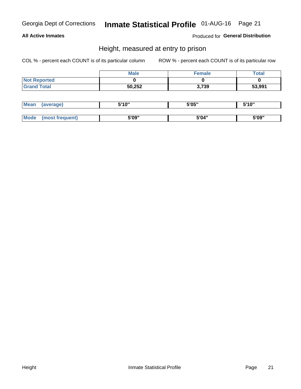# Inmate Statistical Profile 01-AUG-16 Page 21

### **All Active Inmates**

Produced for General Distribution

### Height, measured at entry to prison

COL % - percent each COUNT is of its particular column

|                     | Male   | <b>Female</b> | Total  |
|---------------------|--------|---------------|--------|
| <b>Not Reported</b> |        |               |        |
| <b>Grand Total</b>  | 50,252 | 3,739         | 53,991 |

| <b>Mean</b> | erage) | 5'10" | 5'05" | <b>CIA AIL</b><br>. . |
|-------------|--------|-------|-------|-----------------------|
|             |        |       |       |                       |
| <b>Mode</b> |        | 5'09" | 5'04" | 5'09"                 |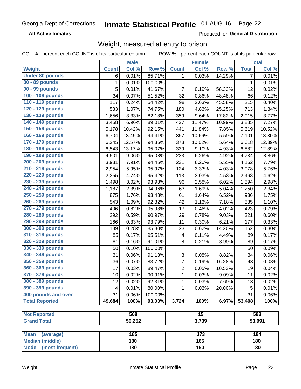#### **Inmate Statistical Profile 01-AUG-16** Page 22

**All Active Inmates** 

Produced for General Distribution

### Weight, measured at entry to prison

COL % - percent each COUNT is of its particular column

|                                                          |              | <b>Male</b> |         |                | <b>Female</b>   |        |                | <b>Total</b> |
|----------------------------------------------------------|--------------|-------------|---------|----------------|-----------------|--------|----------------|--------------|
| Weight                                                   | <b>Count</b> | Col %       | Row %   | <b>Count</b>   | Col %           | Row %  | <b>Total</b>   | Col %        |
| <b>Under 80 pounds</b>                                   | 6            | 0.01%       | 85.71%  | 1              | 0.03%           | 14.29% | $\overline{7}$ | 0.01%        |
| 80 - 89 pounds                                           | 1            | 0.01%       | 100.00% |                |                 |        | 1              | 0.01%        |
| 90 - 99 pounds                                           | 5            | 0.01%       | 41.67%  | 7              | 0.19%           | 58.33% | 12             | 0.02%        |
| 100 - 109 pounds                                         | 34           | 0.07%       | 51.52%  | 32             | 0.86%           | 48.48% | 66             | 0.12%        |
| 110 - 119 pounds                                         | 117          | 0.24%       | 54.42%  | 98             | 2.63%           | 45.58% | 215            | 0.40%        |
| 120 - 129 pounds                                         | 533          | 1.07%       | 74.75%  | 180            | 4.83%           | 25.25% | 713            | 1.34%        |
| 130 - 139 pounds                                         | 1,656        | 3.33%       | 82.18%  | 359            | 9.64%           | 17.82% | 2,015          | 3.77%        |
| 140 - 149 pounds                                         | 3,458        | 6.96%       | 89.01%  | 427            | 11.47%          | 10.99% | 3,885          | 7.27%        |
| 150 - 159 pounds                                         | 5,178        | 10.42%      | 92.15%  | 441            | 11.84%          | 7.85%  | 5,619          | 10.52%       |
| 160 - 169 pounds                                         | 6,704        | 13.49%      | 94.41%  | 397            | 10.66%          | 5.59%  | 7,101          | 13.30%       |
| 170 - 179 pounds                                         | 6,245        | 12.57%      | 94.36%  | 373            | 10.02%          | 5.64%  | 6,618          | 12.39%       |
| 180 - 189 pounds                                         | 6,543        | 13.17%      | 95.07%  | 339            | 9.10%           | 4.93%  | 6,882          | 12.89%       |
| 190 - 199 pounds                                         | 4,501        | 9.06%       | 95.08%  | 233            | 6.26%           | 4.92%  | 4,734          | 8.86%        |
| 200 - 209 pounds                                         | 3,931        | 7.91%       | 94.45%  | 231            | 6.20%           | 5.55%  | 4,162          | 7.79%        |
| 210 - 219 pounds                                         | 2,954        | 5.95%       | 95.97%  | 124            | 3.33%           | 4.03%  | 3,078          | 5.76%        |
| 220 - 229 pounds                                         | 2,355        | 4.74%       | 95.42%  | 113            | 3.03%           | 4.58%  | 2,468          | 4.62%        |
| 230 - 239 pounds                                         | 1,498        | 3.02%       | 93.98%  | 96             | 2.58%           | 6.02%  | 1,594          | 2.98%        |
| 240 - 249 pounds                                         | 1,187        | 2.39%       | 94.96%  | 63             | 1.69%           | 5.04%  | 1,250          | 2.34%        |
| 250 - 259 pounds                                         | 875          | 1.76%       | 93.48%  | 61             | 1.64%           | 6.52%  | 936            | 1.75%        |
| 260 - 269 pounds                                         | 543          | 1.09%       | 92.82%  | 42             | 1.13%           | 7.18%  | 585            | 1.10%        |
| 270 - 279 pounds                                         | 406          | 0.82%       | 95.98%  | 17             | 0.46%           | 4.02%  | 423            | 0.79%        |
| 280 - 289 pounds                                         | 292          | 0.59%       | 90.97%  | 29             | 0.78%           | 9.03%  | 321            | 0.60%        |
| 290 - 299 pounds                                         | 166          | 0.33%       | 93.79%  | 11             | 0.30%           | 6.21%  | 177            | 0.33%        |
| 300 - 309 pounds                                         | 139          | 0.28%       | 85.80%  | 23             | 0.62%           | 14.20% | 162            | 0.30%        |
| 310 - 319 pounds                                         | 85           | 0.17%       | 95.51%  | 4              | 0.11%           | 4.49%  | 89             | 0.17%        |
| 320 - 329 pounds                                         | 81           | 0.16%       | 91.01%  | 8              | 0.21%           | 8.99%  | 89             | 0.17%        |
| 330 - 339 pounds                                         | 50           | 0.10%       | 100.00% |                |                 |        | 50             | 0.09%        |
| 340 - 349 pounds                                         | 31           | 0.06%       | 91.18%  | 3              | 0.08%           | 8.82%  | 34             | 0.06%        |
| 350 - 359 pounds                                         | 36           | 0.07%       | 83.72%  | $\overline{7}$ | 0.19%           | 16.28% | 43             | 0.08%        |
| 360 - 369 pounds                                         | 17           | 0.03%       | 89.47%  | $\overline{2}$ | 0.05%           | 10.53% | 19             | 0.04%        |
| 370 - 379 pounds                                         | 10           | 0.02%       | 90.91%  | 1              | 0.03%           | 9.09%  | 11             | 0.02%        |
| 380 - 389 pounds                                         | 12           | 0.02%       | 92.31%  | 1              | 0.03%           | 7.69%  | 13             | 0.02%        |
| 390 - 399 pounds                                         | 4            | 0.01%       | 80.00%  | 1              | 0.03%           | 20.00% | 5              | 0.01%        |
| 400 pounds and over                                      | 31           | 0.06%       | 100.00% |                |                 |        | 31             | $0.06\%$     |
| <b>Total Reported</b>                                    | 49,684       | 100%        | 93.03%  | 3,724          | 100%            | 6.97%  | 53,408         | 100%         |
|                                                          |              |             |         |                |                 |        |                |              |
| <b>Not Reported</b>                                      |              | 568         |         |                | $\overline{15}$ |        |                | 583          |
| <b>Grand Total</b>                                       |              | 50,252      |         |                | 3,739           |        |                | 53,991       |
|                                                          |              |             |         |                |                 |        |                |              |
| <b>Mean</b><br>(average)                                 |              | 185         |         |                | 173             |        |                | 184          |
| <b>Median (middle)</b><br><b>Mode</b><br>(most frequent) |              | 180<br>180  |         |                | 165<br>150      |        |                | 180<br>180   |
|                                                          |              |             |         |                |                 |        |                |              |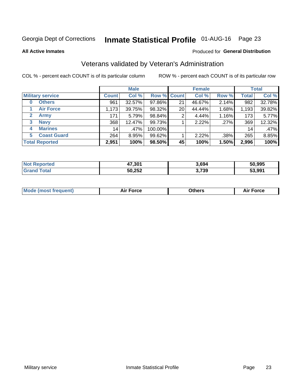# Inmate Statistical Profile 01-AUG-16 Page 23

**All Active Inmates** 

### Produced for General Distribution

### Veterans validated by Veteran's Administration

COL % - percent each COUNT is of its particular column

|                             |              | <b>Male</b> |             |    | <b>Female</b> |       |              | <b>Total</b> |
|-----------------------------|--------------|-------------|-------------|----|---------------|-------|--------------|--------------|
| <b>Military service</b>     | <b>Count</b> | Col %       | Row % Count |    | Col %         | Row % | <b>Total</b> | Col %        |
| <b>Others</b><br>$\bf{0}$   | 961          | 32.57%      | 97.86%      | 21 | 46.67%        | 2.14% | 982          | 32.78%       |
| <b>Air Force</b>            | 1,173        | 39.75%      | 98.32%      | 20 | 44.44%        | 1.68% | 1,193        | 39.82%       |
| $\mathbf{2}$<br><b>Army</b> | 171          | 5.79%       | 98.84%      | 2  | 4.44%         | 1.16% | 173          | 5.77%        |
| <b>Navy</b><br>3            | 368          | 12.47%      | 99.73%      |    | 2.22%         | .27%  | 369          | 12.32%       |
| <b>Marines</b><br>4         | 14           | $.47\%$     | 100.00%     |    |               |       | 14           | .47%         |
| <b>Coast Guard</b><br>5     | 264          | 8.95%       | 99.62%      |    | 2.22%         | .38%  | 265          | 8.85%        |
| <b>Total Reported</b>       | 2,951        | 100%        | 98.50%      | 45 | 100%          | 1.50% | 2,996        | 100%         |

| rted<br>NOT | 47,301 | 3.694 | 50.995 |
|-------------|--------|-------|--------|
|             | 50,252 | 3,739 | 53.991 |

|  |  | <b>Mode (most frequent)</b> | <b>Force</b><br>Aır | วthers | orce |
|--|--|-----------------------------|---------------------|--------|------|
|--|--|-----------------------------|---------------------|--------|------|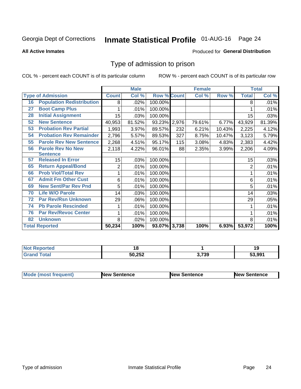# Inmate Statistical Profile 01-AUG-16 Page 24

#### **All Active Inmates**

### Produced for General Distribution

### Type of admission to prison

COL % - percent each COUNT is of its particular column

|    |                                  |              | <b>Male</b> |                    |     | <b>Female</b> |        |                | <b>Total</b> |
|----|----------------------------------|--------------|-------------|--------------------|-----|---------------|--------|----------------|--------------|
|    | <b>Type of Admission</b>         | <b>Count</b> | Col %       | <b>Row % Count</b> |     | Col %         | Row %  | <b>Total</b>   | Col %        |
| 16 | <b>Population Redistribution</b> | 8            | .02%        | 100.00%            |     |               |        | 8              | .01%         |
| 27 | <b>Boot Camp Plus</b>            |              | .01%        | 100.00%            |     |               |        |                | .01%         |
| 28 | <b>Initial Assignment</b>        | 15           | .03%        | 100.00%            |     |               |        | 15             | .03%         |
| 52 | <b>New Sentence</b>              | 40,953       | 81.52%      | 93.23% 2,976       |     | 79.61%        | 6.77%  | 43,929         | 81.39%       |
| 53 | <b>Probation Rev Partial</b>     | 1,993        | 3.97%       | 89.57%             | 232 | 6.21%         | 10.43% | 2,225          | 4.12%        |
| 54 | <b>Probation Rev Remainder</b>   | 2,796        | 5.57%       | 89.53%             | 327 | 8.75%         | 10.47% | 3,123          | 5.79%        |
| 55 | <b>Parole Rev New Sentence</b>   | 2,268        | 4.51%       | 95.17%             | 115 | 3.08%         | 4.83%  | 2,383          | 4.42%        |
| 56 | <b>Parole Rev No New</b>         | 2,118        | 4.22%       | 96.01%             | 88  | 2.35%         | 3.99%  | 2,206          | 4.09%        |
|    | <b>Sentence</b>                  |              |             |                    |     |               |        |                |              |
| 57 | <b>Released In Error</b>         | 15           | .03%        | 100.00%            |     |               |        | 15             | .03%         |
| 65 | <b>Return Appeal/Bond</b>        | 2            | .01%        | 100.00%            |     |               |        | $\overline{2}$ | .01%         |
| 66 | <b>Prob Viol/Total Rev</b>       | 1            | .01%        | 100.00%            |     |               |        |                | .01%         |
| 67 | <b>Admit Fm Other Cust</b>       | 6            | .01%        | 100.00%            |     |               |        | 6              | .01%         |
| 69 | <b>New Sent/Par Rev Pnd</b>      | 5            | .01%        | 100.00%            |     |               |        | 5              | .01%         |
| 70 | <b>Life W/O Parole</b>           | 14           | .03%        | 100.00%            |     |               |        | 14             | .03%         |
| 72 | <b>Par Rev/Rsn Unknown</b>       | 29           | .06%        | 100.00%            |     |               |        | 29             | .05%         |
| 74 | <b>Pb Parole Rescinded</b>       |              | .01%        | 100.00%            |     |               |        |                | .01%         |
| 76 | <b>Par Rev/Revoc Center</b>      |              | .01%        | 100.00%            |     |               |        |                | .01%         |
| 82 | <b>Unknown</b>                   | 8            | .02%        | 100.00%            |     |               |        | 8              | .01%         |
|    | <b>Total Reported</b>            | 50,234       | 100%        | 93.07% 3,738       |     | 100%          | 6.93%  | 53,972         | 100%         |

| neo<br>N. |                         |       | 7 L<br>19 |
|-----------|-------------------------|-------|-----------|
| $f = f$   | <b>EN OFO</b><br>50,252 | 3,739 | 53.991    |

| Mode (most frequent) | <b>New Sentence</b> | <b>New Sentence</b> | <b>New Sentence</b> |
|----------------------|---------------------|---------------------|---------------------|
|                      |                     |                     |                     |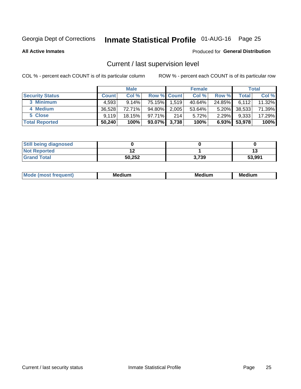# Inmate Statistical Profile 01-AUG-16 Page 25

**All Active Inmates** 

#### Produced for General Distribution

### Current / last supervision level

COL % - percent each COUNT is of its particular column

|                        |              | <b>Male</b> |                    |       | <b>Female</b> |          |        | <b>Total</b> |
|------------------------|--------------|-------------|--------------------|-------|---------------|----------|--------|--------------|
| <b>Security Status</b> | <b>Count</b> | Col %       | <b>Row % Count</b> |       | Col %         | Row %    | Total  | Col %        |
| 3 Minimum              | 4,593        | $9.14\%$    | 75.15%             | 1,519 | 40.64%        | 24.85%   | 6,112  | $11.32\%$    |
| 4 Medium               | 36,528       | 72.71%      | 94.80%             | 2,005 | 53.64%        | $5.20\%$ | 38,533 | 71.39%       |
| 5 Close                | 9.119        | 18.15%      | 97.71%             | 214   | 5.72%         | $2.29\%$ | 9,333  | 17.29%       |
| <b>Total Reported</b>  | 50,240       | 100%        | 93.07%             | 3,738 | 100%          | $6.93\%$ | 53,978 | 100%         |

| <b>Still being diagnosed</b> |        |       |        |
|------------------------------|--------|-------|--------|
| <b>Not Reported</b>          |        |       |        |
| <b>Grand Total</b>           | 50,252 | 3,739 | 53,991 |

| M | м | м | - - - -<br>м |
|---|---|---|--------------|
|   |   |   |              |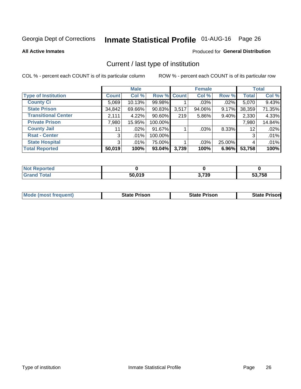# Inmate Statistical Profile 01-AUG-16 Page 26

**All Active Inmates** 

### Produced for General Distribution

### Current / last type of institution

COL % - percent each COUNT is of its particular column

|                            |                | <b>Male</b> |             |       | <b>Female</b> |          |              | <b>Total</b> |
|----------------------------|----------------|-------------|-------------|-------|---------------|----------|--------------|--------------|
| <b>Type of Institution</b> | <b>Count</b>   | Col %       | Row % Count |       | Col %         | Row %    | <b>Total</b> | Col %        |
| <b>County Ci</b>           | 5,069          | 10.13%      | 99.98%      |       | $.03\%$       | .02%     | 5,070        | 9.43%        |
| <b>State Prison</b>        | 34,842         | 69.66%      | $90.83\%$   | 3,517 | 94.06%        | 9.17%    | 38,359       | 71.35%       |
| <b>Transitional Center</b> | 2,111          | 4.22%       | $90.60\%$   | 219   | $5.86\%$      | 9.40%    | 2,330        | 4.33%        |
| <b>Private Prison</b>      | 7,980          | 15.95%      | 100.00%     |       |               |          | 7,980        | 14.84%       |
| <b>County Jail</b>         | 11             | $.02\%$     | 91.67%      |       | .03%          | $8.33\%$ | 12           | .02%         |
| <b>Rsat - Center</b>       | 3 <sub>1</sub> | .01%        | 100.00%     |       |               |          | 3            | .01%         |
| <b>State Hospital</b>      | 3 <sup>1</sup> | $.01\%$     | 75.00%      |       | .03%          | 25.00%   | 4            | .01%         |
| <b>Total Reported</b>      | 50,019         | 100%        | $93.04\%$   | 3,739 | 100%          | 6.96%    | 53,758       | 100%         |

| NOT<br>τeα |        |       |        |
|------------|--------|-------|--------|
| $\sim$     | 50,019 | 3,739 | 53,758 |

| <b>Mode (most frequent)</b> | <b>State Prison</b> | <b>State Prison</b> | <b>State Prison</b> |
|-----------------------------|---------------------|---------------------|---------------------|
|                             |                     |                     |                     |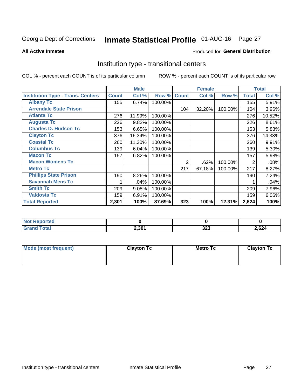# Inmate Statistical Profile 01-AUG-16 Page 27

#### **All Active Inmates**

### Produced for General Distribution

### Institution type - transitional centers

COL % - percent each COUNT is of its particular column

|                                          |              | <b>Male</b> |         |              | <b>Female</b> |         |              | <b>Total</b> |
|------------------------------------------|--------------|-------------|---------|--------------|---------------|---------|--------------|--------------|
| <b>Institution Type - Trans. Centers</b> | <b>Count</b> | Col %       | Row %   | <b>Count</b> | Col %         | Row %   | <b>Total</b> | Col %        |
| <b>Albany Tc</b>                         | 155          | 6.74%       | 100.00% |              |               |         | 155          | 5.91%        |
| <b>Arrendale State Prison</b>            |              |             |         | 104          | 32.20%        | 100.00% | 104          | 3.96%        |
| <b>Atlanta Tc</b>                        | 276          | 11.99%      | 100.00% |              |               |         | 276          | 10.52%       |
| <b>Augusta Tc</b>                        | 226          | 9.82%       | 100.00% |              |               |         | 226          | 8.61%        |
| <b>Charles D. Hudson Tc</b>              | 153          | 6.65%       | 100.00% |              |               |         | 153          | 5.83%        |
| <b>Clayton Tc</b>                        | 376          | 16.34%      | 100.00% |              |               |         | 376          | 14.33%       |
| <b>Coastal Tc</b>                        | 260          | 11.30%      | 100.00% |              |               |         | 260          | 9.91%        |
| <b>Columbus Tc</b>                       | 139          | 6.04%       | 100.00% |              |               |         | 139          | 5.30%        |
| <b>Macon Tc</b>                          | 157          | 6.82%       | 100.00% |              |               |         | 157          | 5.98%        |
| <b>Macon Womens Tc</b>                   |              |             |         | 2            | .62%          | 100.00% | 2            | .08%         |
| <b>Metro Tc</b>                          |              |             |         | 217          | 67.18%        | 100.00% | 217          | 8.27%        |
| <b>Phillips State Prison</b>             | 190          | 8.26%       | 100.00% |              |               |         | 190          | 7.24%        |
| <b>Savannah Mens Tc</b>                  |              | .04%        | 100.00% |              |               |         |              | .04%         |
| <b>Smith Tc</b>                          | 209          | 9.08%       | 100.00% |              |               |         | 209          | 7.96%        |
| <b>Valdosta Tc</b>                       | 159          | 6.91%       | 100.00% |              |               |         | 159          | 6.06%        |
| <b>Total Reported</b>                    | 2,301        | 100%        | 87.69%  | 323          | 100%          | 12.31%  | 2,624        | 100%         |

| тес. |       |             |       |
|------|-------|-------------|-------|
|      | 2,301 | ົາລາ<br>◡∸◡ | 2,624 |

| Mode (most frequent) | <b>Clayton Tc</b> | <b>Metro Tc</b> | <b>Clayton Tc</b> |
|----------------------|-------------------|-----------------|-------------------|
|                      |                   |                 |                   |
|                      |                   |                 |                   |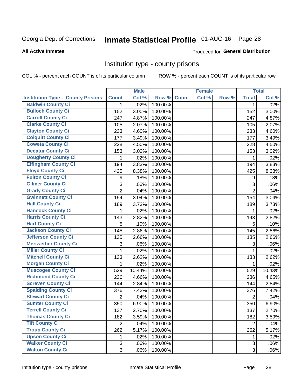# Inmate Statistical Profile 01-AUG-16 Page 28

#### **All Active Inmates**

#### Produced for General Distribution

### Institution type - county prisons

COL % - percent each COUNT is of its particular column

|                                          |                | <b>Male</b> |         |              | <b>Female</b> |       |                | <b>Total</b> |
|------------------------------------------|----------------|-------------|---------|--------------|---------------|-------|----------------|--------------|
| <b>Institution Type - County Prisons</b> | <b>Count</b>   | Col %       | Row %   | <b>Count</b> | Col %         | Row % | <b>Total</b>   | Col %        |
| <b>Baldwin County Ci</b>                 | $\mathbf{1}$   | .02%        | 100.00% |              |               |       | $\mathbf 1$    | .02%         |
| <b>Bulloch County Ci</b>                 | 152            | 3.00%       | 100.00% |              |               |       | 152            | 3.00%        |
| <b>Carroll County Ci</b>                 | 247            | 4.87%       | 100.00% |              |               |       | 247            | 4.87%        |
| <b>Clarke County Ci</b>                  | 105            | 2.07%       | 100.00% |              |               |       | 105            | 2.07%        |
| <b>Clayton County Ci</b>                 | 233            | 4.60%       | 100.00% |              |               |       | 233            | 4.60%        |
| <b>Colquitt County Ci</b>                | 177            | 3.49%       | 100.00% |              |               |       | 177            | 3.49%        |
| <b>Coweta County Ci</b>                  | 228            | 4.50%       | 100.00% |              |               |       | 228            | 4.50%        |
| <b>Decatur County Ci</b>                 | 153            | 3.02%       | 100.00% |              |               |       | 153            | 3.02%        |
| <b>Dougherty County Ci</b>               | 1              | .02%        | 100.00% |              |               |       | 1              | .02%         |
| <b>Effingham County Ci</b>               | 194            | 3.83%       | 100.00% |              |               |       | 194            | 3.83%        |
| <b>Floyd County Ci</b>                   | 425            | 8.38%       | 100.00% |              |               |       | 425            | 8.38%        |
| <b>Fulton County Ci</b>                  | 9              | .18%        | 100.00% |              |               |       | 9              | .18%         |
| <b>Gilmer County Ci</b>                  | $\mathbf{3}$   | .06%        | 100.00% |              |               |       | 3              | .06%         |
| <b>Grady County Ci</b>                   | $\overline{2}$ | .04%        | 100.00% |              |               |       | $\overline{2}$ | .04%         |
| <b>Gwinnett County Ci</b>                | 154            | 3.04%       | 100.00% |              |               |       | 154            | 3.04%        |
| <b>Hall County Ci</b>                    | 189            | 3.73%       | 100.00% |              |               |       | 189            | 3.73%        |
| <b>Hancock County Ci</b>                 | 1              | .02%        | 100.00% |              |               |       | 1              | .02%         |
| <b>Harris County Ci</b>                  | 143            | 2.82%       | 100.00% |              |               |       | 143            | 2.82%        |
| <b>Hart County Ci</b>                    | 5              | .10%        | 100.00% |              |               |       | 5              | .10%         |
| <b>Jackson County Ci</b>                 | 145            | 2.86%       | 100.00% |              |               |       | 145            | 2.86%        |
| <b>Jefferson County Ci</b>               | 135            | 2.66%       | 100.00% |              |               |       | 135            | 2.66%        |
| <b>Meriwether County Ci</b>              | 3              | .06%        | 100.00% |              |               |       | 3              | .06%         |
| <b>Miller County Ci</b>                  | 1              | .02%        | 100.00% |              |               |       | 1              | .02%         |
| <b>Mitchell County Ci</b>                | 133            | 2.62%       | 100.00% |              |               |       | 133            | 2.62%        |
| <b>Morgan County Ci</b>                  | 1              | .02%        | 100.00% |              |               |       | 1              | .02%         |
| <b>Muscogee County Ci</b>                | 529            | 10.44%      | 100.00% |              |               |       | 529            | 10.43%       |
| <b>Richmond County Ci</b>                | 236            | 4.66%       | 100.00% |              |               |       | 236            | 4.65%        |
| <b>Screven County Ci</b>                 | 144            | 2.84%       | 100.00% |              |               |       | 144            | 2.84%        |
| <b>Spalding County Ci</b>                | 376            | 7.42%       | 100.00% |              |               |       | 376            | 7.42%        |
| <b>Stewart County Ci</b>                 | $\overline{2}$ | .04%        | 100.00% |              |               |       | $\overline{2}$ | .04%         |
| <b>Sumter County Ci</b>                  | 350            | 6.90%       | 100.00% |              |               |       | 350            | 6.90%        |
| <b>Terrell County Ci</b>                 | 137            | 2.70%       | 100.00% |              |               |       | 137            | 2.70%        |
| <b>Thomas County Ci</b>                  | 182            | 3.59%       | 100.00% |              |               |       | 182            | 3.59%        |
| <b>Tift County Ci</b>                    | $\overline{2}$ | .04%        | 100.00% |              |               |       | $\overline{2}$ | .04%         |
| <b>Troup County Ci</b>                   | 262            | 5.17%       | 100.00% |              |               |       | 262            | 5.17%        |
| <b>Upson County Ci</b>                   | 1              | .02%        | 100.00% |              |               |       | 1              | .02%         |
| <b>Walker County Ci</b>                  | $\mathbf{3}$   | .06%        | 100.00% |              |               |       | 3              | .06%         |
| <b>Walton County Ci</b>                  | 3              | .06%        | 100.00% |              |               |       | 3              | .06%         |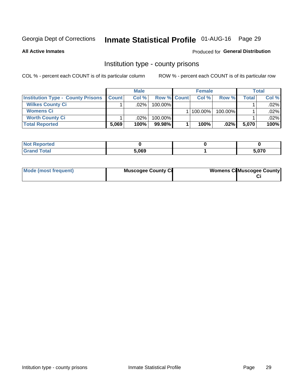# Inmate Statistical Profile 01-AUG-16 Page 29

**All Active Inmates** 

### Produced for General Distribution

### Institution type - county prisons

COL % - percent each COUNT is of its particular column

|                                          |              | <b>Male</b> |                    | <b>Female</b> |         |       | <b>Total</b> |
|------------------------------------------|--------------|-------------|--------------------|---------------|---------|-------|--------------|
| <b>Institution Type - County Prisons</b> | <b>Count</b> | Col%        | <b>Row % Count</b> | Col%          | Row %   | Total | Col %        |
| <b>Wilkes County Ci</b>                  |              | .02%        | 100.00%            |               |         |       | $.02\%$      |
| <b>Womens Ci</b>                         |              |             |                    | 100.00%       | 100.00% |       | .02%         |
| <b>Worth County Ci</b>                   |              | $.02\%$     | 100.00%            |               |         |       | $.02\%$      |
| <b>Total Reported</b>                    | 5,069        | 100%        | $99.98\%$          | 100%          | $.02\%$ | 5,070 | 100%         |

| τeα |       |       |
|-----|-------|-------|
| .   | 5,069 | r 270 |

| Mode (most frequent) | <b>Muscogee County Ci</b> | <b>Womens Ci</b> Muscogee County |
|----------------------|---------------------------|----------------------------------|
|----------------------|---------------------------|----------------------------------|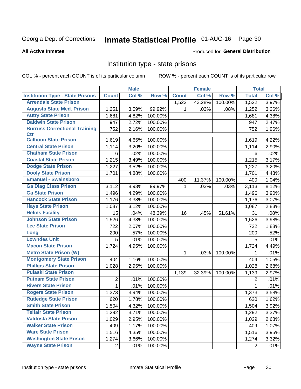# Inmate Statistical Profile 01-AUG-16 Page 30

### **All Active Inmates**

### Produced for General Distribution

### Institution type - state prisons

COL % - percent each COUNT is of its particular column

|                                         |                | <b>Male</b> |         |                    | <b>Female</b> |         | <b>Total</b>   |       |
|-----------------------------------------|----------------|-------------|---------|--------------------|---------------|---------|----------------|-------|
| <b>Institution Type - State Prisons</b> | <b>Count</b>   | Col %       | Row %   | <b>Count</b>       | Col %         | Row %   | <b>Total</b>   | Col % |
| <b>Arrendale State Prison</b>           |                |             |         | $\overline{1,5}22$ | 43.28%        | 100.00% | 1,522          | 3.97% |
| <b>Augusta State Med. Prison</b>        | 1,251          | 3.59%       | 99.92%  | 1                  | .03%          | .08%    | 1,252          | 3.26% |
| <b>Autry State Prison</b>               | 1,681          | 4.82%       | 100.00% |                    |               |         | 1,681          | 4.38% |
| <b>Baldwin State Prison</b>             | 947            | 2.72%       | 100.00% |                    |               |         | 947            | 2.47% |
| <b>Burruss Correctional Training</b>    | 752            | 2.16%       | 100.00% |                    |               |         | 752            | 1.96% |
| <b>Ctr</b>                              |                |             |         |                    |               |         |                |       |
| <b>Calhoun State Prison</b>             | 1,619          | 4.65%       | 100.00% |                    |               |         | 1,619          | 4.22% |
| <b>Central State Prison</b>             | 1,114          | 3.20%       | 100.00% |                    |               |         | 1,114          | 2.90% |
| <b>Chatham State Prison</b>             | 6              | .02%        | 100.00% |                    |               |         | 6              | .02%  |
| <b>Coastal State Prison</b>             | 1,215          | 3.49%       | 100.00% |                    |               |         | 1,215          | 3.17% |
| <b>Dodge State Prison</b>               | 1,227          | 3.52%       | 100.00% |                    |               |         | 1,227          | 3.20% |
| <b>Dooly State Prison</b>               | 1,701          | 4.88%       | 100.00% |                    |               |         | 1,701          | 4.43% |
| <b>Emanuel - Swainsboro</b>             |                |             |         | 400                | 11.37%        | 100.00% | 400            | 1.04% |
| <b>Ga Diag Class Prison</b>             | 3,112          | 8.93%       | 99.97%  | $\mathbf 1$        | .03%          | .03%    | 3,113          | 8.12% |
| <b>Ga State Prison</b>                  | 1,496          | 4.29%       | 100.00% |                    |               |         | 1,496          | 3.90% |
| <b>Hancock State Prison</b>             | 1,176          | 3.38%       | 100.00% |                    |               |         | 1,176          | 3.07% |
| <b>Hays State Prison</b>                | 1,087          | 3.12%       | 100.00% |                    |               |         | 1,087          | 2.83% |
| <b>Helms Facility</b>                   | 15             | .04%        | 48.39%  | 16                 | .45%          | 51.61%  | 31             | .08%  |
| <b>Johnson State Prison</b>             | 1,526          | 4.38%       | 100.00% |                    |               |         | 1,526          | 3.98% |
| <b>Lee State Prison</b>                 | 722            | 2.07%       | 100.00% |                    |               |         | 722            | 1.88% |
| Long                                    | 200            | .57%        | 100.00% |                    |               |         | 200            | .52%  |
| <b>Lowndes Unit</b>                     | 5              | .01%        | 100.00% |                    |               |         | 5              | .01%  |
| <b>Macon State Prison</b>               | 1,724          | 4.95%       | 100.00% |                    |               |         | 1,724          | 4.49% |
| <b>Metro State Prison (W)</b>           |                |             |         | 1                  | .03%          | 100.00% | 1              | .01%  |
| <b>Montgomery State Prison</b>          | 404            | 1.16%       | 100.00% |                    |               |         | 404            | 1.05% |
| <b>Phillips State Prison</b>            | 1,028          | 2.95%       | 100.00% |                    |               |         | 1,028          | 2.68% |
| <b>Pulaski State Prison</b>             |                |             |         | 1,139              | 32.39%        | 100.00% | 1,139          | 2.97% |
| <b>Putnam State Prison</b>              | $\overline{2}$ | .01%        | 100.00% |                    |               |         | 2              | .01%  |
| <b>Rivers State Prison</b>              | 1              | .01%        | 100.00% |                    |               |         | 1              | .01%  |
| <b>Rogers State Prison</b>              | 1,373          | 3.94%       | 100.00% |                    |               |         | 1,373          | 3.58% |
| <b>Rutledge State Prison</b>            | 620            | 1.78%       | 100.00% |                    |               |         | 620            | 1.62% |
| <b>Smith State Prison</b>               | 1,504          | 4.32%       | 100.00% |                    |               |         | 1,504          | 3.92% |
| <b>Telfair State Prison</b>             | 1,292          | 3.71%       | 100.00% |                    |               |         | 1,292          | 3.37% |
| <b>Valdosta State Prison</b>            | 1,029          | 2.95%       | 100.00% |                    |               |         | 1,029          | 2.68% |
| <b>Walker State Prison</b>              | 409            | 1.17%       | 100.00% |                    |               |         | 409            | 1.07% |
| <b>Ware State Prison</b>                | 1,516          | 4.35%       | 100.00% |                    |               |         | 1,516          | 3.95% |
| <b>Washington State Prison</b>          | 1,274          | 3.66%       | 100.00% |                    |               |         | 1,274          | 3.32% |
| <b>Wayne State Prison</b>               | $\overline{c}$ | .01%        | 100.00% |                    |               |         | $\overline{2}$ | .01%  |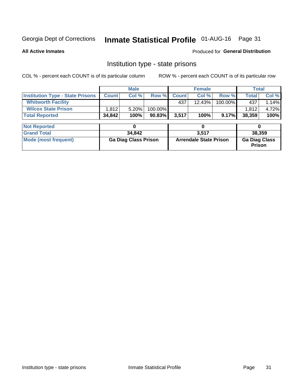# Inmate Statistical Profile 01-AUG-16 Page 31

**All Active Inmates** 

Produced for General Distribution

### Institution type - state prisons

COL % - percent each COUNT is of its particular column

|                                         |              | <b>Male</b>                 |         |              | <b>Female</b>                 |         | <b>Total</b>                   |        |
|-----------------------------------------|--------------|-----------------------------|---------|--------------|-------------------------------|---------|--------------------------------|--------|
| <b>Institution Type - State Prisons</b> | <b>Count</b> | Col %                       | Row %   | <b>Count</b> | Col %                         | Row %   | <b>Total</b>                   | Col %  |
| <b>Whitworth Facility</b>               |              |                             |         | 437          | $12.43\%$                     | 100.00% | 437                            | 1.14%  |
| <b>Wilcox State Prison</b>              | 1,812        | 5.20%                       | 100.00% |              |                               |         | 1,812                          | 4.72%  |
| <b>Total Reported</b>                   | 34,842       | 100%                        | 90.83%  | 3,517        | 100%                          | 9.17%   | 38,359                         | 100%   |
| <b>Not Reported</b>                     |              | 0                           |         |              | 0                             |         | 0                              |        |
| <b>Grand Total</b>                      |              | 34,842                      |         |              | 3,517                         |         |                                | 38,359 |
| <b>Mode (most frequent)</b>             |              | <b>Ga Diag Class Prison</b> |         |              | <b>Arrendale State Prison</b> |         | <b>Ga Diag Class</b><br>Prison |        |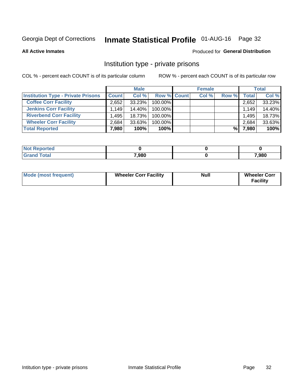# Inmate Statistical Profile 01-AUG-16 Page 32

**All Active Inmates** 

### Produced for General Distribution

### Institution type - private prisons

COL % - percent each COUNT is of its particular column

|                                           |              | <b>Male</b> |                    | <b>Female</b> |       |       | <b>Total</b> |
|-------------------------------------------|--------------|-------------|--------------------|---------------|-------|-------|--------------|
| <b>Institution Type - Private Prisons</b> | <b>Count</b> | Col %       | <b>Row % Count</b> | Col %         | Row % | Total | Col %        |
| <b>Coffee Corr Facility</b>               | 2,652        | 33.23%      | 100.00%            |               |       | 2,652 | 33.23%       |
| <b>Jenkins Corr Facility</b>              | 1.149        | $14.40\%$   | $100.00\%$         |               |       | 1,149 | 14.40%       |
| <b>Riverbend Corr Facility</b>            | .495         | 18.73%      | 100.00%            |               |       | 1,495 | 18.73%       |
| <b>Wheeler Corr Facility</b>              | 2,684        | $33.63\%$   | 100.00%            |               |       | 2,684 | 33.63%       |
| <b>Total Reported</b>                     | 7,980        | 100%        | 100%               |               | %     | 7,980 | 100%         |

| <b>Reported</b><br>∵NΩì. |       |       |
|--------------------------|-------|-------|
| <b>otal</b>              | 7,980 | 7,980 |

| <b>Mode (most frequent)</b> | <b>Wheeler Corr Facility</b> | <b>Null</b> | <b>Wheeler Corr</b><br><b>Facility</b> |
|-----------------------------|------------------------------|-------------|----------------------------------------|
|-----------------------------|------------------------------|-------------|----------------------------------------|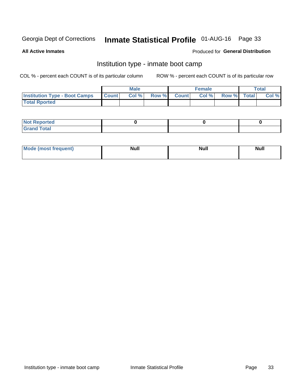# Inmate Statistical Profile 01-AUG-16 Page 33

**All Active Inmates** 

### Produced for General Distribution

### Institution type - inmate boot camp

COL % - percent each COUNT is of its particular column

|                                      |              | <b>Male</b> |             | <b>Female</b> |             | Total |
|--------------------------------------|--------------|-------------|-------------|---------------|-------------|-------|
| <b>Institution Type - Boot Camps</b> | <b>Count</b> | Col %       | Row % Count | Col%          | Row % Total | Col % |
| <b>Total Rported</b>                 |              |             |             |               |             |       |

| <b>Not Reported</b>            |  |  |
|--------------------------------|--|--|
| <b>Total</b><br>C <sub>r</sub> |  |  |

| Mod<br>uamo | Nul.<br>$- - - - - -$ | <b>Null</b> | . .<br>uu.<br>------ |
|-------------|-----------------------|-------------|----------------------|
|             |                       |             |                      |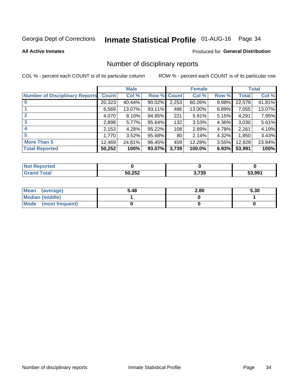# Inmate Statistical Profile 01-AUG-16 Page 34

#### **All Active Inmates**

#### Produced for General Distribution

### Number of disciplinary reports

COL % - percent each COUNT is of its particular column

|                                       |              | <b>Male</b> |                    |       | <b>Female</b> |       |              | <b>Total</b> |
|---------------------------------------|--------------|-------------|--------------------|-------|---------------|-------|--------------|--------------|
| <b>Number of Disciplinary Reports</b> | <b>Count</b> | Col %       | <b>Row % Count</b> |       | Col %         | Row % | <b>Total</b> | Col %        |
|                                       | 20,323       | 40.44%      | 90.02%             | 2,253 | 60.26%        | 9.98% | 22,576       | 41.81%       |
|                                       | 6,569        | 13.07%      | $93.11\%$          | 486   | 13.00%        | 6.89% | 7,055        | 13.07%       |
|                                       | 4,070        | 8.10%       | 94.85%             | 221   | 5.91%         | 5.15% | 4,291        | 7.95%        |
| 3                                     | 2,898        | 5.77%       | 95.64%             | 132   | 3.53%         | 4.36% | 3,030        | 5.61%        |
|                                       | 2,153        | 4.28%       | 95.22%             | 108   | 2.89%         | 4.78% | 2,261        | 4.19%        |
| 5                                     | 1,770        | 3.52%       | 95.68%             | 80    | 2.14%         | 4.32% | 1,850        | 3.43%        |
| <b>More Than 5</b>                    | 12,469       | 24.81%      | 96.45%             | 459   | 12.28%        | 3.55% | 12,928       | 23.94%       |
| <b>Total Reported</b>                 | 50,252       | 100%        | 93.07%             | 3,739 | 100.0%        | 6.93% | 53,991       | 100%         |

| orted<br>NOT |        |       |        |
|--------------|--------|-------|--------|
| Total        | 50,252 | 3,739 | 53.991 |

| Mean (average)       | 5.48 | 2.80 | 5.30 |
|----------------------|------|------|------|
| Median (middle)      |      |      |      |
| Mode (most frequent) |      |      |      |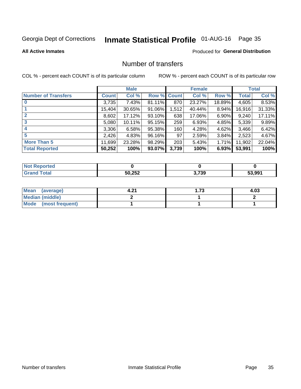# Inmate Statistical Profile 01-AUG-16 Page 35

#### **All Active Inmates**

### Produced for General Distribution

### Number of transfers

COL % - percent each COUNT is of its particular column

|                            |         | <b>Male</b> |        |              | <b>Female</b> |          |              | <b>Total</b> |
|----------------------------|---------|-------------|--------|--------------|---------------|----------|--------------|--------------|
| <b>Number of Transfers</b> | Count l | Col %       | Row %  | <b>Count</b> | Col %         | Row %    | <b>Total</b> | Col %        |
|                            | 3,735   | 7.43%       | 81.11% | 870          | 23.27%        | 18.89%   | 4,605        | 8.53%        |
|                            | 15,404  | 30.65%      | 91.06% | 1,512        | 40.44%        | 8.94%    | 16,916       | 31.33%       |
| $\mathbf{2}$               | 8,602   | 17.12%      | 93.10% | 638          | 17.06%        | $6.90\%$ | 9,240        | 17.11%       |
| 3                          | 5,080   | $10.11\%$   | 95.15% | 259          | 6.93%         | 4.85%    | 5,339        | 9.89%        |
| 4                          | 3,306   | 6.58%       | 95.38% | 160          | 4.28%         | 4.62%    | 3,466        | 6.42%        |
| 5                          | 2,426   | 4.83%       | 96.16% | 97           | 2.59%         | 3.84%    | 2,523        | 4.67%        |
| <b>More Than 5</b>         | 11,699  | 23.28%      | 98.29% | 203          | 5.43%         | $1.71\%$ | 11,902       | 22.04%       |
| <b>Total Reported</b>      | 50,252  | 100%        | 93.07% | 3,739        | 100%          | 6.93%    | 53,991       | 100%         |

| orted<br>NOT |        |       |        |
|--------------|--------|-------|--------|
| Total        | 50,252 | 3,739 | 53.991 |

| Mean (average)         | . റ≁ | -72<br>. J | 4.03 |
|------------------------|------|------------|------|
| <b>Median (middle)</b> |      |            |      |
| Mode (most frequent)   |      |            |      |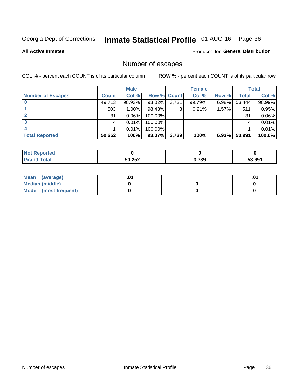# Inmate Statistical Profile 01-AUG-16 Page 36

**All Active Inmates** 

### Produced for General Distribution

### Number of escapes

COL % - percent each COUNT is of its particular column

|                          |              | <b>Male</b> |             |       | <b>Female</b> |       |        | <b>Total</b> |
|--------------------------|--------------|-------------|-------------|-------|---------------|-------|--------|--------------|
| <b>Number of Escapes</b> | <b>Count</b> | Col %       | Row % Count |       | Col %         | Row % | Total  | Col %        |
|                          | 49,713       | 98.93%      | $93.02\%$   | 3,731 | 99.79%        | 6.98% | 53,444 | 98.99%       |
|                          | 503          | 1.00%       | 98.43%      | 8     | 0.21%         | 1.57% | 511    | 0.95%        |
|                          | 31           | 0.06%       | 100.00%     |       |               |       | 31     | 0.06%        |
|                          |              | 0.01%       | 100.00%     |       |               |       |        | 0.01%        |
|                          |              | 0.01%       | 100.00%     |       |               |       |        | 0.01%        |
| <b>Total Reported</b>    | 50,252       | 100%        | 93.07%      | 3,739 | 100%          | 6.93% | 53,991 | 100.0%       |

| <b>Not Reported</b> |        |       |        |
|---------------------|--------|-------|--------|
| Total               | 50,252 | 3,739 | 53,991 |

| Mean (average)       |  | ו ש. |
|----------------------|--|------|
| Median (middle)      |  |      |
| Mode (most frequent) |  |      |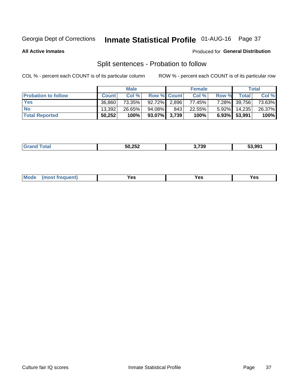# Inmate Statistical Profile 01-AUG-16 Page 37

**All Active Inmates** 

### Produced for General Distribution

### Split sentences - Probation to follow

COL % - percent each COUNT is of its particular column

|                            |              | <b>Male</b> |                    |       | <b>Female</b> |          |              | <b>Total</b> |
|----------------------------|--------------|-------------|--------------------|-------|---------------|----------|--------------|--------------|
| <b>Probation to follow</b> | <b>Count</b> | Col%        | <b>Row % Count</b> |       | Col %         | Row %    | <b>Total</b> | Col %        |
| <b>Yes</b>                 | 36.860       | 73.35%      | 92.72%             | 2,896 | 77.45%        | $7.28\%$ | 39,756       | 73.63%       |
| <b>No</b>                  | 13.392       | 26.65%      | 94.08%             | 843   | 22.55%        | $5.92\%$ | 14,235       | 26.37%       |
| <b>Total Reported</b>      | 50,252       | 100%        | $93.07\%$ 3,739    |       | 100%          |          | 6.93% 53,991 | 100%         |

| _______ | よの つちつ<br>-50.<br>70 J L<br>$\sim$ $\sim$ $\sim$ | המדי<br>59<br>- - | 53.991 |
|---------|--------------------------------------------------|-------------------|--------|
|         |                                                  |                   |        |

| M<br>reauent)<br>/٥<br>$\sim$<br>v.,<br>.<br>w<br>$\cdot$ - $\cdot$ |  |  |  |  |  |
|---------------------------------------------------------------------|--|--|--|--|--|
|---------------------------------------------------------------------|--|--|--|--|--|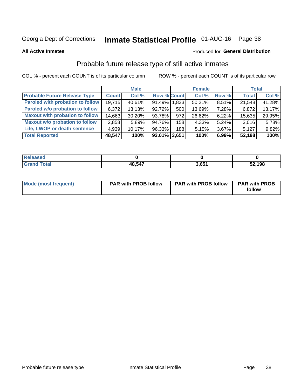# Inmate Statistical Profile 01-AUG-16 Page 38

**All Active Inmates** 

### Produced for General Distribution

### Probable future release type of still active inmates

COL % - percent each COUNT is of its particular column

|                                         |              | <b>Male</b> |                    |     | <b>Female</b> |          | <b>Total</b> |        |
|-----------------------------------------|--------------|-------------|--------------------|-----|---------------|----------|--------------|--------|
| <b>Probable Future Release Type</b>     | <b>Count</b> | Col %       | <b>Row % Count</b> |     | Col %         | Row %    | <b>Total</b> | Col %  |
| <b>Paroled with probation to follow</b> | 19,715       | 40.61%      | 91.49% 1,833       |     | 50.21%        | 8.51%    | 21,548       | 41.28% |
| Paroled w/o probation to follow         | 6,372        | 13.13%      | 92.72%             | 500 | 13.69%        | 7.28%    | 6,872        | 13.17% |
| <b>Maxout with probation to follow</b>  | 14,663       | 30.20%      | 93.78%             | 972 | 26.62%        | 6.22%    | 15,635       | 29.95% |
| <b>Maxout w/o probation to follow</b>   | 2,858        | 5.89%       | 94.76%             | 158 | 4.33%         | $5.24\%$ | 3,016        | 5.78%  |
| Life, LWOP or death sentence            | 4,939        | 10.17%      | 96.33%             | 188 | 5.15%         | 3.67%    | 5,127        | 9.82%  |
| <b>Total Reported</b>                   | 48,547       | 100%        | 93.01% 3,651       |     | 100%          | 6.99%    | 52,198       | 100%   |

| eleased     |        |                 |        |
|-------------|--------|-----------------|--------|
| <b>otal</b> | 48.547 | ) CE1<br>. v. j | 52,198 |

| Mode (most frequent) | <b>PAR with PROB follow</b> | <b>PAR with PROB follow</b> | <b>PAR with PROB</b> |
|----------------------|-----------------------------|-----------------------------|----------------------|
|                      |                             |                             | follow               |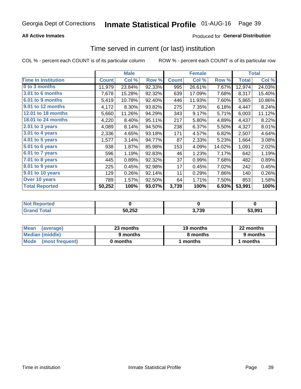### **All Active Inmates**

### **Produced for General Distribution**

# Time served in current (or last) institution

COL % - percent each COUNT is of its particular column

|                            |              | <b>Male</b> |        |              | <b>Female</b> |        |              | <b>Total</b> |
|----------------------------|--------------|-------------|--------|--------------|---------------|--------|--------------|--------------|
| <b>Time In Institution</b> | <b>Count</b> | Col %       | Row %  | <b>Count</b> | Col %         | Row %  | <b>Total</b> | Col %        |
| 0 to 3 months              | 11,979       | 23.84%      | 92.33% | 995          | 26.61%        | 7.67%  | 12,974       | 24.03%       |
| <b>3.01 to 6 months</b>    | 7,678        | 15.28%      | 92.32% | 639          | 17.09%        | 7.68%  | 8,317        | 15.40%       |
| 6.01 to 9 months           | 5,419        | 10.78%      | 92.40% | 446          | 11.93%        | 7.60%  | 5,865        | 10.86%       |
| 9.01 to 12 months          | 4,172        | 8.30%       | 93.82% | 275          | 7.35%         | 6.18%  | 4,447        | 8.24%        |
| <b>12.01 to 18 months</b>  | 5,660        | 11.26%      | 94.29% | 343          | 9.17%         | 5.71%  | 6,003        | 11.12%       |
| <b>18.01 to 24 months</b>  | 4,220        | 8.40%       | 95.11% | 217          | 5.80%         | 4.89%  | 4,437        | 8.22%        |
| $2.01$ to 3 years          | 4,089        | 8.14%       | 94.50% | 238          | 6.37%         | 5.50%  | 4,327        | 8.01%        |
| $3.01$ to 4 years          | 2,336        | 4.65%       | 93.18% | 171          | 4.57%         | 6.82%  | 2,507        | 4.64%        |
| 4.01 to 5 years            | 1,577        | 3.14%       | 94.77% | 87           | 2.33%         | 5.23%  | 1,664        | 3.08%        |
| 5.01 to 6 years            | 938          | 1.87%       | 85.98% | 153          | 4.09%         | 14.02% | 1,091        | 2.02%        |
| 6.01 to 7 years            | 596          | 1.19%       | 92.83% | 46           | 1.23%         | 7.17%  | 642          | 1.19%        |
| 7.01 to 8 years            | 445          | 0.89%       | 92.32% | 37           | 0.99%         | 7.68%  | 482          | 0.89%        |
| 8.01 to 9 years            | 225          | 0.45%       | 92.98% | 17           | 0.45%         | 7.02%  | 242          | 0.45%        |
| 9.01 to 10 years           | 129          | 0.26%       | 92.14% | 11           | 0.29%         | 7.86%  | 140          | 0.26%        |
| Over 10 years              | 789          | 1.57%       | 92.50% | 64           | 1.71%         | 7.50%  | 853          | 1.58%        |
| <b>Total Reported</b>      | 50,252       | 100%        | 93.07% | 3,739        | 100%          | 6.93%  | 53,991       | 100%         |

| <b>NOT</b><br>чес |        |             |        |
|-------------------|--------|-------------|--------|
|                   | 50,252 | 70c<br>, ఎర | 53.991 |

| <b>Mean</b><br>(average) | 23 months | 19 months | 22 months |
|--------------------------|-----------|-----------|-----------|
| Median (middle)          | 9 months  | 8 months  | 9 months  |
| Mode (most frequent)     | 0 months  | months    | l months  |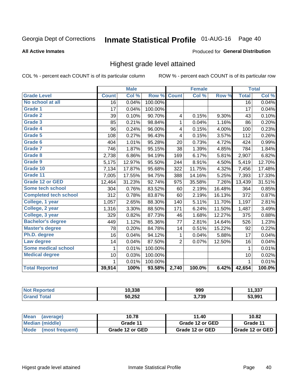#### Inmate Statistical Profile 01-AUG-16 Page 40

### **All Active Inmates**

### Produced for General Distribution

### Highest grade level attained

COL % - percent each COUNT is of its particular column

|                              |                 | <b>Male</b> |         |                | <b>Female</b> |        |                 | <b>Total</b> |
|------------------------------|-----------------|-------------|---------|----------------|---------------|--------|-----------------|--------------|
| <b>Grade Level</b>           | <b>Count</b>    | Col %       | Row %   | <b>Count</b>   | Col %         | Row %  | <b>Total</b>    | Col %        |
| No school at all             | $\overline{16}$ | 0.04%       | 100.00% |                |               |        | $\overline{16}$ | 0.04%        |
| <b>Grade 1</b>               | 17              | 0.04%       | 100.00% |                |               |        | 17              | 0.04%        |
| Grade 2                      | 39              | 0.10%       | 90.70%  | 4              | 0.15%         | 9.30%  | 43              | 0.10%        |
| Grade 3                      | 85              | 0.21%       | 98.84%  | $\mathbf{1}$   | 0.04%         | 1.16%  | 86              | 0.20%        |
| <b>Grade 4</b>               | 96              | 0.24%       | 96.00%  | 4              | 0.15%         | 4.00%  | 100             | 0.23%        |
| <b>Grade 5</b>               | 108             | 0.27%       | 96.43%  | 4              | 0.15%         | 3.57%  | 112             | 0.26%        |
| Grade 6                      | 404             | 1.01%       | 95.28%  | 20             | 0.73%         | 4.72%  | 424             | 0.99%        |
| <b>Grade 7</b>               | 746             | 1.87%       | 95.15%  | 38             | 1.39%         | 4.85%  | 784             | 1.84%        |
| Grade 8                      | 2,738           | 6.86%       | 94.19%  | 169            | 6.17%         | 5.81%  | 2,907           | 6.82%        |
| Grade 9                      | 5,175           | 12.97%      | 95.50%  | 244            | 8.91%         | 4.50%  | 5,419           | 12.70%       |
| Grade 10                     | 7,134           | 17.87%      | 95.68%  | 322            | 11.75%        | 4.32%  | 7,456           | 17.48%       |
| Grade 11                     | 7,005           | 17.55%      | 94.75%  | 388            | 14.16%        | 5.25%  | 7,393           | 17.33%       |
| <b>Grade 12 or GED</b>       | 12,464          | 31.23%      | 92.74%  | 975            | 35.58%        | 7.26%  | 13,439          | 31.51%       |
| <b>Some tech school</b>      | 304             | 0.76%       | 83.52%  | 60             | 2.19%         | 16.48% | 364             | 0.85%        |
| <b>Completed tech school</b> | 312             | 0.78%       | 83.87%  | 60             | 2.19%         | 16.13% | 372             | 0.87%        |
| College, 1 year              | 1,057           | 2.65%       | 88.30%  | 140            | 5.11%         | 11.70% | 1,197           | 2.81%        |
| College, 2 year              | 1,316           | 3.30%       | 88.50%  | 171            | 6.24%         | 11.50% | 1,487           | 3.49%        |
| College, 3 year              | 329             | 0.82%       | 87.73%  | 46             | 1.68%         | 12.27% | 375             | 0.88%        |
| <b>Bachelor's degree</b>     | 449             | 1.12%       | 85.36%  | 77             | 2.81%         | 14.64% | 526             | 1.23%        |
| <b>Master's degree</b>       | 78              | 0.20%       | 84.78%  | 14             | 0.51%         | 15.22% | 92              | 0.22%        |
| Ph.D. degree                 | 16              | 0.04%       | 94.12%  | 1              | 0.04%         | 5.88%  | 17              | 0.04%        |
| Law degree                   | 14              | 0.04%       | 87.50%  | $\overline{2}$ | 0.07%         | 12.50% | 16              | 0.04%        |
| <b>Some medical school</b>   | 1               | 0.01%       | 100.00% |                |               |        | 1               | 0.01%        |
| <b>Medical degree</b>        | 10              | 0.03%       | 100.00% |                |               |        | 10              | 0.02%        |
|                              | 1               | 0.01%       | 100.00% |                |               |        | $\mathbf{1}$    | 0.01%        |
| <b>Total Reported</b>        | 39,914          | 100%        | 93.58%  | 2,740          | 100.0%        | 6.42%  | 42,654          | 100.0%       |

| 10.338        | 999   | 227<br> |
|---------------|-------|---------|
| 50,252<br>∠د∠ | 3,739 | 53.99'  |

| Mean<br>(average)    | 10.78           | 11.40           | 10.82           |
|----------------------|-----------------|-----------------|-----------------|
| Median (middle)      | Grade 11        | Grade 12 or GED | Grade 11        |
| Mode (most frequent) | Grade 12 or GED | Grade 12 or GED | Grade 12 or GED |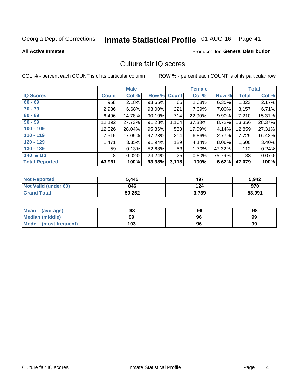# Inmate Statistical Profile 01-AUG-16 Page 41

### **All Active Inmates**

### **Produced for General Distribution**

### Culture fair IQ scores

COL % - percent each COUNT is of its particular column

|                       |              | <b>Male</b> |             |       | <b>Female</b> |        |              | <b>Total</b> |
|-----------------------|--------------|-------------|-------------|-------|---------------|--------|--------------|--------------|
| <b>IQ Scores</b>      | <b>Count</b> | Col %       | Row % Count |       | Col %         | Row %  | <b>Total</b> | Col %        |
| $60 - 69$             | 958          | 2.18%       | 93.65%      | 65    | 2.08%         | 6.35%  | 1,023        | 2.17%        |
| $70 - 79$             | 2,936        | 6.68%       | 93.00%      | 221   | 7.09%         | 7.00%  | 3,157        | 6.71%        |
| $80 - 89$             | 6,496        | 14.78%      | 90.10%      | 714   | 22.90%        | 9.90%  | 7,210        | 15.31%       |
| $90 - 99$             | 12,192       | 27.73%      | 91.28%      | 1,164 | 37.33%        | 8.72%  | 13,356       | 28.37%       |
| $100 - 109$           | 12,326       | 28.04%      | 95.86%      | 533   | 17.09%        | 4.14%  | 12,859       | 27.31%       |
| $110 - 119$           | 7,515        | 17.09%      | 97.23%      | 214   | 6.86%         | 2.77%  | 7,729        | 16.42%       |
| $120 - 129$           | 1,471        | 3.35%       | 91.94%      | 129   | 4.14%         | 8.06%  | 1,600        | 3.40%        |
| $130 - 139$           | 59           | 0.13%       | 52.68%      | 53    | 1.70%         | 47.32% | 112          | 0.24%        |
| 140 & Up              | 8            | 0.02%       | 24.24%      | 25    | 0.80%         | 75.76% | 33           | 0.07%        |
| <b>Total Reported</b> | 43,961       | 100%        | 93.38%      | 3,118 | 100%          | 6.62%  | 47,079       | 100%         |

| <b>Not Reported</b>         | 5,445  | 497   | 5,942  |
|-----------------------------|--------|-------|--------|
| <b>Not Valid (under 60)</b> | 846    | 124   | 970    |
| <b>Grand Total</b>          | 50,252 | 3,739 | 53,991 |

| <b>Mean</b><br>(average)       | 98  | 96 | 98 |
|--------------------------------|-----|----|----|
| Median (middle)                | 99  | 96 | 99 |
| <b>Mode</b><br>(most frequent) | 103 | 96 | 99 |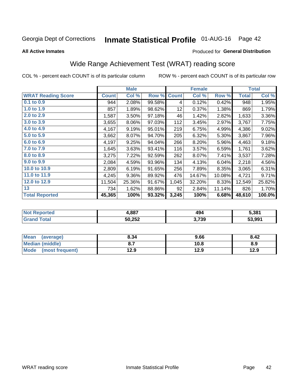# Inmate Statistical Profile 01-AUG-16 Page 42

### **All Active Inmates**

### Produced for General Distribution

# Wide Range Achievement Test (WRAT) reading score

COL % - percent each COUNT is of its particular column

|                           |              | <b>Male</b> |        |              | <b>Female</b> |        |              | <b>Total</b> |
|---------------------------|--------------|-------------|--------|--------------|---------------|--------|--------------|--------------|
| <b>WRAT Reading Score</b> | <b>Count</b> | Col %       | Row %  | <b>Count</b> | Col %         | Row %  | <b>Total</b> | Col %        |
| $0.1$ to $0.9$            | 944          | 2.08%       | 99.58% | 4            | 0.12%         | 0.42%  | 948          | 1.95%        |
| 1.0 to 1.9                | 857          | 1.89%       | 98.62% | 12           | 0.37%         | 1.38%  | 869          | 1.79%        |
| 2.0 to 2.9                | 1,587        | 3.50%       | 97.18% | 46           | 1.42%         | 2.82%  | 1,633        | 3.36%        |
| 3.0 to 3.9                | 3,655        | 8.06%       | 97.03% | 112          | 3.45%         | 2.97%  | 3,767        | 7.75%        |
| 4.0 to 4.9                | 4,167        | 9.19%       | 95.01% | 219          | 6.75%         | 4.99%  | 4,386        | 9.02%        |
| 5.0 to 5.9                | 3,662        | 8.07%       | 94.70% | 205          | 6.32%         | 5.30%  | 3,867        | 7.96%        |
| 6.0 to 6.9                | 4,197        | 9.25%       | 94.04% | 266          | 8.20%         | 5.96%  | 4,463        | 9.18%        |
| 7.0 to 7.9                | 1,645        | 3.63%       | 93.41% | 116          | 3.57%         | 6.59%  | 1,761        | 3.62%        |
| 8.0 to 8.9                | 3,275        | 7.22%       | 92.59% | 262          | 8.07%         | 7.41%  | 3,537        | 7.28%        |
| 9.0 to 9.9                | 2,084        | 4.59%       | 93.96% | 134          | 4.13%         | 6.04%  | 2,218        | 4.56%        |
| 10.0 to 10.9              | 2,809        | 6.19%       | 91.65% | 256          | 7.89%         | 8.35%  | 3,065        | 6.31%        |
| 11.0 to 11.9              | 4,245        | 9.36%       | 89.92% | 476          | 14.67%        | 10.08% | 4,721        | 9.71%        |
| 12.0 to 12.9              | 11,504       | 25.36%      | 91.67% | 1,045        | 32.20%        | 8.33%  | 12,549       | 25.82%       |
| 13                        | 734          | 1.62%       | 88.86% | 92           | 2.84%         | 11.14% | 826          | 1.70%        |
| <b>Total Reported</b>     | 45,365       | 100%        | 93.32% | 3,245        | 100%          | 6.68%  | 48,610       | 100.0%       |

| NO | 4,887  | 494   | 5,381  |
|----|--------|-------|--------|
|    | 50,252 | 3,739 | 53.991 |

| <b>Mean</b><br>(average)       | 8.34 | 9.66 | 8.42 |
|--------------------------------|------|------|------|
| Median (middle)                |      | 10.8 | 8.9  |
| <b>Mode</b><br>(most frequent) | 12.9 | 12.9 | 12.9 |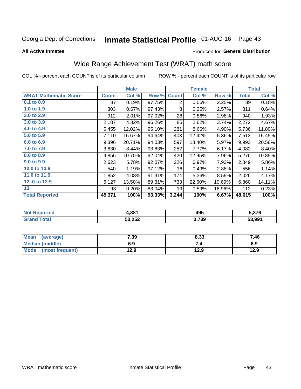# Inmate Statistical Profile 01-AUG-16 Page 43

**All Active Inmates** 

### Produced for General Distribution

# Wide Range Achievement Test (WRAT) math score

COL % - percent each COUNT is of its particular column

|                              |              | <b>Male</b> |        |                | <b>Female</b> |        |              | <b>Total</b> |
|------------------------------|--------------|-------------|--------|----------------|---------------|--------|--------------|--------------|
| <b>WRAT Mathematic Score</b> | <b>Count</b> | Col %       | Row %  | <b>Count</b>   | Col %         | Row %  | <b>Total</b> | Col %        |
| $0.1$ to $0.9$               | 87           | 0.19%       | 97.75% | $\overline{2}$ | 0.06%         | 2.25%  | 89           | 0.18%        |
| 1.0 to 1.9                   | 303          | 0.67%       | 97.43% | 8              | 0.25%         | 2.57%  | 311          | 0.64%        |
| 2.0 to 2.9                   | 912          | 2.01%       | 97.02% | 28             | 0.86%         | 2.98%  | 940          | 1.93%        |
| 3.0 to 3.9                   | 2,187        | 4.82%       | 96.26% | 85             | 2.62%         | 3.74%  | 2,272        | 4.67%        |
| 4.0 to 4.9                   | 5,455        | 12.02%      | 95.10% | 281            | 8.66%         | 4.90%  | 5,736        | 11.80%       |
| 5.0 to 5.9                   | 7,110        | 15.67%      | 94.64% | 403            | 12.42%        | 5.36%  | 7,513        | 15.45%       |
| 6.0 to 6.9                   | 9,396        | 20.71%      | 94.03% | 597            | 18.40%        | 5.97%  | 9,993        | 20.56%       |
| 7.0 to 7.9                   | 3,830        | 8.44%       | 93.83% | 252            | 7.77%         | 6.17%  | 4,082        | 8.40%        |
| 8.0 to 8.9                   | 4,856        | 10.70%      | 92.04% | 420            | 12.95%        | 7.96%  | 5,276        | 10.85%       |
| 9.0 to 9.9                   | 2,623        | 5.78%       | 92.07% | 226            | 6.97%         | 7.93%  | 2,849        | 5.86%        |
| 10.0 to 10.9                 | 540          | 1.19%       | 97.12% | 16             | 0.49%         | 2.88%  | 556          | 1.14%        |
| 11.0 to 11.9                 | 1,852        | 4.08%       | 91.41% | 174            | 5.36%         | 8.59%  | 2,026        | 4.17%        |
| 12.0 to 12.9                 | 6,127        | 13.50%      | 89.31% | 733            | 22.60%        | 10.69% | 6,860        | 14.11%       |
| 13                           | 93           | 0.20%       | 83.04% | 19             | 0.59%         | 16.96% | 112          | 0.23%        |
| <b>Total Reported</b>        | 45,371       | 100%        | 93.33% | 3,244          | 100%          | 6.67%  | 48,615       | 100%         |

| rteo<br>NO | 4,881  | 495   | 5,376  |
|------------|--------|-------|--------|
|            | 50,252 | 3,739 | 53.991 |

| <b>Mean</b><br>(average) | 7.39 | 8.33 | 7.46 |
|--------------------------|------|------|------|
| <b>Median (middle)</b>   | 6.9  |      | 6.9  |
| Mode (most frequent)     | 12.9 | 12.9 | 12.9 |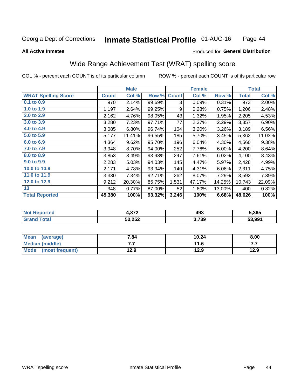#### **Inmate Statistical Profile 01-AUG-16** Page 44

### **All Active Inmates**

### Produced for General Distribution

# Wide Range Achievement Test (WRAT) spelling score

COL % - percent each COUNT is of its particular column

|                            |              | <b>Male</b> |        |              | <b>Female</b> |        |              | <b>Total</b> |
|----------------------------|--------------|-------------|--------|--------------|---------------|--------|--------------|--------------|
| <b>WRAT Spelling Score</b> | <b>Count</b> | Col %       | Row %  | <b>Count</b> | Col %         | Row %  | <b>Total</b> | Col %        |
| $0.1$ to $0.9$             | 970          | 2.14%       | 99.69% | 3            | 0.09%         | 0.31%  | 973          | 2.00%        |
| 1.0 to 1.9                 | 1,197        | 2.64%       | 99.25% | 9            | 0.28%         | 0.75%  | 1,206        | 2.48%        |
| 2.0 to 2.9                 | 2,162        | 4.76%       | 98.05% | 43           | 1.32%         | 1.95%  | 2,205        | 4.53%        |
| 3.0 to 3.9                 | 3,280        | 7.23%       | 97.71% | 77           | 2.37%         | 2.29%  | 3,357        | 6.90%        |
| 4.0 to 4.9                 | 3,085        | 6.80%       | 96.74% | 104          | 3.20%         | 3.26%  | 3,189        | 6.56%        |
| 5.0 to 5.9                 | 5,177        | 11.41%      | 96.55% | 185          | 5.70%         | 3.45%  | 5,362        | 11.03%       |
| 6.0 to 6.9                 | 4,364        | 9.62%       | 95.70% | 196          | 6.04%         | 4.30%  | 4,560        | 9.38%        |
| 7.0 to 7.9                 | 3,948        | 8.70%       | 94.00% | 252          | 7.76%         | 6.00%  | 4,200        | 8.64%        |
| 8.0 to 8.9                 | 3,853        | 8.49%       | 93.98% | 247          | 7.61%         | 6.02%  | 4,100        | 8.43%        |
| 9.0 to 9.9                 | 2,283        | 5.03%       | 94.03% | 145          | 4.47%         | 5.97%  | 2,428        | 4.99%        |
| 10.0 to 10.9               | 2,171        | 4.78%       | 93.94% | 140          | 4.31%         | 6.06%  | 2,311        | 4.75%        |
| 11.0 to 11.9               | 3,330        | 7.34%       | 92.71% | 262          | 8.07%         | 7.29%  | 3,592        | 7.39%        |
| 12.0 to 12.9               | 9,212        | 20.30%      | 85.75% | 1,531        | 47.17%        | 14.25% | 10,743       | 22.09%       |
| 13                         | 348          | 0.77%       | 87.00% | 52           | 1.60%         | 13.00% | 400          | 0.82%        |
| <b>Total Reported</b>      | 45,380       | 100%        | 93.32% | 3,246        | 100%          | 6.68%  | 48,626       | 100%         |

| NO | 872    | 493   | 5,365  |
|----|--------|-------|--------|
|    | 50,252 | 3,739 | 53.991 |

| Mean<br>(average)       | 7.84 | 10.24 | 8.00 |
|-------------------------|------|-------|------|
| <b>Median (middle)</b>  | . .  | 11.6  | .    |
| Mode<br>(most frequent) | 12.9 | 12.9  | 12.9 |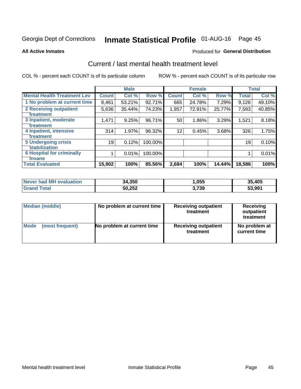# Inmate Statistical Profile 01-AUG-16 Page 45

### **All Active Inmates**

### **Produced for General Distribution**

### Current / last mental health treatment level

COL % - percent each COUNT is of its particular column

|                                    |              | <b>Male</b> |         |              | <b>Female</b> |        |              | <b>Total</b> |
|------------------------------------|--------------|-------------|---------|--------------|---------------|--------|--------------|--------------|
| <b>Mental Health Treatment Lev</b> | <b>Count</b> | Col %       | Row %   | <b>Count</b> | Col %         | Row %  | <b>Total</b> | Col %        |
| 1 No problem at current time       | 8,461        | 53.21%      | 92.71%  | 665          | 24.78%        | 7.29%  | 9,126        | 49.10%       |
| 2 Receiving outpatient             | 5,636        | 35.44%      | 74.23%  | 1,957        | 72.91%        | 25.77% | 7,593        | 40.85%       |
| <b>Treatment</b>                   |              |             |         |              |               |        |              |              |
| 3 Inpatient, moderate              | 1,471        | 9.25%       | 96.71%  | 50           | 1.86%         | 3.29%  | 1,521        | 8.18%        |
| Treatment                          |              |             |         |              |               |        |              |              |
| 4 Inpatient, intensive             | 314          | 1.97%       | 96.32%  | 12           | 0.45%         | 3.68%  | 326          | 1.75%        |
| <b>Treatment</b>                   |              |             |         |              |               |        |              |              |
| 5 Undergoing crisis                | 19           | 0.12%       | 100.00% |              |               |        | 19           | 0.10%        |
| <b>stabilization</b>               |              |             |         |              |               |        |              |              |
| <b>6 Hospital for criminally</b>   |              | 0.01%       | 100.00% |              |               |        |              | 0.01%        |
| <b>Tinsane</b>                     |              |             |         |              |               |        |              |              |
| <b>Total Evaluated</b>             | 15,902       | 100%        | 85.56%  | 2,684        | 100%          | 14.44% | 18,586       | 100%         |

| Never had MH evaluation | 34,350 | ,055  | 35,405 |
|-------------------------|--------|-------|--------|
| <b>Grand Total</b>      | 50,252 | 3,739 | 53,991 |

| Median (middle) | No problem at current time | <b>Receiving outpatient</b><br>treatment | <b>Receiving</b><br>outpatient<br>treatment |
|-----------------|----------------------------|------------------------------------------|---------------------------------------------|
| <b>Mode</b>     | No problem at current time | <b>Receiving outpatient</b>              | No problem at                               |
| (most frequent) |                            | treatment                                | current time                                |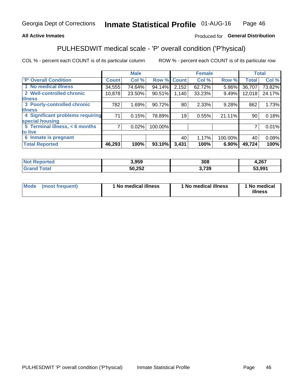### **All Active Inmates**

### Produced for General Distribution

# PULHESDWIT medical scale - 'P' overall condition ('P'hysical)

COL % - percent each COUNT is of its particular column

|                                  |              | <b>Male</b> |         |              | <b>Female</b> |         |                 | <b>Total</b> |
|----------------------------------|--------------|-------------|---------|--------------|---------------|---------|-----------------|--------------|
| 'P' Overall Condition            | <b>Count</b> | Col %       | Row %   | <b>Count</b> | Col %         | Row %   | <b>Total</b>    | Col %        |
| 1 No medical illness             | 34,555       | 74.64%      | 94.14%  | 2,152        | 62.72%        | 5.86%   | 36,707          | 73.82%       |
| 2 Well-controlled chronic        | 10,878       | 23.50%      | 90.51%  | 1,140        | 33.23%        | 9.49%   | 12,018          | 24.17%       |
| <b>illness</b>                   |              |             |         |              |               |         |                 |              |
| 3 Poorly-controlled chronic      | 782          | 1.69%       | 90.72%  | 80           | 2.33%         | 9.28%   | 862             | 1.73%        |
| <b>illness</b>                   |              |             |         |              |               |         |                 |              |
| 4 Significant problems requiring | 71           | 0.15%       | 78.89%  | 19           | 0.55%         | 21.11%  | 90 <sup>°</sup> | 0.18%        |
| special housing                  |              |             |         |              |               |         |                 |              |
| 5 Terminal illness, < 6 months   | 7            | 0.02%       | 100.00% |              |               |         | 7               | 0.01%        |
| to live                          |              |             |         |              |               |         |                 |              |
| 6 Inmate is pregnant             |              |             |         | 40           | 1.17%         | 100.00% | 40              | 0.08%        |
| <b>Total Reported</b>            | 46,293       | 100%        | 93.10%  | 3,431        | 100%          | 6.90%   | 49,724          | 100%         |

| uec | 3.959            | 308 | 267<br>0.ZV |
|-----|------------------|-----|-------------|
|     | EN NEN<br>ے کہ ہ | 739 | 53.991      |

| Mode | (most frequent) | 1 No medical illness | 1 No medical illness | 1 No medical<br>illness |
|------|-----------------|----------------------|----------------------|-------------------------|
|------|-----------------|----------------------|----------------------|-------------------------|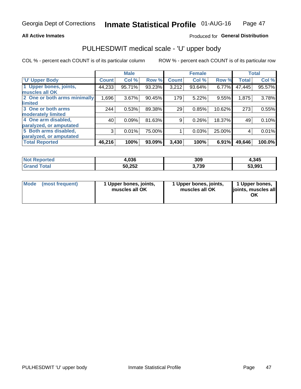### **All Active Inmates**

### Produced for General Distribution

# PULHESDWIT medical scale - 'U' upper body

COL % - percent each COUNT is of its particular column

|                                                  |              | <b>Male</b> |        |              | <b>Female</b> |        |              | <b>Total</b> |
|--------------------------------------------------|--------------|-------------|--------|--------------|---------------|--------|--------------|--------------|
| <b>'U' Upper Body</b>                            | <b>Count</b> | Col %       | Row %  | <b>Count</b> | Col %         | Row %  | <b>Total</b> | Col %        |
| 1 Upper bones, joints,<br>muscles all OK         | 44,233       | 95.71%      | 93.23% | 3,212        | 93.64%        | 6.77%  | 47,445       | 95.57%       |
| 2 One or both arms minimally<br>limited          | 1,696        | 3.67%       | 90.45% | 179          | 5.22%         | 9.55%  | 1,875        | 3.78%        |
| 3 One or both arms<br><b>moderately limited</b>  | 244          | 0.53%       | 89.38% | 29           | 0.85%         | 10.62% | 273          | 0.55%        |
| 4 One arm disabled,<br>paralyzed, or amputated   | 40           | 0.09%       | 81.63% | 9            | 0.26%         | 18.37% | 49           | 0.10%        |
| 5 Both arms disabled,<br>paralyzed, or amputated | 3            | 0.01%       | 75.00% |              | 0.03%         | 25.00% | 4            | 0.01%        |
| <b>Total Reported</b>                            | 46,216       | 100%        | 93.09% | 3,430        | 100%          | 6.91%  | 49,646       | 100.0%       |

| <b>Not Reported</b>   | 4,036  | 309   | 1,345  |
|-----------------------|--------|-------|--------|
| Total<br><b>Grand</b> | 50,252 | 3,739 | 53,991 |

|  | Mode (most frequent) | 1 Upper bones, joints,<br>muscles all OK | 1 Upper bones, joints,<br>muscles all OK | 1 Upper bones,<br>joints, muscles all<br>ΟK |
|--|----------------------|------------------------------------------|------------------------------------------|---------------------------------------------|
|--|----------------------|------------------------------------------|------------------------------------------|---------------------------------------------|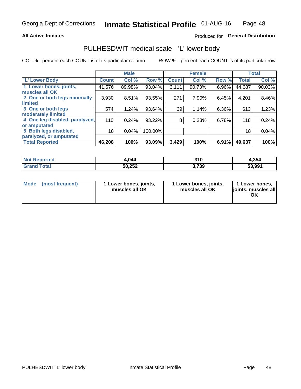### **All Active Inmates**

### Produced for General Distribution

### PULHESDWIT medical scale - 'L' lower body

COL % - percent each COUNT is of its particular column

|                                |              | <b>Male</b> |         |              | <b>Female</b> |       |              | <b>Total</b> |
|--------------------------------|--------------|-------------|---------|--------------|---------------|-------|--------------|--------------|
| 'L' Lower Body                 | <b>Count</b> | Col %       | Row %   | <b>Count</b> | Col %         | Row % | <b>Total</b> | Col %        |
| 1 Lower bones, joints,         | 41,576       | 89.98%      | 93.04%  | 3,111        | 90.73%        | 6.96% | 44,687       | 90.03%       |
| muscles all OK                 |              |             |         |              |               |       |              |              |
| 2 One or both legs minimally   | 3,930        | 8.51%       | 93.55%  | 271          | 7.90%         | 6.45% | 4,201        | 8.46%        |
| limited                        |              |             |         |              |               |       |              |              |
| 3 One or both legs             | 574          | 1.24%       | 93.64%  | 39           | 1.14%         | 6.36% | 613          | 1.23%        |
| moderately limited             |              |             |         |              |               |       |              |              |
| 4 One leg disabled, paralyzed, | 110          | 0.24%       | 93.22%  | 8            | 0.23%         | 6.78% | 118          | 0.24%        |
| or amputated                   |              |             |         |              |               |       |              |              |
| 5 Both legs disabled,          | 18           | 0.04%       | 100.00% |              |               |       | 18           | 0.04%        |
| paralyzed, or amputated        |              |             |         |              |               |       |              |              |
| <b>Total Reported</b>          | 46,208       | 100%        | 93.09%  | 3,429        | 100%          | 6.91% | 49,637       | 100%         |

| <b>Not Reported</b>          | 4.044  | 310   | 4,354  |
|------------------------------|--------|-------|--------|
| <b>Total</b><br><b>Grand</b> | 50,252 | 3,739 | 53,991 |

| Mode | (most frequent) | 1 Lower bones, joints,<br>muscles all OK | I Lower bones, joints,<br>muscles all OK | 1 Lower bones,<br>joints, muscles all<br>ΟK |
|------|-----------------|------------------------------------------|------------------------------------------|---------------------------------------------|
|------|-----------------|------------------------------------------|------------------------------------------|---------------------------------------------|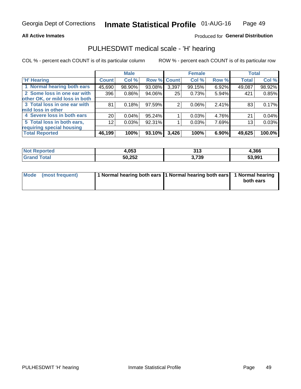### **All Active Inmates**

### Produced for General Distribution

### PULHESDWIT medical scale - 'H' hearing

COL % - percent each COUNT is of its particular column

|                                |              | <b>Male</b> |           |             | <b>Female</b> |       | <b>Total</b> |        |
|--------------------------------|--------------|-------------|-----------|-------------|---------------|-------|--------------|--------|
| <b>H' Hearing</b>              | <b>Count</b> | Col %       |           | Row % Count | Col %         | Row % | <b>Total</b> | Col %  |
| 1 Normal hearing both ears     | 45,690       | 98.90%      | 93.08%    | 3,397       | 99.15%        | 6.92% | 49,087       | 98.92% |
| 2 Some loss in one ear with    | 396          | 0.86%       | 94.06%    | 25          | 0.73%         | 5.94% | 421          | 0.85%  |
| other OK, or mild loss in both |              |             |           |             |               |       |              |        |
| 3 Total loss in one ear with   | 81           | 0.18%       | 97.59%    | 2           | 0.06%         | 2.41% | 83           | 0.17%  |
| mild loss in other             |              |             |           |             |               |       |              |        |
| 4 Severe loss in both ears     | 20           | 0.04%       | 95.24%    |             | 0.03%         | 4.76% | 21           | 0.04%  |
| 5 Total loss in both ears,     | 12           | 0.03%       | 92.31%    |             | 0.03%         | 7.69% | 13           | 0.03%  |
| requiring special housing      |              |             |           |             |               |       |              |        |
| <b>Total Reported</b>          | 46,199       | 100%        | $93.10\%$ | 3,426       | 100%          | 6.90% | 49,625       | 100.0% |

| <b>Not Reno</b> | <b>OE2</b> | 949   | 1,366  |
|-----------------|------------|-------|--------|
| anorted and     | ⊶.∪ວວ      | UIJ   |        |
| Total           | 50,252     | 3,739 | 53,991 |

| Mode (most frequent) | 1 Normal hearing both ears 1 Normal hearing both ears 1 Normal hearing | both ears |
|----------------------|------------------------------------------------------------------------|-----------|
|                      |                                                                        |           |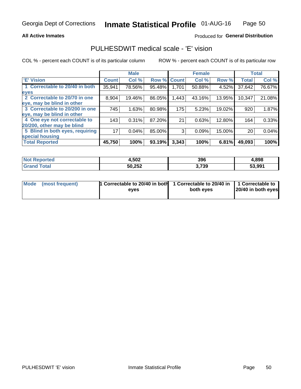### **All Active Inmates**

### Produced for General Distribution

### PULHESDWIT medical scale - 'E' vision

COL % - percent each COUNT is of its particular column

|                                 |              | <b>Male</b> |        |              | <b>Female</b> |        |              | <b>Total</b> |
|---------------------------------|--------------|-------------|--------|--------------|---------------|--------|--------------|--------------|
| 'E' Vision                      | <b>Count</b> | Col %       | Row %  | <b>Count</b> | Col %         | Row %  | <b>Total</b> | Col %        |
| 1 Correctable to 20/40 in both  | 35,941       | 78.56%      | 95.48% | 1.701        | 50.88%        | 4.52%  | 37,642       | 76.67%       |
| eyes                            |              |             |        |              |               |        |              |              |
| 2 Correctable to 20/70 in one   | 8,904        | 19.46%      | 86.05% | .443         | 43.16%        | 13.95% | 10,347       | 21.08%       |
| eye, may be blind in other      |              |             |        |              |               |        |              |              |
| 3 Correctable to 20/200 in one  | 745          | 1.63%       | 80.98% | 175          | 5.23%         | 19.02% | 920          | 1.87%        |
| leye, may be blind in other     |              |             |        |              |               |        |              |              |
| 4 One eye not correctable to    | 143          | 0.31%       | 87.20% | 21           | 0.63%         | 12.80% | 164          | 0.33%        |
| 20/200, other may be blind      |              |             |        |              |               |        |              |              |
| 5 Blind in both eyes, requiring | 17           | 0.04%       | 85.00% | 3            | 0.09%         | 15.00% | 20           | 0.04%        |
| special housing                 |              |             |        |              |               |        |              |              |
| <b>Total Reported</b>           | 45,750       | 100%        | 93.19% | 3,343        | 100%          | 6.81%  | 49,093       | 100%         |

| <b>Not Reported</b> | 4,502  | 396   | 4,898  |
|---------------------|--------|-------|--------|
| Гоtа                | 50,252 | 3,739 | 53.991 |

| Mode (most frequent) | 1 Correctable to 20/40 in both<br>eves | 1 Correctable to 20/40 in   1 Correctable to  <br>both eves | 20/40 in both eyes |
|----------------------|----------------------------------------|-------------------------------------------------------------|--------------------|
|                      |                                        |                                                             |                    |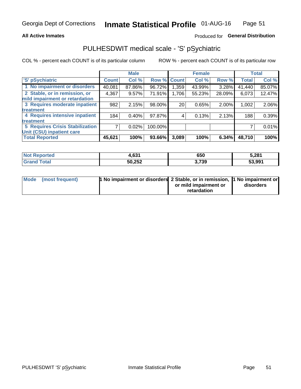### **All Active Inmates**

### Produced for General Distribution

# PULHESDWIT medical scale - 'S' pSychiatric

COL % - percent each COUNT is of its particular column

|                                        |              | <b>Male</b> |         |                    | <b>Female</b> |        |              | <b>Total</b> |
|----------------------------------------|--------------|-------------|---------|--------------------|---------------|--------|--------------|--------------|
| 'S' pSychiatric                        | <b>Count</b> | Col %       |         | <b>Row % Count</b> | Col %         | Row %  | <b>Total</b> | Col %        |
| 1 No impairment or disorders           | 40,081       | 87.86%      | 96.72%  | 1,359              | 43.99%        | 3.28%  | 41,440       | 85.07%       |
| 2 Stable, or in remission, or          | 4,367        | 9.57%       | 71.91%  | 1,706              | 55.23%        | 28.09% | 6,073        | 12.47%       |
| mild impairment or retardation         |              |             |         |                    |               |        |              |              |
| 3 Requires moderate inpatient          | 982          | 2.15%       | 98.00%  | 20                 | 0.65%         | 2.00%  | 1,002        | 2.06%        |
| treatment                              |              |             |         |                    |               |        |              |              |
| 4 Requires intensive inpatient         | 184          | 0.40%       | 97.87%  | 4                  | 0.13%         | 2.13%  | 188          | 0.39%        |
| treatment                              |              |             |         |                    |               |        |              |              |
| <b>5 Requires Crisis Stabilization</b> |              | 0.02%       | 100.00% |                    |               |        |              | 0.01%        |
| Unit (CSU) inpatient care              |              |             |         |                    |               |        |              |              |
| <b>Total Reported</b>                  | 45,621       | 100%        | 93.66%  | 3,089              | 100%          | 6.34%  | 48,710       | 100%         |

| <b>Not Reported</b> | 4,631  | 650   | 5,281  |
|---------------------|--------|-------|--------|
| Total<br>' Grand    | 50,252 | 3,739 | 53,991 |

| Mode (most frequent) | <b>1 No impairment or disorders 2 Stable, or in remission, 1 No impairment or</b> |                       |           |
|----------------------|-----------------------------------------------------------------------------------|-----------------------|-----------|
|                      |                                                                                   | or mild impairment or | disorders |
|                      |                                                                                   | retardation           |           |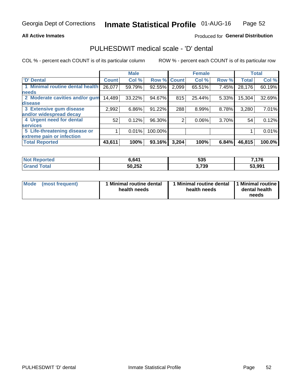### **All Active Inmates**

### Produced for General Distribution

### PULHESDWIT medical scale - 'D' dental

COL % - percent each COUNT is of its particular column

|                                 |              | <b>Male</b> |         |              | <b>Female</b> |       |              | <b>Total</b> |
|---------------------------------|--------------|-------------|---------|--------------|---------------|-------|--------------|--------------|
| <b>D' Dental</b>                | <b>Count</b> | Col %       | Row %   | <b>Count</b> | Col %         | Row % | <b>Total</b> | Col %        |
| 1 Minimal routine dental health | 26,077       | 59.79%      | 92.55%  | 2,099        | 65.51%        | 7.45% | 28,176       | 60.19%       |
| <b>needs</b>                    |              |             |         |              |               |       |              |              |
| 2 Moderate cavities and/or gum  | 14,489       | 33.22%      | 94.67%  | 815          | 25.44%        | 5.33% | 15,304       | 32.69%       |
| disease                         |              |             |         |              |               |       |              |              |
| 3 Extensive gum disease         | 2,992        | 6.86%       | 91.22%  | 288          | 8.99%         | 8.78% | 3,280        | 7.01%        |
| and/or widespread decay         |              |             |         |              |               |       |              |              |
| 4 Urgent need for dental        | 52           | 0.12%       | 96.30%  | 2            | $0.06\%$      | 3.70% | 54           | 0.12%        |
| <b>services</b>                 |              |             |         |              |               |       |              |              |
| 5 Life-threatening disease or   |              | 0.01%       | 100.00% |              |               |       |              | 0.01%        |
| extreme pain or infection       |              |             |         |              |               |       |              |              |
| <b>Total Reported</b>           | 43,611       | 100%        | 93.16%  | 3,204        | 100%          | 6.84% | 46,815       | 100.0%       |

| <b>Not Reported</b> | 6,641  | 535   | 7,176  |
|---------------------|--------|-------|--------|
| Total<br>' Grand    | 50,252 | 3,739 | 53,991 |

| 1 Minimal routine dental<br>Mode<br>(most frequent)<br>health needs | 1 Minimal routine dental 1 Minimal routine<br>health needs | dental health<br>needs |
|---------------------------------------------------------------------|------------------------------------------------------------|------------------------|
|---------------------------------------------------------------------|------------------------------------------------------------|------------------------|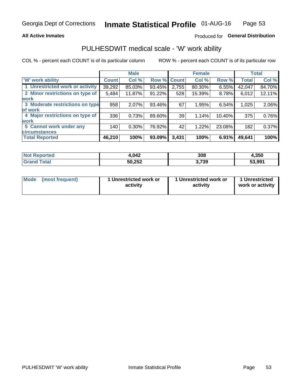### **All Active Inmates**

### Produced for General Distribution

### PULHESDWIT medical scale - 'W' work ability

COL % - percent each COUNT is of its particular column

|                                 |              | <b>Male</b> |                    |       | <b>Female</b> |        |              | <b>Total</b> |
|---------------------------------|--------------|-------------|--------------------|-------|---------------|--------|--------------|--------------|
| <b>W'</b> work ability          | <b>Count</b> | Col %       | <b>Row % Count</b> |       | Col %         | Row %  | <b>Total</b> | Col %        |
| 1 Unrestricted work or activity | 39,292       | 85.03%      | 93.45%             | 2,755 | $80.30\%$     | 6.55%  | 42,047       | 84.70%       |
| 2 Minor restrictions on type of | 5,484        | 11.87%      | 91.22%             | 528   | 15.39%        | 8.78%  | 6,012        | 12.11%       |
| <b>work</b>                     |              |             |                    |       |               |        |              |              |
| 3 Moderate restrictions on type | 958          | 2.07%       | 93.46%             | 67    | 1.95%         | 6.54%  | 1,025        | 2.06%        |
| of work                         |              |             |                    |       |               |        |              |              |
| 4 Major restrictions on type of | 336          | 0.73%       | 89.60%             | 39    | 1.14%         | 10.40% | 375          | 0.76%        |
| <b>work</b>                     |              |             |                    |       |               |        |              |              |
| 5 Cannot work under any         | 140          | $0.30\%$    | 76.92%             | 42    | 1.22%         | 23.08% | 182          | 0.37%        |
| <b>circumstances</b>            |              |             |                    |       |               |        |              |              |
| <b>Total Reported</b>           | 46,210       | 100%        | 93.09%             | 3,431 | 100%          | 6.91%  | 49,641       | 100%         |

| <b>Not Reported</b> | 042.ا  | 308   | 4,350  |
|---------------------|--------|-------|--------|
| Total<br>Cron.      | 50,252 | 3,739 | 53,991 |

| Mode            | 1 Unrestricted work or | 1 Unrestricted work or | 1 Unrestricted   |
|-----------------|------------------------|------------------------|------------------|
| (most frequent) | activity               | activity               | work or activity |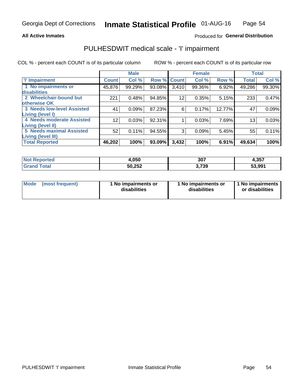### **All Active Inmates**

### Produced for General Distribution

# PULHESDWIT medical scale - 'I' impairment

COL % - percent each COUNT is of its particular column

|                                   |                 | <b>Male</b> |             |                 | <b>Female</b> |        |              | <b>Total</b> |
|-----------------------------------|-----------------|-------------|-------------|-----------------|---------------|--------|--------------|--------------|
| <b>T' Impairment</b>              | <b>Count</b>    | Col %       | Row % Count |                 | Col %         | Row %  | <b>Total</b> | Col %        |
| 1 No impairments or               | 45,876          | 99.29%      | 93.08%      | 3,410           | 99.36%        | 6.92%  | 49,286       | 99.30%       |
| disabilities                      |                 |             |             |                 |               |        |              |              |
| 2 Wheelchair-bound but            | 221             | 0.48%       | 94.85%      | 12 <sub>2</sub> | 0.35%         | 5.15%  | 233          | 0.47%        |
| otherwise OK                      |                 |             |             |                 |               |        |              |              |
| <b>3 Needs low-level Assisted</b> | 41              | 0.09%       | 87.23%      | 6               | 0.17%         | 12.77% | 47           | 0.09%        |
| Living (level I)                  |                 |             |             |                 |               |        |              |              |
| <b>4 Needs moderate Assisted</b>  | 12 <sub>2</sub> | 0.03%       | 92.31%      |                 | 0.03%         | 7.69%  | 13           | 0.03%        |
| <b>Living (level II)</b>          |                 |             |             |                 |               |        |              |              |
| <b>5 Needs maximal Assisted</b>   | 52              | 0.11%       | 94.55%      | 3               | 0.09%         | 5.45%  | 55           | 0.11%        |
| <b>Living (level III)</b>         |                 |             |             |                 |               |        |              |              |
| <b>Total Reported</b>             | 46,202          | 100%        | 93.09%      | 3,432           | 100%          | 6.91%  | 49,634       | 100%         |

| <b>Not</b><br><b>Reported</b> | 050،ا  | 307  | 4,357  |
|-------------------------------|--------|------|--------|
| 'otal                         | 50,252 | ,739 | 53,991 |

| <b>Mode</b> | (most frequent) | <b>No impairments or</b><br>disabilities | 1 No impairments or<br>disabilities | 1 No impairments<br>or disabilities |
|-------------|-----------------|------------------------------------------|-------------------------------------|-------------------------------------|
|-------------|-----------------|------------------------------------------|-------------------------------------|-------------------------------------|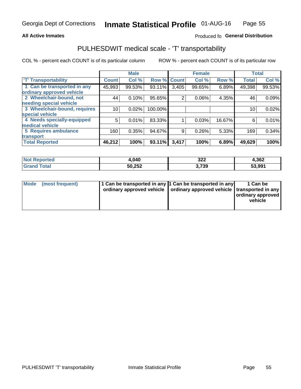### **All Active Inmates**

### Produced fo General Distribution

### PULHESDWIT medical scale - 'T' transportability

COL % - percent each COUNT is of its particular column

|                              |              | <b>Male</b> |         |              | <b>Female</b> |        | <b>Total</b> |        |
|------------------------------|--------------|-------------|---------|--------------|---------------|--------|--------------|--------|
| <b>T' Transportability</b>   | <b>Count</b> | Col %       | Row %   | <b>Count</b> | Col %         | Row %  | <b>Total</b> | Col %  |
| 1 Can be transported in any  | 45,993       | 99.53%      | 93.11%  | 3,405        | 99.65%        | 6.89%  | 49,398       | 99.53% |
| ordinary approved vehicle    |              |             |         |              |               |        |              |        |
| 2 Wheelchair-bound, not      | 44           | 0.10%       | 95.65%  | 2            | 0.06%         | 4.35%  | 46           | 0.09%  |
| needing special vehicle      |              |             |         |              |               |        |              |        |
| 3 Wheelchair-bound, requires | 10           | 0.02%       | 100.00% |              |               |        | 10           | 0.02%  |
| special vehicle              |              |             |         |              |               |        |              |        |
| 4 Needs specially-equipped   | 5            | 0.01%       | 83.33%  |              | 0.03%         | 16.67% | 6            | 0.01%  |
| medical vehicle              |              |             |         |              |               |        |              |        |
| <b>5 Requires ambulance</b>  | 160          | 0.35%       | 94.67%  | 9            | 0.26%         | 5.33%  | 169          | 0.34%  |
| transport                    |              |             |         |              |               |        |              |        |
| <b>Total Reported</b>        | 46,212       | 100%        | 93.11%  | 3,417        | 100%          | 6.89%  | 49,629       | 100%   |

| <b>Not</b><br>Reported | 040.ا  | 322<br>__      | 4,362  |
|------------------------|--------|----------------|--------|
| Total                  | 50,252 | 720<br>J. I JJ | 53,991 |

|  | Mode (most frequent) | 1 Can be transported in any 1 Can be transported in any<br>ordinary approved vehicle   ordinary approved vehicle   transported in any |  | 1 Can be<br>  ordinary approved  <br>vehicle |
|--|----------------------|---------------------------------------------------------------------------------------------------------------------------------------|--|----------------------------------------------|
|--|----------------------|---------------------------------------------------------------------------------------------------------------------------------------|--|----------------------------------------------|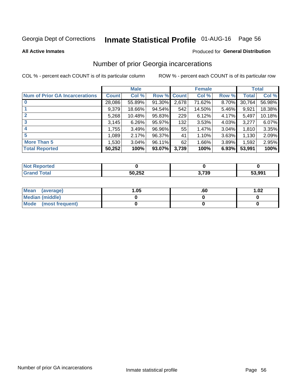# Inmate Statistical Profile 01-AUG-16 Page 56

#### **All Active Inmates**

### **Produced for General Distribution**

### Number of prior Georgia incarcerations

COL % - percent each COUNT is of its particular column

|                                       |              | <b>Male</b> |             |       | <b>Female</b> |       |        | <b>Total</b> |
|---------------------------------------|--------------|-------------|-------------|-------|---------------|-------|--------|--------------|
| <b>Num of Prior GA Incarcerations</b> | <b>Count</b> | Col %       | Row % Count |       | Col %         | Row % | Total  | Col %        |
|                                       | 28,086       | 55.89%      | 91.30%      | 2,678 | 71.62%        | 8.70% | 30,764 | 56.98%       |
|                                       | 9,379        | 18.66%      | $94.54\%$   | 542   | 14.50%        | 5.46% | 9,921  | 18.38%       |
| $\overline{2}$                        | 5,268        | 10.48%      | 95.83%      | 229   | 6.12%         | 4.17% | 5,497  | 10.18%       |
| 3                                     | 3,145        | 6.26%       | 95.97%      | 132   | 3.53%         | 4.03% | 3,277  | 6.07%        |
| $\boldsymbol{4}$                      | 1,755        | 3.49%       | 96.96%      | 55    | 1.47%         | 3.04% | 1,810  | 3.35%        |
| 5                                     | 1,089        | 2.17%       | 96.37%      | 41    | 1.10%         | 3.63% | 1,130  | 2.09%        |
| <b>More Than 5</b>                    | 1,530        | 3.04%       | 96.11%      | 62    | 1.66%         | 3.89% | 1,592  | 2.95%        |
| <b>Total Reported</b>                 | 50,252       | 100%        | 93.07%      | 3,739 | 100%          | 6.93% | 53,991 | 100%         |

| <b>Not</b><br>Reported |        |       |        |
|------------------------|--------|-------|--------|
| Total<br>"Gran∟        | 50,252 | 3,739 | 53,991 |

| Mean (average)       | .05 | .60 | 1.02 |
|----------------------|-----|-----|------|
| Median (middle)      |     |     |      |
| Mode (most frequent) |     |     |      |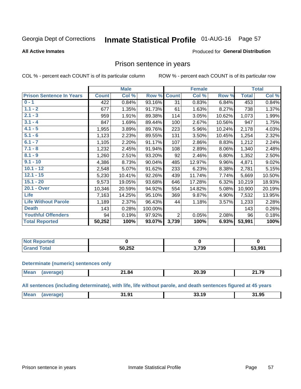#### **Inmate Statistical Profile 01-AUG-16** Page 57

### **All Active Inmates**

### Produced for General Distribution

### Prison sentence in years

COL % - percent each COUNT is of its particular column

ROW % - percent each COUNT is of its particular row

|                                 |              | <b>Male</b> |         |                 | <b>Female</b> |        |              | <b>Total</b> |
|---------------------------------|--------------|-------------|---------|-----------------|---------------|--------|--------------|--------------|
| <b>Prison Sentence In Years</b> | <b>Count</b> | Col %       | Row %   | <b>Count</b>    | Col %         | Row %  | <b>Total</b> | Col %        |
| $0 - 1$                         | 422          | 0.84%       | 93.16%  | $\overline{31}$ | 0.83%         | 6.84%  | 453          | 0.84%        |
| $1.1 - 2$                       | 677          | 1.35%       | 91.73%  | 61              | 1.63%         | 8.27%  | 738          | 1.37%        |
| $2.1 - 3$                       | 959          | 1.91%       | 89.38%  | 114             | 3.05%         | 10.62% | 1,073        | 1.99%        |
| $3.1 - 4$                       | 847          | 1.69%       | 89.44%  | 100             | 2.67%         | 10.56% | 947          | 1.75%        |
| $4.1 - 5$                       | 1,955        | 3.89%       | 89.76%  | 223             | 5.96%         | 10.24% | 2,178        | 4.03%        |
| $5.1 - 6$                       | 1,123        | 2.23%       | 89.55%  | 131             | 3.50%         | 10.45% | 1,254        | 2.32%        |
| $6.1 - 7$                       | 1,105        | 2.20%       | 91.17%  | 107             | 2.86%         | 8.83%  | 1,212        | 2.24%        |
| $7.1 - 8$                       | 1,232        | 2.45%       | 91.94%  | 108             | 2.89%         | 8.06%  | 1,340        | 2.48%        |
| $8.1 - 9$                       | 1,260        | 2.51%       | 93.20%  | 92              | 2.46%         | 6.80%  | 1,352        | 2.50%        |
| $9.1 - 10$                      | 4,386        | 8.73%       | 90.04%  | 485             | 12.97%        | 9.96%  | 4,871        | 9.02%        |
| $10.1 - 12$                     | 2,548        | 5.07%       | 91.62%  | 233             | 6.23%         | 8.38%  | 2,781        | 5.15%        |
| $12.1 - 15$                     | 5,230        | 10.41%      | 92.26%  | 439             | 11.74%        | 7.74%  | 5,669        | 10.50%       |
| $15.1 - 20$                     | 9,573        | 19.05%      | 93.68%  | 646             | 17.28%        | 6.32%  | 10,219       | 18.93%       |
| 20.1 - Over                     | 10,346       | 20.59%      | 94.92%  | 554             | 14.82%        | 5.08%  | 10,900       | 20.19%       |
| <b>Life</b>                     | 7,163        | 14.25%      | 95.10%  | 369             | 9.87%         | 4.90%  | 7,532        | 13.95%       |
| <b>Life Without Parole</b>      | 1,189        | 2.37%       | 96.43%  | 44              | 1.18%         | 3.57%  | 1,233        | 2.28%        |
| <b>Death</b>                    | 143          | 0.28%       | 100.00% |                 |               |        | 143          | 0.26%        |
| <b>Youthful Offenders</b>       | 94           | 0.19%       | 97.92%  | $\overline{2}$  | 0.05%         | 2.08%  | 96           | 0.18%        |
| <b>Total Reported</b>           | 50,252       | 100%        | 93.07%  | 3,739           | 100%          | 6.93%  | 53,991       | 100%         |

| <b>Not Reported</b>        |        |       |        |
|----------------------------|--------|-------|--------|
| $\sim$<br>. Cir $\epsilon$ | 50,252 | 3,739 | 53,991 |

### **Determinate (numeric) sentences only**

| <b>Mean</b> | - 64ء – | 20.39 | 21 70<br><u>.</u> |
|-------------|---------|-------|-------------------|
|             |         |       |                   |

All sentences (including determinate), with life, life without parole, and death sentences figured at 45 years

| <b>Mean</b><br>31.95<br>--<br><b>O</b><br>94<br>15<br>. .<br>- 33.<br> |  |  |  |
|------------------------------------------------------------------------|--|--|--|
|                                                                        |  |  |  |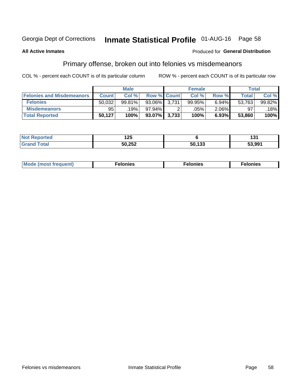# Inmate Statistical Profile 01-AUG-16 Page 58

### **All Active Inmates**

### Produced for General Distribution

### Primary offense, broken out into felonies vs misdemeanors

COL % - percent each COUNT is of its particular column

|                                  |              | <b>Male</b> |                    | <b>Female</b> |          | Total        |        |
|----------------------------------|--------------|-------------|--------------------|---------------|----------|--------------|--------|
| <b>Felonies and Misdemeanors</b> | <b>Count</b> | Col %       | <b>Row % Count</b> | Col %         | Row %    | <b>Total</b> | Col %  |
| <b>Felonies</b>                  | 50,032       | 99.81%      | 93.06% 3.731       | 99.95%        | 6.94%    | 53,763       | 99.82% |
| <b>Misdemeanors</b>              | 95           | 19%         | 97.94%             | .05%          | $2.06\%$ | 97           | 18%    |
| <b>Total Reported</b>            | 50,127       | 100%        | 93.07% 3,733       | 100%          | 6.93%    | 53,860       | 100%   |

| <b>Not</b><br>rted. | ィクに<br>$\sim$ |                    | וטו    |
|---------------------|---------------|--------------------|--------|
| Gran<br>™otaï       | 50,252        | EN 492<br>วบ. เ วว | 53,991 |

| Mo | ____ | 11 C.S<br>. | onies<br>. |
|----|------|-------------|------------|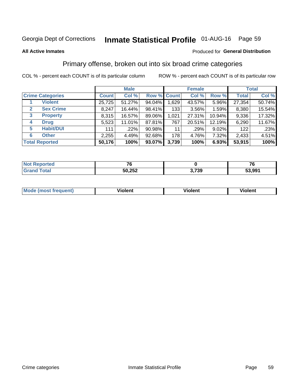# Inmate Statistical Profile 01-AUG-16 Page 59

### **All Active Inmates**

### Produced for General Distribution

### Primary offense, broken out into six broad crime categories

COL % - percent each COUNT is of its particular column

|                                  |              | <b>Male</b> |           |             | <b>Female</b> |          | <b>Total</b> |        |  |
|----------------------------------|--------------|-------------|-----------|-------------|---------------|----------|--------------|--------|--|
| <b>Crime Categories</b>          | <b>Count</b> | Col %       |           | Row % Count | Col %         | Row %    | <b>Total</b> | Col %  |  |
| <b>Violent</b>                   | 25,725       | 51.27%      | 94.04%    | 1,629       | 43.57%        | 5.96%    | 27,354       | 50.74% |  |
| <b>Sex Crime</b><br>$\mathbf{2}$ | 8,247        | 16.44%      | 98.41%    | 133         | $3.56\%$      | 1.59%    | 8,380        | 15.54% |  |
| 3<br><b>Property</b>             | 8,315        | 16.57%      | 89.06%    | 1,021       | 27.31%        | 10.94%   | 9,336        | 17.32% |  |
| <b>Drug</b><br>4                 | 5,523        | 11.01%      | 87.81%    | 767         | 20.51%        | 12.19%   | 6,290        | 11.67% |  |
| <b>Habit/DUI</b><br>5            | 111          | .22%        | $90.98\%$ | 11          | .29%          | $9.02\%$ | 122          | .23%   |  |
| <b>Other</b><br>6                | 2,255        | 4.49%       | 92.68%    | 178         | 4.76%         | 7.32%    | 2,433        | 4.51%  |  |
| <b>Total Reported</b>            | 50,176       | 100%        | 93.07%    | 3,739       | 100%          | 6.93%    | 53,915       | 100%   |  |

| <b>Not Reported</b> | --     |       | --<br>v |
|---------------------|--------|-------|---------|
| <b>Total</b>        | 50,252 | 3,739 | 53,991  |

| Mo<br>uent)<br>nos | .<br>/iolent | <br>Violent | - --<br><b>Tiolent</b> |
|--------------------|--------------|-------------|------------------------|
|                    |              |             |                        |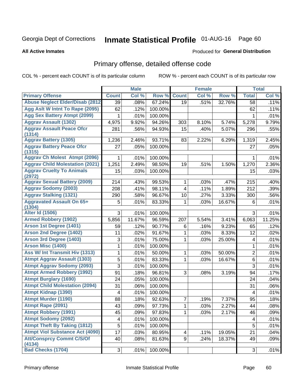# Inmate Statistical Profile 01-AUG-16 Page 60

**Produced for General Distribution** 

### **All Active Inmates**

# Primary offense, detailed offense code

COL % - percent each COUNT is of its particular column

|                                            |              | <b>Male</b> |         |              | <b>Female</b> |        |                         | <b>Total</b> |
|--------------------------------------------|--------------|-------------|---------|--------------|---------------|--------|-------------------------|--------------|
| <b>Primary Offense</b>                     | <b>Count</b> | Col %       | Row %   | <b>Count</b> | Col %         | Row %  | <b>Total</b>            | Col %        |
| <b>Abuse Neglect Elder/Disab (2812)</b>    | 39           | .08%        | 67.24%  | 19           | .51%          | 32.76% | 58                      | .11%         |
| Agg Aslt W Intnt To Rape (2095)            | 62           | .12%        | 100.00% |              |               |        | 62                      | .11%         |
| <b>Agg Sex Battery Atmpt (2099)</b>        | 1            | .01%        | 100.00% |              |               |        | 1                       | .01%         |
| <b>Aggrav Assault (1302)</b>               | 4,975        | 9.92%       | 94.26%  | 303          | 8.10%         | 5.74%  | 5,278                   | 9.79%        |
| <b>Aggrav Assault Peace Ofcr</b><br>(1314) | 281          | .56%        | 94.93%  | 15           | .40%          | 5.07%  | 296                     | .55%         |
| <b>Aggrav Battery (1305)</b>               | 1,236        | 2.46%       | 93.71%  | 83           | 2.22%         | 6.29%  | 1,319                   | 2.45%        |
| <b>Aggrav Battery Peace Ofcr</b><br>(1315) | 27           | .05%        | 100.00% |              |               |        | 27                      | .05%         |
| <b>Aggrav Ch Molest Atmpt (2096)</b>       | 1            | .01%        | 100.00% |              |               |        | 1                       | .01%         |
| <b>Aggrav Child Molestation (2021)</b>     | 1,251        | 2.49%       | 98.50%  | 19           | .51%          | 1.50%  | 1,270                   | 2.36%        |
| <b>Aggrav Cruelty To Animals</b><br>(2972) | 15           | .03%        | 100.00% |              |               |        | 15                      | .03%         |
| <b>Aggrav Sexual Battery (2009)</b>        | 214          | .43%        | 99.53%  | 1            | .03%          | .47%   | 215                     | .40%         |
| <b>Aggrav Sodomy (2003)</b>                | 208          | .41%        | 98.11%  | 4            | .11%          | 1.89%  | 212                     | .39%         |
| <b>Aggrav Stalking (1321)</b>              | 290          | .58%        | 96.67%  | 10           | .27%          | 3.33%  | 300                     | .56%         |
| <b>Aggravated Assault On 65+</b><br>(1304) | 5            | .01%        | 83.33%  | 1            | .03%          | 16.67% | 6                       | .01%         |
| <b>Alter Id (1506)</b>                     | 3            | .01%        | 100.00% |              |               |        | 3                       | .01%         |
| <b>Armed Robbery (1902)</b>                | 5,856        | 11.67%      | 96.59%  | 207          | 5.54%         | 3.41%  | 6,063                   | 11.25%       |
| Arson 1st Degree (1401)                    | 59           | .12%        | 90.77%  | 6            | .16%          | 9.23%  | 65                      | .12%         |
| <b>Arson 2nd Degree (1402)</b>             | 11           | .02%        | 91.67%  | 1            | .03%          | 8.33%  | 12                      | .02%         |
| <b>Arson 3rd Degree (1403)</b>             | 3            | .01%        | 75.00%  | 1            | .03%          | 25.00% | $\overline{\mathbf{4}}$ | .01%         |
| <b>Arson Misc (1400)</b>                   | 1            | .01%        | 100.00% |              |               |        | 1                       | .01%         |
| <b>Ass W/ Int Transmit Hiv (1313)</b>      | 1            | .01%        | 50.00%  | 1            | .03%          | 50.00% | $\overline{2}$          | .01%         |
| <b>Atmpt Aggrav Assault (1303)</b>         | 5            | .01%        | 83.33%  | 1            | .03%          | 16.67% | $6\phantom{1}$          | .01%         |
| <b>Atmpt Aggrav Sodomy (2093)</b>          | 3            | .01%        | 100.00% |              |               |        | 3                       | .01%         |
| <b>Atmpt Armed Robbery (1992)</b>          | 91           | .18%        | 96.81%  | 3            | .08%          | 3.19%  | 94                      | .17%         |
| <b>Atmpt Burglary (1690)</b>               | 24           | .05%        | 100.00% |              |               |        | 24                      | .04%         |
| <b>Atmpt Child Molestation (2094)</b>      | 31           | .06%        | 100.00% |              |               |        | 31                      | .06%         |
| <b>Atmpt Kidnap (1390)</b>                 | 4            | .01%        | 100.00% |              |               |        | 4                       | .01%         |
| <b>Atmpt Murder (1190)</b>                 | 88           | .18%        | 92.63%  | 7            | .19%          | 7.37%  | 95                      | .18%         |
| Atmpt Rape (2091)                          | 43           | .09%        | 97.73%  | $\mathbf{1}$ | .03%          | 2.27%  | 44                      | .08%         |
| <b>Atmpt Robbery (1991)</b>                | 45           | .09%        | 97.83%  | 1            | .03%          | 2.17%  | 46                      | .09%         |
| <b>Atmpt Sodomy (2092)</b>                 | 4            | .01%        | 100.00% |              |               |        | 4                       | .01%         |
| <b>Atmpt Theft By Taking (1812)</b>        | 5            | .01%        | 100.00% |              |               |        | 5                       | .01%         |
| <b>Atmpt Viol Substance Act (4090)</b>     | 17           | .03%        | 80.95%  | 4            | .11%          | 19.05% | 21                      | .04%         |
| <b>Att/Consprcy Commt C/S/Of</b><br>(4134) | 40           | .08%        | 81.63%  | 9            | .24%          | 18.37% | 49                      | .09%         |
| <b>Bad Checks (1704)</b>                   | 3            | .01%        | 100.00% |              |               |        | $\mathbf{3}$            | .01%         |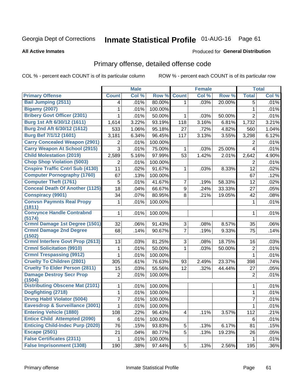# Inmate Statistical Profile 01-AUG-16 Page 61

### **All Active Inmates**

### **Produced for General Distribution**

### Primary offense, detailed offense code

COL % - percent each COUNT is of its particular column

|                                            |                | <b>Male</b> |         |                | <b>Female</b> |        |                | <b>Total</b> |
|--------------------------------------------|----------------|-------------|---------|----------------|---------------|--------|----------------|--------------|
| <b>Primary Offense</b>                     | <b>Count</b>   | Col %       | Row %   | <b>Count</b>   | Col %         | Row %  | <b>Total</b>   | Col %        |
| <b>Bail Jumping (2511)</b>                 | 4              | .01%        | 80.00%  | $\mathbf{1}$   | .03%          | 20.00% | 5              | .01%         |
| <b>Bigamy (2007)</b>                       | 1              | .01%        | 100.00% |                |               |        | 1              | .01%         |
| <b>Bribery Govt Officer (2301)</b>         | 1              | .01%        | 50.00%  | 1              | .03%          | 50.00% | $\overline{2}$ | .01%         |
| Burg 1st Aft 6/30/12 (1611)                | 1,614          | 3.22%       | 93.19%  | 118            | 3.16%         | 6.81%  | 1,732          | 3.21%        |
| Burg 2nd Aft 6/30/12 (1612)                | 533            | 1.06%       | 95.18%  | 27             | .72%          | 4.82%  | 560            | 1.04%        |
| <b>Burg Bef 7/1/12 (1601)</b>              | 3,181          | 6.34%       | 96.45%  | 117            | 3.13%         | 3.55%  | 3,298          | 6.12%        |
| <b>Carry Concealed Weapon (2901)</b>       | 2              | .01%        | 100.00% |                |               |        | 2              | .01%         |
| <b>Carry Weapon At School (2915)</b>       | 3              | .01%        | 75.00%  | 1              | .03%          | 25.00% | $\overline{4}$ | .01%         |
| <b>Child Molestation (2019)</b>            | 2,589          | 5.16%       | 97.99%  | 53             | 1.42%         | 2.01%  | 2,642          | 4.90%        |
| <b>Chop Shop Violation (5003)</b>          | 2              | .01%        | 100.00% |                |               |        | 2              | .01%         |
| <b>Cnspire Traffic Cntrl Sub (4130)</b>    | 11             | .02%        | 91.67%  | 1              | .03%          | 8.33%  | 12             | .02%         |
| <b>Computer Pornography (1760)</b>         | 67             | .13%        | 100.00% |                |               |        | 67             | .12%         |
| <b>Computer Theft (1761)</b>               | 5              | .01%        | 41.67%  | 7              | .19%          | 58.33% | 12             | .02%         |
| <b>Conceal Death Of Another (1125)</b>     | 18             | .04%        | 66.67%  | 9              | .24%          | 33.33% | 27             | .05%         |
| <b>Conspiracy (9901)</b>                   | 34             | .07%        | 80.95%  | 8              | .21%          | 19.05% | 42             | .08%         |
| <b>Convsn Paymnts Real Propy</b><br>(1811) | 1              | .01%        | 100.00% |                |               |        | $\mathbf{1}$   | .01%         |
| <b>Convynce Handle Contrabnd</b><br>(5174) | 1              | .01%        | 100.00% |                |               |        | 1              | .01%         |
| <b>Crmnl Damage 1st Degree (1501)</b>      | 32             | .06%        | 91.43%  | 3              | .08%          | 8.57%  | 35             | .06%         |
| <b>Crmnl Damage 2nd Degree</b><br>(1502)   | 68             | .14%        | 90.67%  | $\overline{7}$ | .19%          | 9.33%  | 75             | .14%         |
| <b>Crmnl Interfere Govt Prop (2613)</b>    | 13             | .03%        | 81.25%  | 3              | .08%          | 18.75% | 16             | .03%         |
| <b>Crmnl Solicitation (9910)</b>           | 1              | .01%        | 50.00%  | 1              | .03%          | 50.00% | $\mathbf 2$    | .01%         |
| <b>Crmnl Trespassing (9912)</b>            | $\mathbf{1}$   | .01%        | 100.00% |                |               |        | $\mathbf{1}$   | .01%         |
| <b>Cruelty To Children (2801)</b>          | 305            | .61%        | 76.63%  | 93             | 2.49%         | 23.37% | 398            | .74%         |
| <b>Cruelty To Elder Person (2811)</b>      | 15             | .03%        | 55.56%  | 12             | .32%          | 44.44% | 27             | .05%         |
| <b>Damage Destroy Secr Prop</b><br>(1504)  | $\overline{2}$ | .01%        | 100.00% |                |               |        | $\overline{2}$ | .01%         |
| <b>Distributing Obscene Mat (2101)</b>     | 1              | .01%        | 100.00% |                |               |        | 1              | .01%         |
| Dogfighting (2718)                         | 1              | .01%        | 100.00% |                |               |        | 1              | .01%         |
| <b>Drvng Habtl Violator (5004)</b>         | 7              | .01%        | 100.00% |                |               |        | $\overline{7}$ | .01%         |
| Eavesdrop & Surveillance (3001)            | 1              | .01%        | 100.00% |                |               |        | $\overline{1}$ | .01%         |
| <b>Entering Vehicle (1880)</b>             | 108            | .22%        | 96.43%  | 4              | .11%          | 3.57%  | 112            | .21%         |
| <b>Entice Child Attempted (2090)</b>       | 6              | .01%        | 100.00% |                |               |        | 6              | .01%         |
| <b>Enticing Child-Indec Purp (2020)</b>    | 76             | .15%        | 93.83%  | 5              | .13%          | 6.17%  | 81             | .15%         |
| <b>Escape (2501)</b>                       | 21             | .04%        | 80.77%  | 5              | .13%          | 19.23% | 26             | .05%         |
| <b>False Certificates (2311)</b>           | 1              | .01%        | 100.00% |                |               |        | $\mathbf{1}$   | .01%         |
| <b>False Imprisonment (1308)</b>           | 190            | .38%        | 97.44%  | 5 <sup>1</sup> | .13%          | 2.56%  | 195            | .36%         |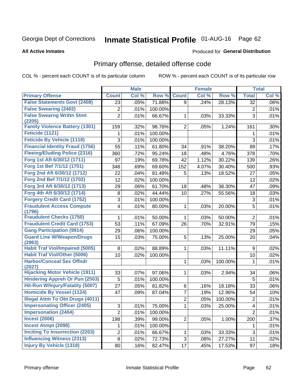# Inmate Statistical Profile 01-AUG-16 Page 62

### **All Active Inmates**

### **Produced for General Distribution**

### Primary offense, detailed offense code

COL % - percent each COUNT is of its particular column

|                                            |                | <b>Male</b> |         |                | <b>Female</b> |         |                         | <b>Total</b> |
|--------------------------------------------|----------------|-------------|---------|----------------|---------------|---------|-------------------------|--------------|
| <b>Primary Offense</b>                     | <b>Count</b>   | Col %       | Row %   | <b>Count</b>   | Col %         | Row %   | <b>Total</b>            | Col %        |
| <b>False Statements Govt (2408)</b>        | 23             | .05%        | 71.88%  | 9              | .24%          | 28.13%  | 32                      | $.06\%$      |
| <b>False Swearing (2402)</b>               | 2              | .01%        | 100.00% |                |               |         | 2                       | .01%         |
| <b>False Swearng Writtn Stmt</b>           | $\overline{2}$ | .01%        | 66.67%  | 1              | .03%          | 33.33%  | 3                       | .01%         |
| (2205)                                     |                |             |         |                |               |         |                         |              |
| <b>Family Violence Battery (1301)</b>      | 159            | .32%        | 98.76%  | $\overline{2}$ | .05%          | 1.24%   | 161                     | .30%         |
| Feticide (1121)                            | 1              | .01%        | 100.00% |                |               |         | 1                       | .01%         |
| <b>Feticide By Vehicle (1118)</b>          | 3              | .01%        | 100.00% |                |               |         | 3                       | .01%         |
| <b>Financial Identity Fraud (1756)</b>     | 55             | .11%        | 61.80%  | 34             | .91%          | 38.20%  | 89                      | .17%         |
| <b>Fleeing/Eluding Police (2316)</b>       | 360            | .72%        | 95.24%  | 18             | .48%          | 4.76%   | 378                     | .70%         |
| Forg 1st Aft 6/30/12 (1711)                | 97             | .19%        | 69.78%  | 42             | 1.12%         | 30.22%  | 139                     | .26%         |
| Forg 1st Bef 7/1/12 (1701)                 | 348            | .69%        | 69.60%  | 152            | 4.07%         | 30.40%  | 500                     | .93%         |
| Forg 2nd Aft 6/30/12 (1712)                | 22             | .04%        | 81.48%  | 5              | .13%          | 18.52%  | 27                      | .05%         |
| Forg 2nd Bef 7/1/12 (1702)                 | 12             | .02%        | 100.00% |                |               |         | 12                      | .02%         |
| Forg 3rd Aft 6/30/12 (1713)                | 29             | .06%        | 61.70%  | 18             | .48%          | 38.30%  | 47                      | .09%         |
| Forg 4th Aft 6/30/12 (1714)                | 8              | .02%        | 44.44%  | 10             | .27%          | 55.56%  | 18                      | .03%         |
| <b>Forgery Credit Card (1752)</b>          | 3              | .01%        | 100.00% |                |               |         | 3                       | .01%         |
| <b>Fraudulent Access Compute</b>           | 4              | .01%        | 80.00%  | 1              | .03%          | 20.00%  | 5                       | .01%         |
| (1796)                                     |                |             |         |                |               |         |                         |              |
| <b>Fraudulent Checks (1750)</b>            | 1              | .01%        | 50.00%  | 1              | .03%          | 50.00%  | $\overline{2}$          | .01%         |
| <b>Fraudulent Credit Card (1753)</b>       | 53             | .11%        | 67.09%  | 26             | .70%          | 32.91%  | 79                      | .15%         |
| <b>Gang Participation (9914)</b>           | 29             | .06%        | 100.00% |                |               |         | 29                      | .05%         |
| <b>Guard Line W/Weapon/Drugs</b><br>(2963) | 15             | .03%        | 75.00%  | 5              | .13%          | 25.00%  | 20                      | .04%         |
| <b>Habit Traf Viol/Impaired (5005)</b>     | 8              | .02%        | 88.89%  | 1              | .03%          | 11.11%  | 9                       | .02%         |
| <b>Habit Traf Viol/Other (5006)</b>        | 10             | .02%        | 100.00% |                |               |         | 10                      | .02%         |
| <b>Harbor/Conceal Sex Offndr</b>           |                |             |         | 1              | .03%          | 100.00% | 1                       | .01%         |
| (2027)                                     |                |             |         |                |               |         |                         |              |
| <b>Hijacking Motor Vehicle (1911)</b>      | 33             | .07%        | 97.06%  | 1              | .03%          | 2.94%   | 34                      | .06%         |
| <b>Hindering Appreh Or Pun (2503)</b>      | 5              | .01%        | 100.00% |                |               |         | 5                       | .01%         |
| Hit-Run W/Injury/Fatality (5007)           | 27             | .05%        | 81.82%  | 6              | .16%          | 18.18%  | 33                      | .06%         |
| <b>Homicide By Vessel (1124)</b>           | 47             | .09%        | 87.04%  | 7              | .19%          | 12.96%  | 54                      | .10%         |
| <b>Illegal Attm To Obt Drugs (4011)</b>    |                |             |         | $\overline{2}$ | .05%          | 100.00% | 2                       | .01%         |
| <b>Impersonating Officer (2405)</b>        | 3              | .01%        | 75.00%  | $\mathbf 1$    | .03%          | 25.00%  | $\overline{\mathbf{4}}$ | .01%         |
| <b>Impersonation (2404)</b>                | $\overline{2}$ | .01%        | 100.00% |                |               |         | $\overline{2}$          | .01%         |
| <b>Incest (2006)</b>                       | 198            | .39%        | 99.00%  | $\overline{2}$ | .05%          | 1.00%   | 200                     | .37%         |
| <b>Incest Atmpt (2098)</b>                 | 1              | .01%        | 100.00% |                |               |         | 1                       | .01%         |
| <b>Inciting To Insurrection (2203)</b>     | $\overline{2}$ | .01%        | 66.67%  | $\mathbf{1}$   | .03%          | 33.33%  | 3                       | .01%         |
| <b>Influencing Witness (2313)</b>          | $\bf 8$        | .02%        | 72.73%  | 3              | .08%          | 27.27%  | 11                      | .02%         |
| <b>Injury By Vehicle (1318)</b>            | 80             | .16%        | 82.47%  | 17             | .45%          | 17.53%  | 97                      | .18%         |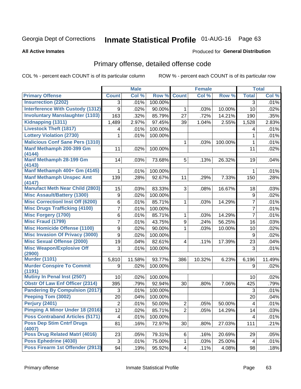# Inmate Statistical Profile 01-AUG-16 Page 63

### **All Active Inmates**

### Produced for General Distribution

# Primary offense, detailed offense code

COL % - percent each COUNT is of its particular column

|                                                 |                  | <b>Male</b> |         |                         | <b>Female</b> |         |                | <b>Total</b> |
|-------------------------------------------------|------------------|-------------|---------|-------------------------|---------------|---------|----------------|--------------|
| <b>Primary Offense</b>                          | <b>Count</b>     | Col %       | Row %   | <b>Count</b>            | Col %         | Row %   | <b>Total</b>   | Col %        |
| <b>Insurrection (2202)</b>                      | 3                | .01%        | 100.00% |                         |               |         | 3              | .01%         |
| <b>Interference With Custody (1312)</b>         | 9                | .02%        | 90.00%  | 1                       | .03%          | 10.00%  | 10             | .02%         |
| <b>Involuntary Manslaughter (1103)</b>          | 163              | .32%        | 85.79%  | 27                      | .72%          | 14.21%  | 190            | .35%         |
| Kidnapping (1311)                               | 1,489            | 2.97%       | 97.45%  | 39                      | 1.04%         | 2.55%   | 1,528          | 2.83%        |
| <b>Livestock Theft (1817)</b>                   | 4                | .01%        | 100.00% |                         |               |         | 4              | .01%         |
| <b>Lottery Violation (2730)</b>                 | 1                | .01%        | 100.00% |                         |               |         | 1              | .01%         |
| <b>Malicious Conf Sane Pers (1310)</b>          |                  |             |         | 1                       | .03%          | 100.00% | 1              | .01%         |
| Manf Methamph 200-399 Gm<br>(4144)              | 11               | .02%        | 100.00% |                         |               |         | 11             | .02%         |
| Manf Methamph 28-199 Gm<br>(4143)               | 14               | .03%        | 73.68%  | 5                       | .13%          | 26.32%  | 19             | .04%         |
| Manf Methamph 400+ Gm (4145)                    | 1                | .01%        | 100.00% |                         |               |         | 1              | .01%         |
| <b>Manf Methamph Unspec Amt</b><br>(4147)       | 139              | .28%        | 92.67%  | 11                      | .29%          | 7.33%   | 150            | .28%         |
| <b>Manufact Meth Near Child (2803)</b>          | 15               | .03%        | 83.33%  | 3                       | .08%          | 16.67%  | 18             | .03%         |
| <b>Misc Assault/Battery (1300)</b>              | $\boldsymbol{9}$ | .02%        | 100.00% |                         |               |         | 9              | .02%         |
| <b>Misc Correctionl Inst Off (6200)</b>         | 6                | .01%        | 85.71%  | 1                       | .03%          | 14.29%  | $\overline{7}$ | .01%         |
| <b>Misc Drugs Trafficking (4100)</b>            | 7                | .01%        | 100.00% |                         |               |         | $\overline{7}$ | .01%         |
| Misc Forgery (1700)                             | 6                | .01%        | 85.71%  | $\mathbf{1}$            | .03%          | 14.29%  | $\overline{7}$ | .01%         |
| <b>Misc Fraud (1799)</b>                        | 7                | .01%        | 43.75%  | 9                       | .24%          | 56.25%  | 16             | .03%         |
| <b>Misc Homicide Offense (1100)</b>             | 9                | .02%        | 90.00%  | 1                       | .03%          | 10.00%  | 10             | .02%         |
| <b>Misc Invasion Of Privacy (3000)</b>          | $\boldsymbol{9}$ | .02%        | 100.00% |                         |               |         | 9              | .02%         |
| <b>Misc Sexual Offense (2000)</b>               | 19               | .04%        | 82.61%  | $\overline{\mathbf{4}}$ | .11%          | 17.39%  | 23             | .04%         |
| <b>Misc Weapon/Explosive Off</b><br>(2900)      | 3                | .01%        | 100.00% |                         |               |         | 3              | .01%         |
| <b>Murder (1101)</b>                            | 5,810            | 11.58%      | 93.77%  | 386                     | 10.32%        | 6.23%   | 6,196          | 11.49%       |
| <b>Murder Conspire To Commit</b><br>(1191)      | 9                | .02%        | 100.00% |                         |               |         | 9              | .02%         |
| Mutiny In Penal Inst (2507)                     | 10 <sup>1</sup>  | .02%        | 100.00% |                         |               |         | 10             | .02%         |
| <b>Obstr Of Law Enf Officer (2314)</b>          | 395              | .79%        | 92.94%  | 30                      | .80%          | 7.06%   | 425            | .79%         |
| <b>Pandering By Compulsion (2017)</b>           | 3                | .01%        | 100.00% |                         |               |         | 3              | .01%         |
| Peeping Tom (3002)                              | 20               | .04%        | 100.00% |                         |               |         | 20             | .04%         |
| Perjury (2401)                                  | $\overline{2}$   | .01%        | 50.00%  | $\overline{2}$          | .05%          | 50.00%  | 4              | .01%         |
| Pimping A Minor Under 18 (2016)                 | 12               | .02%        | 85.71%  | $\overline{2}$          | .05%          | 14.29%  | 14             | .03%         |
| <b>Poss Contraband Articles (5171)</b>          | 4                | .01%        | 100.00% |                         |               |         | 4              | .01%         |
| <b>Poss Dep Stim Cntrf Drugs</b>                | 81               | .16%        | 72.97%  | 30                      | .80%          | 27.03%  | 111            | .21%         |
| (4007)<br><b>Poss Drug Related Matri (4016)</b> |                  |             |         |                         |               |         |                |              |
| Poss Ephedrine (4030)                           | 23               | .05%        | 79.31%  | 6                       | .16%          | 20.69%  | 29             | .05%         |
|                                                 | 3                | .01%        | 75.00%  | $\mathbf{1}$            | .03%          | 25.00%  | 4              | .01%         |
| Poss Firearm 1st Offender (2913)                | 94               | .19%        | 95.92%  | $\vert 4 \vert$         | .11%          | 4.08%   | 98             | .18%         |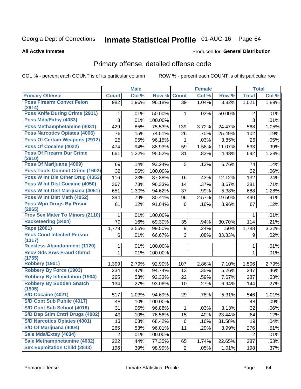# Inmate Statistical Profile 01-AUG-16 Page 64

### **All Active Inmates**

### Produced for General Distribution

# Primary offense, detailed offense code

COL % - percent each COUNT is of its particular column

|                                            |              | <b>Male</b> |         |                | <b>Female</b> |        |                | <b>Total</b> |
|--------------------------------------------|--------------|-------------|---------|----------------|---------------|--------|----------------|--------------|
| <b>Primary Offense</b>                     | <b>Count</b> | Col %       | Row %   | <b>Count</b>   | Col %         | Row %  | <b>Total</b>   | Col %        |
| <b>Poss Firearm Convct Felon</b>           | 982          | 1.96%       | 96.18%  | 39             | 1.04%         | 3.82%  | 1,021          | 1.89%        |
| (2914)                                     |              |             |         |                |               |        |                |              |
| Poss Knife During Crime (2911)             | 1            | .01%        | 50.00%  | $\mathbf 1$    | .03%          | 50.00% | $\overline{2}$ | .01%         |
| Poss Mda/Extsy (4033)                      | 3            | .01%        | 100.00% |                |               |        | 3              | .01%         |
| Poss Methamphetamine (4031)                | 429          | .85%        | 75.53%  | 139            | 3.72%         | 24.47% | 568            | 1.05%        |
| <b>Poss Narcotics Opiates (4006)</b>       | 76           | .15%        | 74.51%  | 26             | .70%          | 25.49% | 102            | .19%         |
| <b>Poss Of Certain Weapons (2912)</b>      | 25           | .05%        | 96.15%  | 1              | .03%          | 3.85%  | 26             | .05%         |
| Poss Of Cocaine (4022)                     | 474          | .94%        | 88.93%  | 59             | 1.58%         | 11.07% | 533            | .99%         |
| <b>Poss Of Firearm Dur Crime</b><br>(2910) | 661          | 1.32%       | 95.52%  | 31             | .83%          | 4.48%  | 692            | 1.28%        |
| Poss Of Marijuana (4009)                   | 69           | .14%        | 93.24%  | 5              | .13%          | 6.76%  | 74             | .14%         |
| Poss Tools Commit Crime (1602)             | 32           | .06%        | 100.00% |                |               |        | 32             | .06%         |
| Poss W Int Dis Other Drug (4053)           | 116          | .23%        | 87.88%  | 16             | .43%          | 12.12% | 132            | .24%         |
| <b>Poss W Int Dist Cocaine (4050)</b>      | 367          | .73%        | 96.33%  | 14             | .37%          | 3.67%  | 381            | .71%         |
| Poss W Int Dist Marijuana (4051)           | 651          | 1.30%       | 94.62%  | 37             | .99%          | 5.38%  | 688            | 1.28%        |
| Poss W Int Dist Meth (4052)                | 394          | .79%        | 80.41%  | 96             | 2.57%         | 19.59% |                | .91%         |
| <b>Poss Wpn Drugs By Prisnr</b>            | 61           |             |         | 6              |               |        | 490            |              |
| (2965)                                     |              | .12%        | 91.04%  |                | .16%          | 8.96%  | 67             | .12%         |
| <b>Prov Sex Mater To Minors (2110)</b>     | 1            | .01%        | 100.00% |                |               |        | 1              | .01%         |
| <b>Racketeering (3404)</b>                 | 79           | .16%        | 69.30%  | 35             | .94%          | 30.70% | 114            | .21%         |
| <b>Rape (2001)</b>                         | 1,779        | 3.55%       | 99.50%  | 9              | .24%          | .50%   | 1,788          | 3.32%        |
| <b>Reck Cond Infected Person</b>           | 6            | .01%        | 66.67%  | 3              | .08%          | 33.33% | 9              | .02%         |
| (1317)                                     |              |             |         |                |               |        |                |              |
| <b>Reckless Abandonment (1120)</b>         | 1            | .01%        | 100.00% |                |               |        | 1              | .01%         |
| <b>Recv Gds Srvs Fraud Obtnd</b>           | $\mathbf{1}$ | .01%        | 100.00% |                |               |        | $\mathbf{1}$   | .01%         |
| (1755)<br><b>Robbery (1901)</b>            | 1,399        | 2.79%       | 92.90%  | 107            | 2.86%         | 7.10%  | 1,506          | 2.79%        |
| <b>Robbery By Force (1903)</b>             | 234          | .47%        | 94.74%  | 13             | .35%          | 5.26%  | 247            | .46%         |
| <b>Robbery By Intimidation (1904)</b>      | 265          | .53%        | 92.33%  | 22             | .59%          | 7.67%  | 287            | .53%         |
| <b>Robbery By Sudden Snatch</b>            | 134          | .27%        | 93.06%  | 10             | .27%          | 6.94%  | 144            | .27%         |
| (1905)                                     |              |             |         |                |               |        |                |              |
| S/D Cocaine (4021)                         | 517          | 1.03%       | 94.69%  | 29             | .78%          | 5.31%  | 546            | 1.01%        |
| S/D Cont Sub Public (4017)                 | 48           | .10%        | 100.00% |                |               |        | 48             | .09%         |
| S/D Cont Sub School (4018)                 | 31           | .06%        | 96.88%  | 1              | .03%          | 3.13%  | 32             | $.06\%$      |
| S/D Dep Stim Cntrf Drugs (4002)            | 49           | .10%        | 76.56%  | 15             | .40%          | 23.44% | 64             | .12%         |
| <b>S/D Narcotics Opiates (4001)</b>        | 13           | .03%        | 68.42%  | 6              | .16%          | 31.58% | 19             | .04%         |
| S/D Of Marijuana (4004)                    | 265          | .53%        | 96.01%  | 11             | .29%          | 3.99%  | 276            | .51%         |
| Sale Mda/Extsy (4034)                      | 2            | .01%        | 100.00% |                |               |        | 2              | .01%         |
| Sale Methamphetamine (4032)                | 222          | .44%        | 77.35%  | 65             | 1.74%         | 22.65% | 287            | .53%         |
| <b>Sex Exploitation Child (2843)</b>       | 196          | .39%        | 98.99%  | $\overline{2}$ | .05%          | 1.01%  | 198            | .37%         |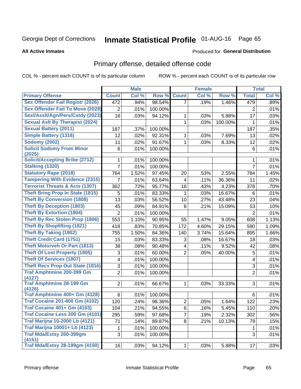# Inmate Statistical Profile 01-AUG-16 Page 65

### **All Active Inmates**

### **Produced for General Distribution**

### Primary offense, detailed offense code

COL % - percent each COUNT is of its particular column

|                                            |                | <b>Male</b> |         |                         | <b>Female</b> |         |                | <b>Total</b> |
|--------------------------------------------|----------------|-------------|---------|-------------------------|---------------|---------|----------------|--------------|
| <b>Primary Offense</b>                     | <b>Count</b>   | Col %       | Row %   | <b>Count</b>            | Col %         | Row %   | <b>Total</b>   | Col %        |
| <b>Sex Offender Fail Registr (2026)</b>    | 472            | .94%        | 98.54%  | $\overline{7}$          | .19%          | 1.46%   | 479            | .89%         |
| <b>Sex Offender Fail To Move (2028)</b>    | $\overline{2}$ | .01%        | 100.00% |                         |               |         | 2              | .01%         |
| Sexl/Asslt/Agn/Pers/Cstdy (2023)           | 16             | .03%        | 94.12%  | 1                       | .03%          | 5.88%   | 17             | .03%         |
| <b>Sexual Aslt By Therapist (2024)</b>     |                |             |         | 1                       | .03%          | 100.00% | 1              | .01%         |
| <b>Sexual Battery (2011)</b>               | 187            | .37%        | 100.00% |                         |               |         | 187            | .35%         |
| <b>Simple Battery (1316)</b>               | 12             | .02%        | 92.31%  | 1                       | .03%          | 7.69%   | 13             | .02%         |
| <b>Sodomy (2002)</b>                       | 11             | .02%        | 91.67%  | 1                       | .03%          | 8.33%   | 12             | .02%         |
| <b>Solicit Sodomy From Minor</b><br>(2025) | 6              | .01%        | 100.00% |                         |               |         | 6              | .01%         |
| <b>Solicit/Accepting Bribe (2712)</b>      | 1              | .01%        | 100.00% |                         |               |         | 1              | .01%         |
| <b>Stalking (1320)</b>                     | $\overline{7}$ | .01%        | 100.00% |                         |               |         | $\overline{7}$ | .01%         |
| <b>Statutory Rape (2018)</b>               | 764            | 1.52%       | 97.45%  | 20                      | .53%          | 2.55%   | 784            | 1.45%        |
| <b>Tampering With Evidence (2315)</b>      | 7              | .01%        | 63.64%  | 4                       | .11%          | 36.36%  | 11             | .02%         |
| <b>Terrorist Threats &amp; Acts (1307)</b> | 362            | .72%        | 95.77%  | 16                      | .43%          | 4.23%   | 378            | .70%         |
| <b>Theft Bring Prop In State (1815)</b>    | 5              | .01%        | 83.33%  | 1                       | .03%          | 16.67%  | 6              | .01%         |
| <b>Theft By Conversion (1808)</b>          | 13             | .03%        | 56.52%  | 10                      | .27%          | 43.48%  | 23             | .04%         |
| <b>Theft By Deception (1803)</b>           | 45             | .09%        | 84.91%  | 8                       | .21%          | 15.09%  | 53             | .10%         |
| <b>Theft By Extortion (1804)</b>           | $\overline{2}$ | .01%        | 100.00% |                         |               |         | $\overline{2}$ | .01%         |
| <b>Theft By Rec Stolen Prop (1806)</b>     | 553            | 1.10%       | 90.95%  | 55                      | 1.47%         | 9.05%   | 608            | 1.13%        |
| <b>Theft By Shoplifting (1821)</b>         | 418            | .83%        | 70.85%  | 172                     | 4.60%         | 29.15%  | 590            | 1.09%        |
| <b>Theft By Taking (1802)</b>              | 755            | 1.50%       | 84.36%  | 140                     | 3.74%         | 15.64%  | 895            | 1.66%        |
| <b>Theft Credit Card (1751)</b>            | 15             | .03%        | 83.33%  | 3                       | .08%          | 16.67%  | 18             | .03%         |
| <b>Theft Motorveh Or Part (1813)</b>       | 38             | .08%        | 90.48%  | $\overline{\mathbf{4}}$ | .11%          | 9.52%   | 42             | .08%         |
| <b>Theft Of Lost Property (1805)</b>       | 3              | .01%        | 60.00%  | $\overline{2}$          | .05%          | 40.00%  | 5              | .01%         |
| <b>Theft Of Services (1807)</b>            | 4              | .01%        | 100.00% |                         |               |         | 4              | .01%         |
| <b>Theft Recv Prop Out State (1816)</b>    | 3              | .01%        | 100.00% |                         |               |         | 3              | .01%         |
| <b>Traf Amphtmine 200-399 Gm</b>           | $\overline{2}$ | .01%        | 100.00% |                         |               |         | $\overline{2}$ | .01%         |
| (4127)<br><b>Traf Amphtmine 28-199 Gm</b>  | $\overline{2}$ | .01%        | 66.67%  | 1                       | .03%          | 33.33%  | 3              | .01%         |
| (4126)                                     |                |             |         |                         |               |         |                |              |
| Traf Amphtmine 400+ Gm (4128)              | 6              | .01%        | 100.00% |                         |               |         | 6              | .01%         |
| <b>Traf Cocaine 201-400 Gm (4102)</b>      | 120            | .24%        | 98.36%  | $\overline{2}$          | .05%          | 1.64%   | 122            | .23%         |
| <b>Traf Cocaine 401+ Gm (4103)</b>         | 104            | .21%        | 94.55%  | 6                       | .16%          | 5.45%   | 110            | .20%         |
| Traf Cocaine Less 200 Gm (4101)            | 295            | .59%        | 97.68%  | 7                       | .19%          | 2.32%   | 302            | .56%         |
| <b>Traf Marijna 10-2000 Lb (4121)</b>      | 71             | .14%        | 89.87%  | 8                       | .21%          | 10.13%  | 79             | .15%         |
| <b>Traf Marijna 10001+ Lb (4123)</b>       | 1              | .01%        | 100.00% |                         |               |         | 1              | .01%         |
| Traf Mda/Extsy 200-399gm<br>(4151)         | 3              | .01%        | 100.00% |                         |               |         | 3              | .01%         |
| <b>Traf Mda/Extsy 28-199gm (4150)</b>      | 16             | .03%        | 94.12%  | $\mathbf{1}$            | .03%          | 5.88%   | 17             | .03%         |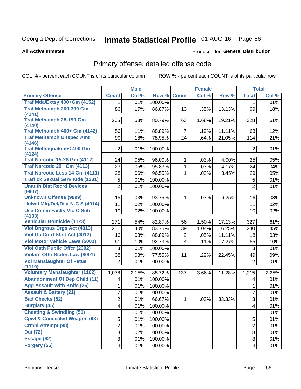# Inmate Statistical Profile 01-AUG-16 Page 66

**All Active Inmates** 

### **Produced for General Distribution**

### Primary offense, detailed offense code

COL % - percent each COUNT is of its particular column

|                                               |                | <b>Male</b> |         |                | <b>Female</b> |        |                           | <b>Total</b> |
|-----------------------------------------------|----------------|-------------|---------|----------------|---------------|--------|---------------------------|--------------|
| <b>Primary Offense</b>                        | <b>Count</b>   | Col %       | Row %   | <b>Count</b>   | Col %         | Row %  | <b>Total</b>              | Col %        |
| Traf Mda/Extsy 400+Gm (4152)                  | 1              | .01%        | 100.00% |                |               |        | 1.                        | .01%         |
| Traf Methamph 200-399 Gm<br>(4141)            | 86             | .17%        | 86.87%  | 13             | .35%          | 13.13% | 99                        | .18%         |
| <b>Traf Methamph 28-199 Gm</b><br>(4140)      | 265            | .53%        | 80.79%  | 63             | 1.68%         | 19.21% | 328                       | .61%         |
| Traf Methamph 400+ Gm (4142)                  | 56             | .11%        | 88.89%  | $\overline{7}$ | .19%          | 11.11% | 63                        | .12%         |
| <b>Traf Methamph Unspec Amt</b><br>(4146)     | 90             | .18%        | 78.95%  | 24             | .64%          | 21.05% | 114                       | .21%         |
| <b>Traf Methaqualone&lt; 400 Gm</b><br>(4124) | 2              | .01%        | 100.00% |                |               |        | $\overline{2}$            | .01%         |
| <b>Traf Narcotic 15-28 Gm (4112)</b>          | 24             | .05%        | 96.00%  | 1              | .03%          | 4.00%  | 25                        | .05%         |
| Traf Narcotic 29+ Gm (4113)                   | 23             | .05%        | 95.83%  | $\mathbf{1}$   | .03%          | 4.17%  | 24                        | .04%         |
| <b>Traf Narcotic Less 14 Gm (4111)</b>        | 28             | .06%        | 96.55%  | $\mathbf{1}$   | .03%          | 3.45%  | 29                        | .05%         |
| <b>Traffick Sexual Servitude (1331)</b>       | 5              | .01%        | 100.00% |                |               |        | 5                         | .01%         |
| <b>Unauth Dist Recrd Devices</b><br>(9907)    | $\overline{2}$ | .01%        | 100.00% |                |               |        | $\overline{2}$            | .01%         |
| <b>Unknown Offense (9999)</b>                 | 15             | .03%        | 93.75%  | $\mathbf{1}$   | .03%          | 6.25%  | 16                        | .03%         |
| Uniwfl Mfg/Del/Dist N-C S (4014)              | 11             | .02%        | 100.00% |                |               |        | 11                        | .02%         |
| <b>Use Comm Facity Vio C Sub</b><br>(4133)    | 10             | .02%        | 100.00% |                |               |        | 10                        | .02%         |
| <b>Vehicular Homicide (1123)</b>              | 271            | .54%        | 82.87%  | 56             | 1.50%         | 17.13% | 327                       | .61%         |
| <b>Viol Dngrous Drgs Act (4013)</b>           | 201            | .40%        | 83.75%  | 39             | 1.04%         | 16.25% | 240                       | .45%         |
| Viol Ga Cntrl Sbst Act (4012)                 | 16             | .03%        | 88.89%  | $\overline{2}$ | .05%          | 11.11% | 18                        | .03%         |
| <b>Viol Motor Vehicle Laws (5001)</b>         | 51             | .10%        | 92.73%  | $\overline{4}$ | .11%          | 7.27%  | 55                        | .10%         |
| <b>Viol Oath Public Offer (2302)</b>          | 3              | .01%        | 100.00% |                |               |        | 3                         | .01%         |
| <b>Violatn Othr States Law (8001)</b>         | 38             | .08%        | 77.55%  | 11             | .29%          | 22.45% | 49                        | .09%         |
| <b>Vol Manslaughter Of Fetus</b><br>(1119)    | $\overline{2}$ | .01%        | 100.00% |                |               |        | $\overline{2}$            | .01%         |
| <b>Voluntary Manslaughter (1102)</b>          | 1,078          | 2.15%       | 88.72%  | 137            | 3.66%         | 11.28% | 1,215                     | 2.25%        |
| <b>Abandonment Of Dep Child (11)</b>          | 4              | .01%        | 100.00% |                |               |        | 4                         | .01%         |
| <b>Agg Assault With Knife (26)</b>            | 1              | .01%        | 100.00% |                |               |        | 1                         | .01%         |
| <b>Assault &amp; Battery (21)</b>             | 7              | .01%        | 100.00% |                |               |        | $\overline{7}$            | .01%         |
| <b>Bad Checks (52)</b>                        | 2              | .01%        | 66.67%  | $\mathbf{1}$   | .03%          | 33.33% | $\ensuremath{\mathsf{3}}$ | .01%         |
| <b>Burglary (45)</b>                          | 4              | .01%        | 100.00% |                |               |        | 4                         | .01%         |
| <b>Cheating &amp; Swindling (51)</b>          | 1              | $.01\%$     | 100.00% |                |               |        | 1                         | .01%         |
| <b>Cpwl &amp; Concealed Weapon (93)</b>       | 5              | .01%        | 100.00% |                |               |        | 5                         | .01%         |
| <b>Crmnl Attempt (98)</b>                     | $\overline{2}$ | .01%        | 100.00% |                |               |        | $\overline{2}$            | .01%         |
| <b>Dui</b> (72)                               | 8              | .02%        | 100.00% |                |               |        | 8                         | .01%         |
| Escape (92)                                   | 3              | .01%        | 100.00% |                |               |        | 3                         | .01%         |
| Forgery (55)                                  | 4              | .01%        | 100.00% |                |               |        | 4                         | .01%         |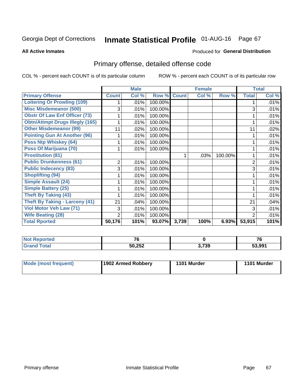# Inmate Statistical Profile 01-AUG-16 Page 67

**All Active Inmates** 

### Produced for General Distribution

# Primary offense, detailed offense code

COL % - percent each COUNT is of its particular column

|                                        |              | <b>Male</b> |             |       | <b>Female</b> |         |                | <b>Total</b> |
|----------------------------------------|--------------|-------------|-------------|-------|---------------|---------|----------------|--------------|
| <b>Primary Offense</b>                 | <b>Count</b> | Col %       | Row % Count |       | Col %         | Row %   | <b>Total</b>   | Col %        |
| <b>Loitering Or Prowling (109)</b>     |              | .01%        | 100.00%     |       |               |         |                | .01%         |
| <b>Misc Misdemeanor (500)</b>          | 3            | .01%        | 100.00%     |       |               |         | 3              | .01%         |
| <b>Obstr Of Law Enf Officer (73)</b>   |              | .01%        | 100.00%     |       |               |         |                | .01%         |
| <b>Obtn/Attmpt Drugs Illegly (165)</b> |              | .01%        | 100.00%     |       |               |         |                | .01%         |
| <b>Other Misdemeanor (99)</b>          | 11           | .02%        | 100.00%     |       |               |         | 11             | .02%         |
| <b>Pointing Gun At Another (96)</b>    |              | .01%        | 100.00%     |       |               |         |                | .01%         |
| <b>Poss Ntp Whiskey (64)</b>           |              | .01%        | 100.00%     |       |               |         |                | .01%         |
| Poss Of Marijuana (70)                 |              | .01%        | 100.00%     |       |               |         |                | .01%         |
| <b>Prostitution (81)</b>               |              |             |             |       | .03%          | 100.00% |                | .01%         |
| <b>Public Drunkenness (61)</b>         | 2            | .01%        | 100.00%     |       |               |         | 2              | .01%         |
| <b>Public Indecency (83)</b>           | 3            | .01%        | 100.00%     |       |               |         | 3              | .01%         |
| <b>Shoplifting (94)</b>                |              | .01%        | 100.00%     |       |               |         |                | .01%         |
| Simple Assault (24)                    |              | .01%        | 100.00%     |       |               |         |                | .01%         |
| <b>Simple Battery (25)</b>             |              | .01%        | 100.00%     |       |               |         |                | .01%         |
| <b>Theft By Taking (43)</b>            |              | .01%        | 100.00%     |       |               |         |                | .01%         |
| <b>Theft By Taking - Larceny (41)</b>  | 21           | .04%        | 100.00%     |       |               |         | 21             | .04%         |
| Viol Motor Veh Law (71)                | 3            | .01%        | 100.00%     |       |               |         | 3              | .01%         |
| <b>Wife Beating (28)</b>               | 2            | .01%        | 100.00%     |       |               |         | $\overline{2}$ | .01%         |
| <b>Total Rported</b>                   | 50,176       | 101%        | 93.07%      | 3,739 | 100%          | 6.93%   | 53,915         | 101%         |

| <b>Not Reported</b> | $\rightarrow$ |       | 70     |
|---------------------|---------------|-------|--------|
| <b>Fotal</b>        | 50,252        | 3,739 | 53.991 |

| <b>Mode (most frequent)</b> | 1902 Armed Robbery | 1101 Murder | 1101 Murder |
|-----------------------------|--------------------|-------------|-------------|
|-----------------------------|--------------------|-------------|-------------|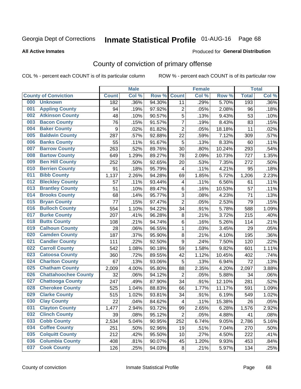# Inmate Statistical Profile 01-AUG-16 Page 68

### **All Active Inmates**

### Produced for General Distribution

# County of conviction of primary offense

COL % - percent each COUNT is of its particular column

|     |                             |              | <b>Male</b> |        |                          | <b>Female</b> |        |              | <b>Total</b> |
|-----|-----------------------------|--------------|-------------|--------|--------------------------|---------------|--------|--------------|--------------|
|     | <b>County of Conviction</b> | <b>Count</b> | Col %       | Row %  | <b>Count</b>             | Col %         | Row %  | <b>Total</b> | Col %        |
| 000 | <b>Unknown</b>              | 182          | .36%        | 94.30% | 11                       | .29%          | 5.70%  | 193          | .36%         |
| 001 | <b>Appling County</b>       | 94           | .19%        | 97.92% | $\overline{c}$           | .05%          | 2.08%  | 96           | .18%         |
| 002 | <b>Atkinson County</b>      | 48           | .10%        | 90.57% | $\overline{5}$           | .13%          | 9.43%  | 53           | .10%         |
| 003 | <b>Bacon County</b>         | 76           | .15%        | 91.57% | 7                        | .19%          | 8.43%  | 83           | .15%         |
| 004 | <b>Baker County</b>         | $\mathsf g$  | .02%        | 81.82% | $\overline{2}$           | .05%          | 18.18% | 11           | .02%         |
| 005 | <b>Baldwin County</b>       | 287          | .57%        | 92.88% | 22                       | .59%          | 7.12%  | 309          | .57%         |
| 006 | <b>Banks County</b>         | 55           | .11%        | 91.67% | $\overline{5}$           | .13%          | 8.33%  | 60           | .11%         |
| 007 | <b>Barrow County</b>        | 263          | .52%        | 89.76% | 30                       | .80%          | 10.24% | 293          | .54%         |
| 008 | <b>Bartow County</b>        | 649          | 1.29%       | 89.27% | 78                       | 2.09%         | 10.73% | 727          | 1.35%        |
| 009 | <b>Ben Hill County</b>      | 252          | .50%        | 92.65% | 20                       | .53%          | 7.35%  | 272          | .50%         |
| 010 | <b>Berrien County</b>       | 91           | .18%        | 95.79% | 4                        | .11%          | 4.21%  | 95           | .18%         |
| 011 | <b>Bibb County</b>          | 1,137        | 2.26%       | 94.28% | 69                       | 1.85%         | 5.72%  | 1,206        | 2.23%        |
| 012 | <b>Bleckley County</b>      | 57           | .11%        | 93.44% | $\overline{\mathcal{A}}$ | .11%          | 6.56%  | 61           | .11%         |
| 013 | <b>Brantley County</b>      | 51           | .10%        | 89.47% | 6                        | .16%          | 10.53% | 57           | .11%         |
| 014 | <b>Brooks County</b>        | 68           | .14%        | 95.77% | $\mathfrak{B}$           | .08%          | 4.23%  | 71           | .13%         |
| 015 | <b>Bryan County</b>         | 77           | .15%        | 97.47% | $\overline{2}$           | .05%          | 2.53%  | 79           | .15%         |
| 016 | <b>Bulloch County</b>       | 554          | 1.10%       | 94.22% | 34                       | .91%          | 5.78%  | 588          | 1.09%        |
| 017 | <b>Burke County</b>         | 207          | .41%        | 96.28% | 8                        | .21%          | 3.72%  | 215          | .40%         |
| 018 | <b>Butts County</b>         | 108          | .21%        | 94.74% | 6                        | .16%          | 5.26%  | 114          | .21%         |
| 019 | <b>Calhoun County</b>       | 28           | .06%        | 96.55% | 1                        | .03%          | 3.45%  | 29           | .05%         |
| 020 | <b>Camden County</b>        | 187          | .37%        | 95.90% | 8                        | .21%          | 4.10%  | 195          | .36%         |
| 021 | <b>Candler County</b>       | 111          | .22%        | 92.50% | 9                        | .24%          | 7.50%  | 120          | .22%         |
| 022 | <b>Carroll County</b>       | 542          | 1.08%       | 90.18% | 59                       | 1.58%         | 9.82%  | 601          | 1.11%        |
| 023 | <b>Catoosa County</b>       | 360          | .72%        | 89.55% | 42                       | 1.12%         | 10.45% | 402          | .74%         |
| 024 | <b>Charlton County</b>      | 67           | .13%        | 93.06% | 5                        | .13%          | 6.94%  | 72           | .13%         |
| 025 | <b>Chatham County</b>       | 2,009        | 4.00%       | 95.80% | 88                       | 2.35%         | 4.20%  | 2,097        | 3.88%        |
| 026 | <b>Chattahoochee County</b> | 32           | .06%        | 94.12% | $\overline{2}$           | .05%          | 5.88%  | 34           | .06%         |
| 027 | <b>Chattooga County</b>     | 247          | .49%        | 87.90% | 34                       | .91%          | 12.10% | 281          | .52%         |
| 028 | <b>Cherokee County</b>      | 525          | 1.04%       | 88.83% | 66                       | 1.77%         | 11.17% | 591          | 1.09%        |
| 029 | <b>Clarke County</b>        | 515          | 1.02%       | 93.81% | 34                       | .91%          | 6.19%  | 549          | 1.02%        |
| 030 | <b>Clay County</b>          | 22           | .04%        | 84.62% | $\overline{\mathcal{A}}$ | .11%          | 15.38% | 26           | .05%         |
| 031 | <b>Clayton County</b>       | 1,477        | 2.94%       | 93.72% | 99                       | 2.65%         | 6.28%  | 1,576        | 2.92%        |
| 032 | <b>Clinch County</b>        | 39           | .08%        | 95.12% | $\overline{2}$           | .05%          | 4.88%  | 41           | .08%         |
| 033 | <b>Cobb County</b>          | 2,534        | 5.04%       | 90.95% | 252                      | 6.74%         | 9.05%  | 2,786        | 5.16%        |
| 034 | <b>Coffee County</b>        | 251          | .50%        | 92.96% | 19                       | .51%          | 7.04%  | 270          | .50%         |
| 035 | <b>Colquitt County</b>      | 212          | .42%        | 95.50% | 10                       | .27%          | 4.50%  | 222          | .41%         |
| 036 | <b>Columbia County</b>      | 408          | .81%        | 90.07% | 45                       | 1.20%         | 9.93%  | 453          | .84%         |
| 037 | <b>Cook County</b>          | 126          | .25%        | 94.03% | 8                        | .21%          | 5.97%  | 134          | .25%         |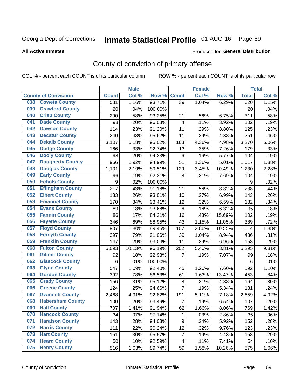# Inmate Statistical Profile 01-AUG-16 Page 69

### **All Active Inmates**

### Produced for General Distribution

# County of conviction of primary offense

COL % - percent each COUNT is of its particular column

|                                |                  | <b>Male</b> |         |                 | <b>Female</b> |        |                 | <b>Total</b> |
|--------------------------------|------------------|-------------|---------|-----------------|---------------|--------|-----------------|--------------|
| <b>County of Conviction</b>    | <b>Count</b>     | Col %       | Row %   | <b>Count</b>    | Col %         | Row %  | <b>Total</b>    | Col %        |
| <b>Coweta County</b><br>038    | 581              | 1.16%       | 93.71%  | $\overline{39}$ | 1.04%         | 6.29%  | 620             | 1.15%        |
| <b>Crawford County</b><br>039  | 20               | .04%        | 100.00% |                 |               |        | 20              | .04%         |
| <b>Crisp County</b><br>040     | 290              | .58%        | 93.25%  | 21              | .56%          | 6.75%  | 311             | .58%         |
| <b>Dade County</b><br>041      | 98               | .20%        | 96.08%  | 4               | .11%          | 3.92%  | 102             | .19%         |
| <b>Dawson County</b><br>042    | 114              | .23%        | 91.20%  | 11              | .29%          | 8.80%  | 125             | .23%         |
| <b>Decatur County</b><br>043   | 240              | .48%        | 95.62%  | 11              | .29%          | 4.38%  | 251             | .46%         |
| <b>Dekalb County</b><br>044    | 3,107            | 6.18%       | 95.02%  | 163             | 4.36%         | 4.98%  | 3,270           | 6.06%        |
| <b>Dodge County</b><br>045     | 166              | .33%        | 92.74%  | 13              | .35%          | 7.26%  | 179             | .33%         |
| <b>Dooly County</b><br>046     | 98               | .20%        | 94.23%  | $6\phantom{1}6$ | .16%          | 5.77%  | 104             | .19%         |
| <b>Dougherty County</b><br>047 | 966              | 1.92%       | 94.99%  | 51              | 1.36%         | 5.01%  | 1,017           | 1.88%        |
| <b>Douglas County</b><br>048   | 1,101            | 2.19%       | 89.51%  | 129             | 3.45%         | 10.49% | 1,230           | 2.28%        |
| <b>Early County</b><br>049     | 96               | .19%        | 92.31%  | 8               | .21%          | 7.69%  | 104             | .19%         |
| <b>Echols County</b><br>050    | $\boldsymbol{9}$ | .02%        | 100.00% |                 |               |        | 9               | .02%         |
| <b>Effingham County</b><br>051 | 217              | .43%        | 91.18%  | 21              | .56%          | 8.82%  | 238             | .44%         |
| <b>Elbert County</b><br>052    | 133              | .26%        | 93.01%  | 10              | .27%          | 6.99%  | 143             | .26%         |
| <b>Emanuel County</b><br>053   | 170              | .34%        | 93.41%  | 12              | .32%          | 6.59%  | 182             | .34%         |
| <b>Evans County</b><br>054     | 89               | .18%        | 93.68%  | $\,6$           | .16%          | 6.32%  | 95              | .18%         |
| <b>Fannin County</b><br>055    | 86               | .17%        | 84.31%  | 16              | .43%          | 15.69% | 102             | .19%         |
| <b>Fayette County</b><br>056   | 346              | .69%        | 88.95%  | 43              | 1.15%         | 11.05% | 389             | .72%         |
| <b>Floyd County</b><br>057     | 907              | 1.80%       | 89.45%  | 107             | 2.86%         | 10.55% | 1,014           | 1.88%        |
| <b>Forsyth County</b><br>058   | 397              | .79%        | 91.06%  | 39              | 1.04%         | 8.94%  | 436             | .81%         |
| <b>Franklin County</b><br>059  | 147              | .29%        | 93.04%  | 11              | .29%          | 6.96%  | 158             | .29%         |
| <b>Fulton County</b><br>060    | 5,093            | 10.13%      | 96.19%  | 202             | 5.40%         | 3.81%  | 5,295           | 9.81%        |
| <b>Gilmer County</b><br>061    | 92               | .18%        | 92.93%  | $\overline{7}$  | .19%          | 7.07%  | 99              | .18%         |
| <b>Glascock County</b><br>062  | 6                | .01%        | 100.00% |                 |               |        | $6\phantom{1}6$ | .01%         |
| <b>Glynn County</b><br>063     | 547              | 1.09%       | 92.40%  | 45              | 1.20%         | 7.60%  | 592             | 1.10%        |
| <b>Gordon County</b><br>064    | 392              | .78%        | 86.53%  | 61              | 1.63%         | 13.47% | 453             | .84%         |
| 065<br><b>Grady County</b>     | 156              | .31%        | 95.12%  | 8               | .21%          | 4.88%  | 164             | .30%         |
| <b>Greene County</b><br>066    | 124              | .25%        | 94.66%  | $\overline{7}$  | .19%          | 5.34%  | 131             | .24%         |
| <b>Gwinnett County</b><br>067  | 2,468            | 4.91%       | 92.82%  | 191             | 5.11%         | 7.18%  | 2,659           | 4.92%        |
| <b>Habersham County</b><br>068 | 100              | .20%        | 93.46%  | $\overline{7}$  | .19%          | 6.54%  | 107             | .20%         |
| <b>Hall County</b><br>069      | 707              | 1.41%       | 91.94%  | 62              | 1.66%         | 8.06%  | 769             | 1.42%        |
| <b>Hancock County</b><br>070   | 34               | .07%        | 97.14%  | 1               | .03%          | 2.86%  | 35              | .06%         |
| <b>Haralson County</b><br>071  | 143              | .28%        | 94.08%  | 9               | .24%          | 5.92%  | 152             | .28%         |
| <b>Harris County</b><br>072    | 111              | .22%        | 90.24%  | 12              | .32%          | 9.76%  | 123             | .23%         |
| <b>Hart County</b><br>073      | 151              | .30%        | 95.57%  | $\overline{7}$  | .19%          | 4.43%  | 158             | .29%         |
| <b>Heard County</b><br>074     | 50               | .10%        | 92.59%  | $\overline{4}$  | .11%          | 7.41%  | 54              | .10%         |
| <b>Henry County</b><br>075     | 516              | 1.03%       | 89.74%  | 59              | 1.58%         | 10.26% | 575             | 1.06%        |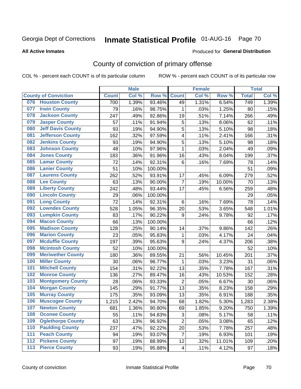# Inmate Statistical Profile 01-AUG-16 Page 70

### **All Active Inmates**

### Produced for General Distribution

# County of conviction of primary offense

COL % - percent each COUNT is of its particular column

|       |                             |              | <b>Male</b> |         |                | <b>Female</b> |        |              | <b>Total</b> |
|-------|-----------------------------|--------------|-------------|---------|----------------|---------------|--------|--------------|--------------|
|       | <b>County of Conviction</b> | <b>Count</b> | Col %       | Row %   | <b>Count</b>   | Col%          | Row %  | <b>Total</b> | Col %        |
| 076   | <b>Houston County</b>       | 700          | 1.39%       | 93.46%  | 49             | 1.31%         | 6.54%  | 749          | 1.39%        |
| 077   | <b>Irwin County</b>         | 79           | .16%        | 98.75%  | 1              | .03%          | 1.25%  | 80           | .15%         |
| 078   | <b>Jackson County</b>       | 247          | .49%        | 92.86%  | 19             | .51%          | 7.14%  | 266          | .49%         |
| 079   | <b>Jasper County</b>        | 57           | .11%        | 91.94%  | 5              | .13%          | 8.06%  | 62           | .11%         |
| 080   | <b>Jeff Davis County</b>    | 93           | .19%        | 94.90%  | 5              | .13%          | 5.10%  | 98           | .18%         |
| 081   | <b>Jefferson County</b>     | 162          | .32%        | 97.59%  | 4              | .11%          | 2.41%  | 166          | .31%         |
| 082   | <b>Jenkins County</b>       | 93           | .19%        | 94.90%  | 5              | .13%          | 5.10%  | 98           | .18%         |
| 083   | <b>Johnson County</b>       | 48           | .10%        | 97.96%  | $\mathbf{1}$   | .03%          | 2.04%  | 49           | .09%         |
| 084   | <b>Jones County</b>         | 183          | .36%        | 91.96%  | 16             | .43%          | 8.04%  | 199          | .37%         |
| 085   | <b>Lamar County</b>         | 72           | .14%        | 92.31%  | 6              | .16%          | 7.69%  | 78           | .14%         |
| 086   | <b>Lanier County</b>        | 51           | .10%        | 100.00% |                |               |        | 51           | .09%         |
| 087   | <b>Laurens County</b>       | 262          | .52%        | 93.91%  | 17             | .45%          | 6.09%  | 279          | .52%         |
| 088   | <b>Lee County</b>           | 63           | .13%        | 90.00%  | $\overline{7}$ | .19%          | 10.00% | 70           | .13%         |
| 089   | <b>Liberty County</b>       | 242          | .48%        | 93.44%  | 17             | .45%          | 6.56%  | 259          | .48%         |
| 090   | <b>Lincoln County</b>       | 29           | .06%        | 100.00% |                |               |        | 29           | .05%         |
| 091   | <b>Long County</b>          | 72           | .14%        | 92.31%  | 6              | .16%          | 7.69%  | 78           | .14%         |
| 092   | <b>Lowndes County</b>       | 528          | 1.05%       | 96.35%  | 20             | .53%          | 3.65%  | 548          | 1.01%        |
| 093   | <b>Lumpkin County</b>       | 83           | .17%        | 90.22%  | 9              | .24%          | 9.78%  | 92           | .17%         |
| 094   | <b>Macon County</b>         | 66           | .13%        | 100.00% |                |               |        | 66           | .12%         |
| 095   | <b>Madison County</b>       | 128          | .25%        | 90.14%  | 14             | .37%          | 9.86%  | 142          | .26%         |
| 096   | <b>Marion County</b>        | 23           | .05%        | 95.83%  | 1              | .03%          | 4.17%  | 24           | .04%         |
| 097   | <b>Mcduffie County</b>      | 197          | .39%        | 95.63%  | 9              | .24%          | 4.37%  | 206          | .38%         |
| 098   | <b>Mcintosh County</b>      | 52           | .10%        | 100.00% |                |               |        | 52           | .10%         |
| 099   | <b>Meriwether County</b>    | 180          | .36%        | 89.55%  | 21             | .56%          | 10.45% | 201          | .37%         |
| 100   | <b>Miller County</b>        | 30           | .06%        | 96.77%  | $\mathbf{1}$   | .03%          | 3.23%  | 31           | .06%         |
| 101   | <b>Mitchell County</b>      | 154          | .31%        | 92.22%  | 13             | .35%          | 7.78%  | 167          | .31%         |
| 102   | <b>Monroe County</b>        | 136          | .27%        | 89.47%  | 16             | .43%          | 10.53% | 152          | .28%         |
| 103   | <b>Montgomery County</b>    | 28           | .06%        | 93.33%  | $\overline{2}$ | .05%          | 6.67%  | 30           | .06%         |
| 104   | <b>Morgan County</b>        | 145          | .29%        | 91.77%  | 13             | .35%          | 8.23%  | 158          | .29%         |
| 105   | <b>Murray County</b>        | 175          | .35%        | 93.09%  | 13             | .35%          | 6.91%  | 188          | .35%         |
| 106   | <b>Muscogee County</b>      | 1,215        | 2.42%       | 94.70%  | 68             | 1.82%         | 5.30%  | 1,283        | 2.38%        |
| 107   | <b>Newton County</b>        | 681          | 1.36%       | 90.80%  | 69             | 1.85%         | 9.20%  | 750          | 1.39%        |
| 108   | <b>Oconee County</b>        | 55           | .11%        | 94.83%  | 3              | .08%          | 5.17%  | 58           | .11%         |
| 109   | <b>Oglethorpe County</b>    | 63           | .13%        | 96.92%  | $\overline{2}$ | .05%          | 3.08%  | 65           | .12%         |
| 110   | <b>Paulding County</b>      | 237          | .47%        | 92.22%  | 20             | .53%          | 7.78%  | 257          | .48%         |
| 111   | <b>Peach County</b>         | 94           | .19%        | 93.07%  | $\overline{7}$ | .19%          | 6.93%  | 101          | .19%         |
| 112   | <b>Pickens County</b>       | 97           | .19%        | 88.99%  | 12             | .32%          | 11.01% | 109          | .20%         |
| $113$ | <b>Pierce County</b>        | 93           | .19%        | 95.88%  | 4              | .11%          | 4.12%  | 97           | .18%         |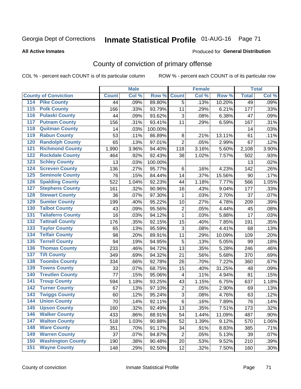# Inmate Statistical Profile 01-AUG-16 Page 71

### **All Active Inmates**

### Produced for General Distribution

# County of conviction of primary offense

COL % - percent each COUNT is of its particular column

|                                          |              | <b>Male</b> |         |                | <b>Female</b> |        |              | <b>Total</b> |
|------------------------------------------|--------------|-------------|---------|----------------|---------------|--------|--------------|--------------|
| <b>County of Conviction</b>              | <b>Count</b> | Col %       | Row %   | <b>Count</b>   | Col %         | Row %  | <b>Total</b> | Col %        |
| <b>Pike County</b><br>114                | 44           | .09%        | 89.80%  | $\overline{5}$ | .13%          | 10.20% | 49           | .09%         |
| <b>Polk County</b><br>$\overline{115}$   | 166          | .33%        | 93.79%  | 11             | .29%          | 6.21%  | 177          | .33%         |
| <b>Pulaski County</b><br>116             | 44           | .09%        | 93.62%  | 3              | .08%          | 6.38%  | 47           | .09%         |
| <b>Putnam County</b><br>117              | 156          | .31%        | 93.41%  | 11             | .29%          | 6.59%  | 167          | .31%         |
| <b>Quitman County</b><br>118             | 14           | .03%        | 100.00% |                |               |        | 14           | .03%         |
| <b>Rabun County</b><br>119               | 53           | .11%        | 86.89%  | $\, 8$         | .21%          | 13.11% | 61           | .11%         |
| <b>Randolph County</b><br>120            | 65           | .13%        | 97.01%  | $\overline{2}$ | .05%          | 2.99%  | 67           | .12%         |
| <b>Richmond County</b><br>121            | 1,990        | 3.96%       | 94.40%  | 118            | 3.16%         | 5.60%  | 2,108        | 3.90%        |
| <b>Rockdale County</b><br>122            | 464          | .92%        | 92.43%  | 38             | 1.02%         | 7.57%  | 502          | .93%         |
| <b>Schley County</b><br>123              | 13           | .03%        | 100.00% |                |               |        | 13           | .02%         |
| <b>Screven County</b><br>124             | 136          | .27%        | 95.77%  | 6              | .16%          | 4.23%  | 142          | .26%         |
| <b>Seminole County</b><br>125            | 76           | .15%        | 84.44%  | 14             | .37%          | 15.56% | 90           | .17%         |
| <b>Spalding County</b><br>126            | 522          | 1.04%       | 92.23%  | 44             | 1.18%         | 7.77%  | 566          | 1.05%        |
| <b>Stephens County</b><br>127            | 161          | .32%        | 90.96%  | 16             | .43%          | 9.04%  | 177          | .33%         |
| <b>Stewart County</b><br>128             | 36           | .07%        | 97.30%  | 1              | .03%          | 2.70%  | 37           | .07%         |
| <b>Sumter County</b><br>129              | 199          | .40%        | 95.22%  | 10             | .27%          | 4.78%  | 209          | .39%         |
| <b>Talbot County</b><br>130              | 43           | .09%        | 95.56%  | $\overline{2}$ | .05%          | 4.44%  | 45           | .08%         |
| <b>Taliaferro County</b><br>131          | 16           | .03%        | 94.12%  | $\mathbf{1}$   | .03%          | 5.88%  | 17           | .03%         |
| <b>Tattnall County</b><br>132            | 176          | .35%        | 92.15%  | 15             | .40%          | 7.85%  | 191          | .35%         |
| <b>Taylor County</b><br>133              | 65           | .13%        | 95.59%  | 3              | .08%          | 4.41%  | 68           | .13%         |
| <b>Telfair County</b><br>134             | 98           | .20%        | 89.91%  | 11             | .29%          | 10.09% | 109          | .20%         |
| <b>Terrell County</b><br>135             | 94           | .19%        | 94.95%  | 5              | .13%          | 5.05%  | 99           | .18%         |
| <b>Thomas County</b><br>136              | 233          | .46%        | 94.72%  | 13             | .35%          | 5.28%  | 246          | .46%         |
| <b>Tift County</b><br>137                | 349          | .69%        | 94.32%  | 21             | .56%          | 5.68%  | 370          | .69%         |
| <b>Toombs County</b><br>138              | 334          | .66%        | 92.78%  | 26             | .70%          | 7.22%  | 360          | .67%         |
| <b>Towns County</b><br>139               | 33           | .07%        | 68.75%  | 15             | .40%          | 31.25% | 48           | .09%         |
| <b>Treutlen County</b><br>140            | 77           | .15%        | 95.06%  | 4              | .11%          | 4.94%  | 81           | .15%         |
| <b>Troup County</b><br>141               | 594          | 1.18%       | 93.25%  | 43             | 1.15%         | 6.75%  | 637          | 1.18%        |
| <b>Turner County</b><br>142              | 67           | .13%        | 97.10%  | $\overline{2}$ | .05%          | 2.90%  | 69           | .13%         |
| <b>Twiggs County</b><br>$\overline{143}$ | 60           | .12%        | 95.24%  | $\overline{3}$ | .08%          | 4.76%  | 63           | .12%         |
| <b>Union County</b><br>144               | 70           | .14%        | 92.11%  | $6\phantom{1}$ | .16%          | 7.89%  | 76           | .14%         |
| 145<br><b>Upson County</b>               | 160          | .32%        | 92.49%  | 13             | .35%          | 7.51%  | 173          | .32%         |
| <b>Walker County</b><br>146              | 433          | .86%        | 88.91%  | 54             | 1.44%         | 11.09% | 487          | .90%         |
| <b>Walton County</b><br>147              | 518          | 1.03%       | 90.88%  | 52             | 1.39%         | 9.12%  | 570          | 1.06%        |
| <b>Ware County</b><br>148                | 351          | .70%        | 91.17%  | 34             | .91%          | 8.83%  | 385          | .71%         |
| <b>Warren County</b><br>149              | 37           | .07%        | 94.87%  | $\overline{2}$ | .05%          | 5.13%  | 39           | .07%         |
| <b>Washington County</b><br>150          | 190          | .38%        | 90.48%  | 20             | .53%          | 9.52%  | 210          | .39%         |
| <b>Wayne County</b><br>151               | 148          | .29%        | 92.50%  | 12             | .32%          | 7.50%  | 160          | .30%         |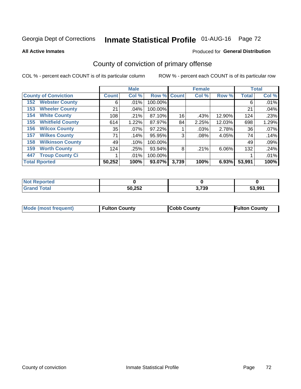# Inmate Statistical Profile 01-AUG-16 Page 72

**All Active Inmates** 

### Produced for General Distribution

# County of conviction of primary offense

COL % - percent each COUNT is of its particular column

|                                |              | <b>Male</b> |             |       | <b>Female</b> |          |              | <b>Total</b> |
|--------------------------------|--------------|-------------|-------------|-------|---------------|----------|--------------|--------------|
| <b>County of Conviction</b>    | <b>Count</b> | Col %       | Row % Count |       | Col %         | Row %    | <b>Total</b> | Col %        |
| <b>Webster County</b><br>152   | 6            | $.01\%$     | 100.00%     |       |               |          | 6            | .01%         |
| <b>Wheeler County</b><br>153   | 21           | .04%        | 100.00%     |       |               |          | 21           | .04%         |
| <b>White County</b><br>154     | 108          | .21%        | 87.10%      | 16    | .43%          | 12.90%   | 124          | .23%         |
| <b>Whitfield County</b><br>155 | 614          | 1.22%       | 87.97%      | 84    | 2.25%         | 12.03%   | 698          | 1.29%        |
| <b>Wilcox County</b><br>156    | 35           | $.07\%$     | 97.22%      |       | .03%          | 2.78%    | 36           | .07%         |
| <b>Wilkes County</b><br>157    | 71           | .14%        | 95.95%      | 3     | $.08\%$       | 4.05%    | 74           | .14%         |
| <b>Wilkinson County</b><br>158 | 49           | .10%        | 100.00%     |       |               |          | 49           | .09%         |
| <b>Worth County</b><br>159     | 124          | .25%        | 93.94%      | 8     | .21%          | $6.06\%$ | 132          | .24%         |
| <b>Troup County Ci</b><br>447  |              | $.01\%$     | 100.00%     |       |               |          |              | .01%         |
| <b>Total Rported</b>           | 50,252       | 100%        | 93.07%      | 3,739 | 100%          | 6.93%    | 53,991       | 100%         |

| <b>Not Reported</b> |        |       |        |
|---------------------|--------|-------|--------|
| <b>Grand Total</b>  | 50,252 | 3,739 | 53.991 |

|  | <b>Mode (most frequent)</b> | <b>Fulton County</b> | <b>Cobb County</b> | <b>Fulton County</b> |
|--|-----------------------------|----------------------|--------------------|----------------------|
|--|-----------------------------|----------------------|--------------------|----------------------|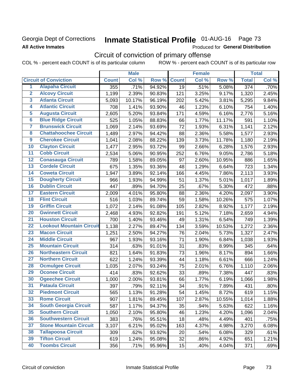### Georgia Dept of Corrections **All Active Inmates**

# Inmate Statistical Profile 01-AUG-16 Page 73

Produced for General Distribution

# Circuit of conviction of primary offense

COL % - percent each COUNT is of its particular column ROW % - percent each COUNT is of its particular row

|                         |                                 |              | <b>Male</b> |        |              | <b>Female</b> |        |                  | <b>Total</b> |
|-------------------------|---------------------------------|--------------|-------------|--------|--------------|---------------|--------|------------------|--------------|
|                         | <b>Circuit of Conviction</b>    | <b>Count</b> | Col %       | Row %  | <b>Count</b> | Col %         | Row %  | <b>Total</b>     | Col %        |
| 1                       | <b>Alapaha Circuit</b>          | 355          | .71%        | 94.92% | 19           | .51%          | 5.08%  | $\overline{374}$ | .70%         |
| $\overline{2}$          | <b>Alcovy Circuit</b>           | 1,199        | 2.39%       | 90.83% | 121          | 3.25%         | 9.17%  | 1,320            | 2.45%        |
| $\overline{\mathbf{3}}$ | <b>Atlanta Circuit</b>          | 5,093        | 10.17%      | 96.19% | 202          | 5.42%         | 3.81%  | 5,295            | 9.84%        |
| 4                       | <b>Atlantic Circuit</b>         | 708          | 1.41%       | 93.90% | 46           | 1.23%         | 6.10%  | 754              | 1.40%        |
| $\overline{\mathbf{5}}$ | <b>Augusta Circuit</b>          | 2,605        | 5.20%       | 93.84% | 171          | 4.59%         | 6.16%  | 2,776            | 5.16%        |
| $\overline{\bf{6}}$     | <b>Blue Ridge Circuit</b>       | 525          | 1.05%       | 88.83% | 66           | 1.77%         | 11.17% | 591              | 1.10%        |
| 7                       | <b>Brunswick Circuit</b>        | 1,069        | 2.14%       | 93.69% | 72           | 1.93%         | 6.31%  | 1,141            | 2.12%        |
| $\overline{\mathbf{8}}$ | <b>Chattahoochee Circuit</b>    | 1,489        | 2.97%       | 94.42% | 88           | 2.36%         | 5.58%  | 1,577            | 2.93%        |
| $\overline{9}$          | <b>Cherokee Circuit</b>         | 1,041        | 2.08%       | 88.22% | 139          | 3.73%         | 11.78% | 1,180            | 2.19%        |
| 10                      | <b>Clayton Circuit</b>          | 1,477        | 2.95%       | 93.72% | 99           | 2.66%         | 6.28%  | 1,576            | 2.93%        |
| $\overline{11}$         | <b>Cobb Circuit</b>             | 2,534        | 5.06%       | 90.95% | 252          | 6.76%         | 9.05%  | 2,786            | 5.18%        |
| $\overline{12}$         | <b>Conasauga Circuit</b>        | 789          | 1.58%       | 89.05% | 97           | 2.60%         | 10.95% | 886              | 1.65%        |
| 13                      | <b>Cordele Circuit</b>          | 675          | 1.35%       | 93.36% | 48           | 1.29%         | 6.64%  | 723              | 1.34%        |
| $\overline{14}$         | <b>Coweta Circuit</b>           | 1,947        | 3.89%       | 92.14% | 166          | 4.45%         | 7.86%  | 2,113            | 3.93%        |
| 15                      | <b>Dougherty Circuit</b>        | 966          | 1.93%       | 94.99% | 51           | 1.37%         | 5.01%  | 1,017            | 1.89%        |
| 16                      | <b>Dublin Circuit</b>           | 447          | .89%        | 94.70% | 25           | .67%          | 5.30%  | 472              | .88%         |
| 17                      | <b>Eastern Circuit</b>          | 2,009        | 4.01%       | 95.80% | 88           | 2.36%         | 4.20%  | 2,097            | 3.90%        |
| $\overline{18}$         | <b>Flint Circuit</b>            | 516          | 1.03%       | 89.74% | 59           | 1.58%         | 10.26% | 575              | 1.07%        |
| 19                      | <b>Griffin Circuit</b>          | 1,072        | 2.14%       | 91.08% | 105          | 2.82%         | 8.92%  | 1,177            | 2.19%        |
| 20                      | <b>Gwinnett Circuit</b>         | 2,468        | 4.93%       | 92.82% | 191          | 5.12%         | 7.18%  | 2,659            | 4.94%        |
| $\overline{21}$         | <b>Houston Circuit</b>          | 700          | 1.40%       | 93.46% | 49           | 1.31%         | 6.54%  | 749              | 1.39%        |
| $\overline{22}$         | <b>Lookout Mountain Circuit</b> | 1,138        | 2.27%       | 89.47% | 134          | 3.59%         | 10.53% | 1,272            | 2.36%        |
| 23                      | <b>Macon Circuit</b>            | 1,251        | 2.50%       | 94.27% | 76           | 2.04%         | 5.73%  | 1,327            | 2.47%        |
| $\overline{24}$         | <b>Middle Circuit</b>           | 967          | 1.93%       | 93.16% | 71           | 1.90%         | 6.84%  | 1,038            | 1.93%        |
| $\overline{25}$         | <b>Mountain Circuit</b>         | 314          | .63%        | 91.01% | 31           | .83%          | 8.99%  | 345              | .64%         |
| 26                      | <b>Northeastern Circuit</b>     | 821          | 1.64%       | 91.83% | 73           | 1.96%         | 8.17%  | 894              | 1.66%        |
| $\overline{27}$         | <b>Northern Circuit</b>         | 622          | 1.24%       | 93.39% | 44           | 1.18%         | 6.61%  | 666              | 1.24%        |
| 28                      | <b>Ocmulgee Circuit</b>         | 1,035        | 2.07%       | 93.24% | 75           | 2.01%         | 6.76%  | 1,110            | 2.06%        |
| 29                      | <b>Oconee Circuit</b>           | 414          | .83%        | 92.62% | 33           | .89%          | 7.38%  | 447              | .83%         |
| 30                      | <b>Ogeechee Circuit</b>         | 1,000        | 2.00%       | 93.81% | 66           | 1.77%         | 6.19%  | 1,066            | 1.98%        |
| $\overline{31}$         | <b>Pataula Circuit</b>          | 397          | .79%        | 92.11% | 34           | .91%          | 7.89%  | 431              | .80%         |
| 32                      | <b>Piedmont Circuit</b>         | 565          | 1.13%       | 91.28% | 54           | 1.45%         | 8.72%  | 619              | 1.15%        |
| 33                      | <b>Rome Circuit</b>             | 907          | 1.81%       | 89.45% | 107          | 2.87%         | 10.55% | 1,014            | 1.88%        |
| 34                      | <b>South Georgia Circuit</b>    | 587          | 1.17%       | 94.37% | 35           | .94%          | 5.63%  | 622              | 1.16%        |
| 35                      | <b>Southern Circuit</b>         | 1,050        | 2.10%       | 95.80% | 46           | 1.23%         | 4.20%  | 1,096            | 2.04%        |
| 36                      | <b>Southwestern Circuit</b>     | 383          | .76%        | 95.51% | 18           | .48%          | 4.49%  | 401              | .75%         |
| 37                      | <b>Stone Mountain Circuit</b>   | 3,107        | 6.21%       | 95.02% | 163          | 4.37%         | 4.98%  | 3,270            | 6.08%        |
| 38                      | <b>Tallapoosa Circuit</b>       | 309          | .62%        | 93.92% | 20           | .54%          | 6.08%  | 329              | .61%         |
| 39                      | <b>Tifton Circuit</b>           | 619          | 1.24%       | 95.08% | 32           | .86%          | 4.92%  | 651              | 1.21%        |
| 40                      | <b>Toombs Circuit</b>           | 356          | .71%        | 95.96% | 15           | .40%          | 4.04%  | 371              | .69%         |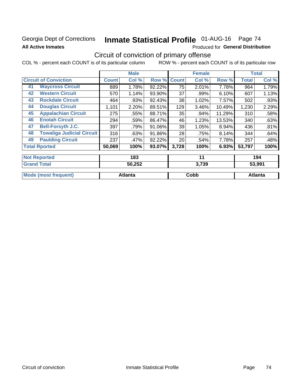### Georgia Dept of Corrections **All Active Inmates**

# Inmate Statistical Profile 01-AUG-16 Page 74

Produced for General Distribution

# Circuit of conviction of primary offense

COL % - percent each COUNT is of its particular column ROW % - percent each COUNT is of its particular row

|                                  |                                  | <b>Male</b>  |        |              | <b>Female</b> |        |        | <b>Total</b>  |
|----------------------------------|----------------------------------|--------------|--------|--------------|---------------|--------|--------|---------------|
| <b>Circuit of Conviction</b>     | <b>Count</b>                     | Col %        | Row %  | <b>Count</b> | Col %         | Row %  | Total  | Col %         |
| <b>Waycross Circuit</b><br>41    |                                  | 1.78%<br>889 | 92.22% | 75           | 2.01%         | 7.78%  | 964    | 1.79%         |
| <b>Western Circuit</b><br>42     |                                  | 570<br>1.14% | 93.90% | 37           | .99%          | 6.10%  | 607    | 1.13%         |
| <b>Rockdale Circuit</b><br>43    |                                  | .93%<br>464  | 92.43% | 38           | 1.02%         | 7.57%  | 502    | .93%          |
| <b>Douglas Circuit</b><br>44     | 1,101                            | 2.20%        | 89.51% | 129          | 3.46%         | 10.49% | 1,230  | 2.29%         |
| <b>Appalachian Circuit</b><br>45 |                                  | 275<br>.55%  | 88.71% | 35           | .94%          | 11.29% | 310    | .58%          |
| <b>Enotah Circuit</b><br>46      |                                  | 294<br>.59%  | 86.47% | 46           | 1.23%         | 13.53% | 340    | .63%          |
| 47<br><b>Bell-Forsyth J.C.</b>   |                                  | 397<br>.79%  | 91.06% | 39           | 1.05%         | 8.94%  | 436    | .81%          |
| 48                               | <b>Towaliga Judicial Circuit</b> | 316<br>.63%  | 91.86% | 28           | .75%          | 8.14%  | 344    | .64%          |
| <b>Paulding Circuit</b><br>49    |                                  | 237<br>.47%  | 92.22% | 20           | .54%          | 7.78%  | 257    | .48%          |
| <b>Total Rported</b>             | 50,069                           | 100%         | 93.07% | 3,728        | 100%          | 6.93%  | 53,797 | 100%          |
| <b>Not Reported</b>              |                                  | 183          |        |              | 11            |        |        | 194           |
| Concert Tradell                  |                                  | FA AFA       |        |              | 0.700         |        |        | <u>FA AAJ</u> |

| otal                                | 50,252  | .739 | 73. QQ1  |
|-------------------------------------|---------|------|----------|
| Mode<br>frequent)<br><b>ા</b> (mosા | Atlanta | Cobb | _ktlanta |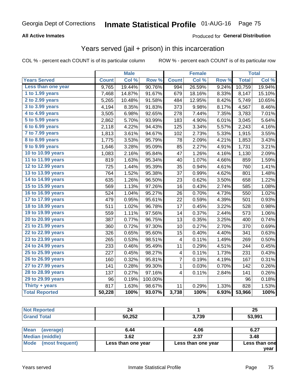#### **All Active Inmates**

### Produced for **General Distribution**

## Years served (jail + prison) in this incarceration

|                       |              | <b>Male</b> |                  |              | <b>Female</b> |                  |              | <b>Total</b> |
|-----------------------|--------------|-------------|------------------|--------------|---------------|------------------|--------------|--------------|
| <b>Years Served</b>   | <b>Count</b> | Col %       | Row <sup>%</sup> | <b>Count</b> | Col %         | Row <sup>%</sup> | <b>Total</b> | Col %        |
| Less than one year    | 9,765        | 19.44%      | 90.76%           | 994          | 26.59%        | 9.24%            | 10,759       | 19.94%       |
| 1 to 1.99 years       | 7,468        | 14.87%      | 91.67%           | 679          | 18.16%        | 8.33%            | 8,147        | 15.10%       |
| 2 to 2.99 years       | 5,265        | 10.48%      | 91.58%           | 484          | 12.95%        | 8.42%            | 5,749        | 10.65%       |
| 3 to 3.99 years       | 4,194        | 8.35%       | 91.83%           | 373          | 9.98%         | 8.17%            | 4,567        | 8.46%        |
| 4 to 4.99 years       | 3,505        | 6.98%       | 92.65%           | 278          | 7.44%         | 7.35%            | 3,783        | 7.01%        |
| 5 to 5.99 years       | 2,862        | 5.70%       | 93.99%           | 183          | 4.90%         | 6.01%            | 3,045        | 5.64%        |
| 6 to 6.99 years       | 2,118        | 4.22%       | 94.43%           | 125          | 3.34%         | 5.57%            | 2,243        | 4.16%        |
| 7 to 7.99 years       | 1,813        | 3.61%       | 94.67%           | 102          | 2.73%         | 5.33%            | 1,915        | 3.55%        |
| 8 to 8.99 years       | 1,775        | 3.53%       | 95.79%           | 78           | 2.09%         | 4.21%            | 1,853        | 3.43%        |
| 9 to 9.99 years       | 1,646        | 3.28%       | 95.09%           | 85           | 2.27%         | 4.91%            | 1,731        | 3.21%        |
| 10 to 10.99 years     | 1,083        | 2.16%       | 95.84%           | 47           | 1.26%         | 4.16%            | 1,130        | 2.09%        |
| 11 to 11.99 years     | 819          | 1.63%       | 95.34%           | 40           | 1.07%         | 4.66%            | 859          | 1.59%        |
| 12 to 12.99 years     | 725          | 1.44%       | 95.39%           | 35           | 0.94%         | 4.61%            | 760          | 1.41%        |
| 13 to 13.99 years     | 764          | 1.52%       | 95.38%           | 37           | 0.99%         | 4.62%            | 801          | 1.48%        |
| 14 to 14.99 years     | 635          | 1.26%       | 96.50%           | 23           | 0.62%         | 3.50%            | 658          | 1.22%        |
| 15 to 15.99 years     | 569          | 1.13%       | 97.26%           | 16           | 0.43%         | 2.74%            | 585          | 1.08%        |
| 16 to 16.99 years     | 524          | 1.04%       | 95.27%           | 26           | 0.70%         | 4.73%            | 550          | 1.02%        |
| 17 to 17.99 years     | 479          | 0.95%       | 95.61%           | 22           | 0.59%         | 4.39%            | 501          | 0.93%        |
| 18 to 18.99 years     | 511          | 1.02%       | 96.78%           | 17           | 0.45%         | 3.22%            | 528          | 0.98%        |
| 19 to 19.99 years     | 559          | 1.11%       | 97.56%           | 14           | 0.37%         | 2.44%            | 573          | 1.06%        |
| 20 to 20.99 years     | 387          | 0.77%       | 96.75%           | 13           | 0.35%         | 3.25%            | 400          | 0.74%        |
| 21 to 21.99 years     | 360          | 0.72%       | 97.30%           | 10           | 0.27%         | 2.70%            | 370          | 0.69%        |
| 22 to 22.99 years     | 326          | 0.65%       | 95.60%           | 15           | 0.40%         | 4.40%            | 341          | 0.63%        |
| 23 to 23.99 years     | 265          | 0.53%       | 98.51%           | 4            | 0.11%         | 1.49%            | 269          | 0.50%        |
| 24 to 24.99 years     | 233          | 0.46%       | 95.49%           | 11           | 0.29%         | 4.51%            | 244          | 0.45%        |
| 25 to 25.99 years     | 227          | 0.45%       | 98.27%           | 4            | 0.11%         | 1.73%            | 231          | 0.43%        |
| 26 to 26.99 years     | 160          | 0.32%       | 95.81%           | 7            | 0.19%         | 4.19%            | 167          | 0.31%        |
| 27 to 27.99 years     | 141          | 0.28%       | 99.30%           | $\mathbf{1}$ | 0.03%         | 0.70%            | 142          | 0.26%        |
| 28 to 28.99 years     | 137          | 0.27%       | 97.16%           | 4            | 0.11%         | 2.84%            | 141          | 0.26%        |
| 29 to 29.99 years     | 96           | 0.19%       | 100.00%          |              |               |                  | 96           | 0.18%        |
| Thirty + years        | 817          | 1.63%       | 98.67%           | 11           | 0.29%         | 1.33%            | 828          | 1.53%        |
| <b>Total Reported</b> | 50,228       | 100%        | 93.07%           | 3,738        | 100%          | 6.93%            | 53,966       | 100%         |

|               |       | ሳር<br>Zυ |
|---------------|-------|----------|
| EN OED        | 2.720 | 53.991   |
| <b>JU,ZJZ</b> | ້າວພ  |          |

| <b>Mean</b><br>(average) | 6.44               | 4.06               | 6.27          |
|--------------------------|--------------------|--------------------|---------------|
| Median (middle)          | 3.62               | 2.37               | 3.48          |
| Mode<br>(most frequent)  | Less than one year | Less than one year | Less than one |
|                          |                    |                    | year          |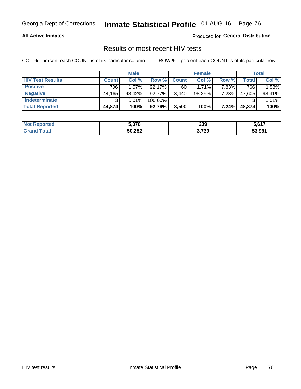#### **All Active Inmates**

Produced for **General Distribution**

### Results of most recent HIV tests

|                         |              | <b>Male</b> |           |              | <b>Female</b> |       |        | Total  |
|-------------------------|--------------|-------------|-----------|--------------|---------------|-------|--------|--------|
| <b>HIV Test Results</b> | <b>Count</b> | Col%        | Row %I    | <b>Count</b> | Col %         | Row % | Total  | Col %  |
| <b>Positive</b>         | 706          | $1.57\%$    | $92.17\%$ | 60           | $1.71\%$      | 7.83% | 766    | 1.58%  |
| <b>Negative</b>         | 44,165       | 98.42%      | 92.77%    | 3,440        | $98.29\%$     | 7.23% | 47,605 | 98.41% |
| Indeterminate           | ີ            | 0.01%       | 100.00%   |              |               |       |        | 0.01%  |
| <b>Total Reported</b>   | 44,874       | 100%        | $92.76\%$ | 3,500        | 100%          | 7.24% | 48,374 | 100%   |

| <b>Not Reported</b> | 5,378  | 239   | 5,617  |
|---------------------|--------|-------|--------|
| Total               | 50,252 | 3,739 | 53,991 |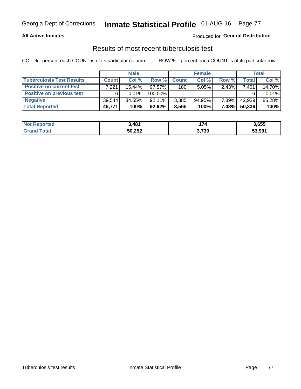#### **All Active Inmates**

#### Produced for **General Distribution**

### Results of most recent tuberculosis test

|                                  | <b>Male</b>  |           |           | <b>Female</b> |           |          | Total        |        |
|----------------------------------|--------------|-----------|-----------|---------------|-----------|----------|--------------|--------|
| <b>Tuberculosis Test Results</b> | <b>Count</b> | Col%      | Row %     | <b>Count</b>  | Col %     | Row %    | <b>Total</b> | Col %  |
| <b>Positive on current test</b>  | 7,221        | $15.44\%$ | 97.57%    | 180           | 5.05%     | 2.43%    | 7,401        | 14.70% |
| <b>Positive on previous test</b> | 6            | $0.01\%$  | 100.00%   |               |           |          |              | 0.01%  |
| <b>Negative</b>                  | 39.544       | 84.55%    | $92.11\%$ | 3,385         | $94.95\%$ | 7.89%    | 42,929       | 85.28% |
| <b>Total Reported</b>            | 46,771       | 100%      | $92.92\%$ | 3,565         | 100%      | $7.08\%$ | 50,336       | 100%   |

| <b>Not Reported</b> | 1,481  | 74    | 3,655  |
|---------------------|--------|-------|--------|
| Total<br>Grand      | 50,252 | 3,739 | 53,991 |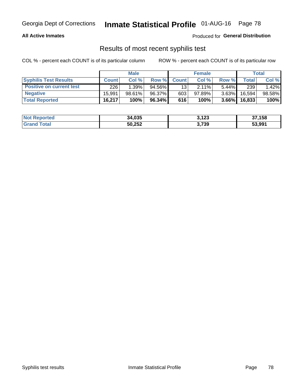#### **All Active Inmates**

Produced for **General Distribution**

### Results of most recent syphilis test

|                                 | <b>Male</b>  |        |        | <b>Female</b>   |           |          | Total   |        |
|---------------------------------|--------------|--------|--------|-----------------|-----------|----------|---------|--------|
| <b>Syphilis Test Results</b>    | <b>Count</b> | Col%   | Row %  | <b>Count</b>    | Col %     | Row %    | Total I | Col %  |
| <b>Positive on current test</b> | 226          | 1.39%  | 94.56% | 13 <sub>1</sub> | $2.11\%$  | $5.44\%$ | 239     | 1.42%  |
| <b>Negative</b>                 | 15.991       | 98.61% | 96.37% | 603             | $97.89\%$ | $3.63\%$ | 16,594  | 98.58% |
| <b>Total Reported</b>           | 16,217       | 100%   | 96.34% | 616             | 100%      | $3.66\%$ | 16,833  | 100%   |

| <b>Not Reported</b> | 34,035 | 3,123 | 37,158 |
|---------------------|--------|-------|--------|
| <b>Grand Total</b>  | 50,252 | 3,739 | 53,991 |